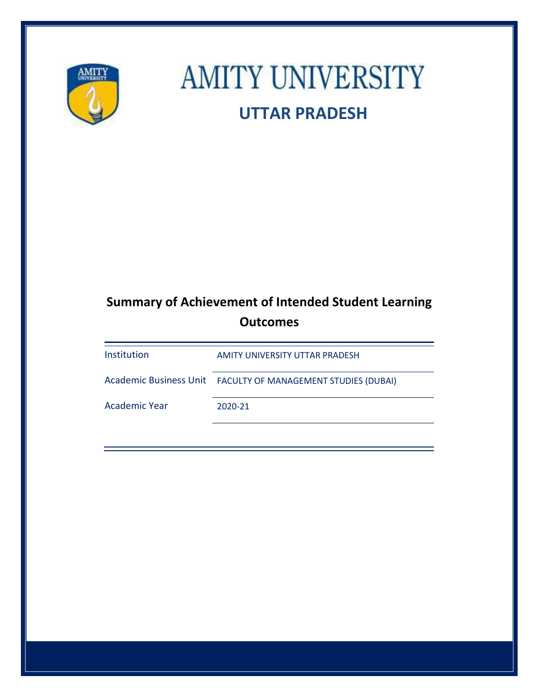

# **AMITY UNIVERSITY UTTAR PRADESH**

# **Summary of Achievement of Intended Student Learning Outcomes**

| <b>Institution</b>   | AMITY UNIVERSITY UTTAR PRADESH                               |  |  |  |
|----------------------|--------------------------------------------------------------|--|--|--|
|                      | Academic Business Unit FACULTY OF MANAGEMENT STUDIES (DUBAI) |  |  |  |
| <b>Academic Year</b> | 2020-21                                                      |  |  |  |
|                      |                                                              |  |  |  |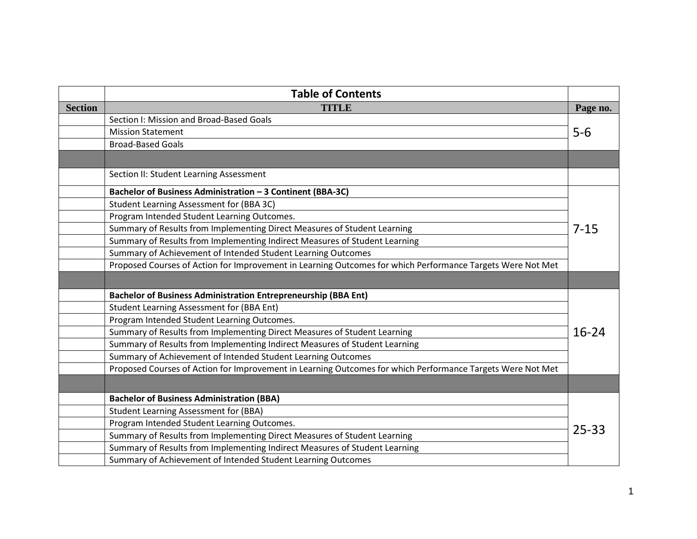|                | <b>Table of Contents</b>                                                                                   |           |  |  |
|----------------|------------------------------------------------------------------------------------------------------------|-----------|--|--|
| <b>Section</b> | <b>TITLE</b>                                                                                               | Page no.  |  |  |
|                | Section I: Mission and Broad-Based Goals                                                                   |           |  |  |
|                | <b>Mission Statement</b>                                                                                   | $5-6$     |  |  |
|                | <b>Broad-Based Goals</b>                                                                                   |           |  |  |
|                |                                                                                                            |           |  |  |
|                | Section II: Student Learning Assessment                                                                    |           |  |  |
|                | Bachelor of Business Administration - 3 Continent (BBA-3C)                                                 |           |  |  |
|                | Student Learning Assessment for (BBA 3C)                                                                   |           |  |  |
|                | Program Intended Student Learning Outcomes.                                                                |           |  |  |
|                | Summary of Results from Implementing Direct Measures of Student Learning                                   | $7 - 15$  |  |  |
|                | Summary of Results from Implementing Indirect Measures of Student Learning                                 |           |  |  |
|                | Summary of Achievement of Intended Student Learning Outcomes                                               |           |  |  |
|                | Proposed Courses of Action for Improvement in Learning Outcomes for which Performance Targets Were Not Met |           |  |  |
|                |                                                                                                            |           |  |  |
|                | <b>Bachelor of Business Administration Entrepreneurship (BBA Ent)</b>                                      |           |  |  |
|                | Student Learning Assessment for (BBA Ent)                                                                  |           |  |  |
|                | Program Intended Student Learning Outcomes.                                                                |           |  |  |
|                | $16 - 24$<br>Summary of Results from Implementing Direct Measures of Student Learning                      |           |  |  |
|                | Summary of Results from Implementing Indirect Measures of Student Learning                                 |           |  |  |
|                | Summary of Achievement of Intended Student Learning Outcomes                                               |           |  |  |
|                | Proposed Courses of Action for Improvement in Learning Outcomes for which Performance Targets Were Not Met |           |  |  |
|                |                                                                                                            |           |  |  |
|                | <b>Bachelor of Business Administration (BBA)</b>                                                           |           |  |  |
|                | <b>Student Learning Assessment for (BBA)</b>                                                               |           |  |  |
|                | Program Intended Student Learning Outcomes.                                                                | $25 - 33$ |  |  |
|                | Summary of Results from Implementing Direct Measures of Student Learning                                   |           |  |  |
|                | Summary of Results from Implementing Indirect Measures of Student Learning                                 |           |  |  |
|                | Summary of Achievement of Intended Student Learning Outcomes                                               |           |  |  |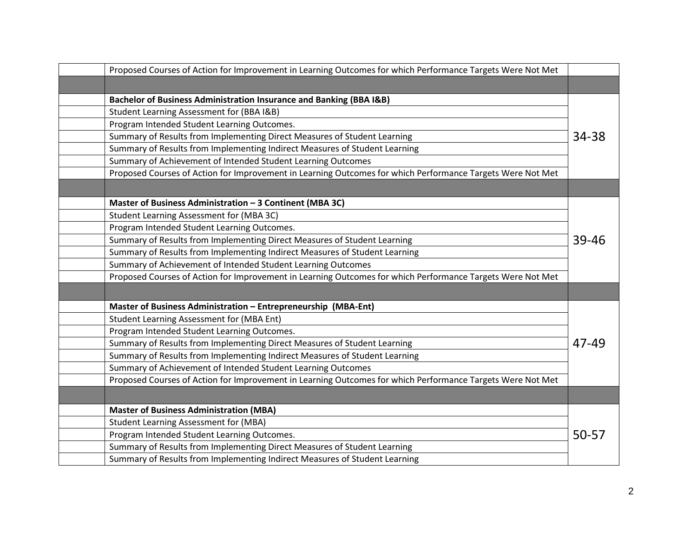| Proposed Courses of Action for Improvement in Learning Outcomes for which Performance Targets Were Not Met |           |  |  |  |
|------------------------------------------------------------------------------------------------------------|-----------|--|--|--|
|                                                                                                            |           |  |  |  |
| Bachelor of Business Administration Insurance and Banking (BBA I&B)                                        |           |  |  |  |
| Student Learning Assessment for (BBA I&B)                                                                  |           |  |  |  |
| Program Intended Student Learning Outcomes.                                                                |           |  |  |  |
| Summary of Results from Implementing Direct Measures of Student Learning                                   | 34-38     |  |  |  |
| Summary of Results from Implementing Indirect Measures of Student Learning                                 |           |  |  |  |
| Summary of Achievement of Intended Student Learning Outcomes                                               |           |  |  |  |
| Proposed Courses of Action for Improvement in Learning Outcomes for which Performance Targets Were Not Met |           |  |  |  |
|                                                                                                            |           |  |  |  |
| Master of Business Administration - 3 Continent (MBA 3C)                                                   |           |  |  |  |
| Student Learning Assessment for (MBA 3C)                                                                   |           |  |  |  |
| Program Intended Student Learning Outcomes.                                                                |           |  |  |  |
| Summary of Results from Implementing Direct Measures of Student Learning                                   | $39 - 46$ |  |  |  |
| Summary of Results from Implementing Indirect Measures of Student Learning                                 |           |  |  |  |
| Summary of Achievement of Intended Student Learning Outcomes                                               |           |  |  |  |
| Proposed Courses of Action for Improvement in Learning Outcomes for which Performance Targets Were Not Met |           |  |  |  |
|                                                                                                            |           |  |  |  |
| Master of Business Administration - Entrepreneurship (MBA-Ent)                                             |           |  |  |  |
| Student Learning Assessment for (MBA Ent)                                                                  |           |  |  |  |
| Program Intended Student Learning Outcomes.                                                                |           |  |  |  |
| Summary of Results from Implementing Direct Measures of Student Learning                                   | 47-49     |  |  |  |
| Summary of Results from Implementing Indirect Measures of Student Learning                                 |           |  |  |  |
| Summary of Achievement of Intended Student Learning Outcomes                                               |           |  |  |  |
| Proposed Courses of Action for Improvement in Learning Outcomes for which Performance Targets Were Not Met |           |  |  |  |
|                                                                                                            |           |  |  |  |
| <b>Master of Business Administration (MBA)</b>                                                             |           |  |  |  |
| <b>Student Learning Assessment for (MBA)</b>                                                               |           |  |  |  |
| Program Intended Student Learning Outcomes.                                                                | 50-57     |  |  |  |
| Summary of Results from Implementing Direct Measures of Student Learning                                   |           |  |  |  |
| Summary of Results from Implementing Indirect Measures of Student Learning                                 |           |  |  |  |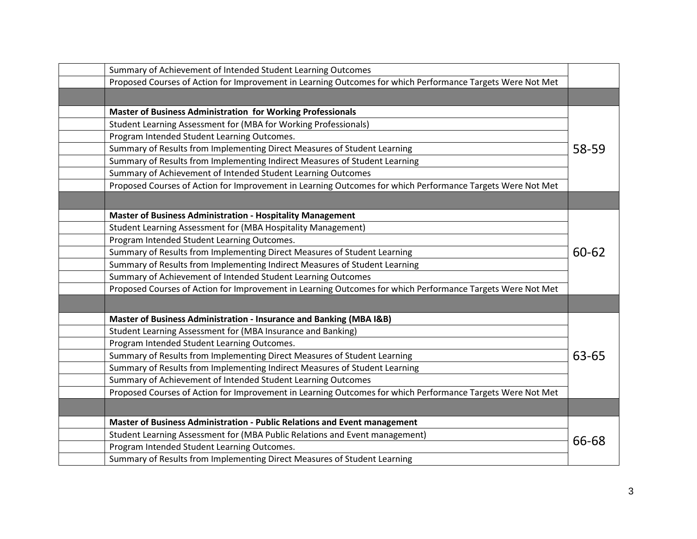| Summary of Achievement of Intended Student Learning Outcomes                                               |       |  |  |  |  |
|------------------------------------------------------------------------------------------------------------|-------|--|--|--|--|
| Proposed Courses of Action for Improvement in Learning Outcomes for which Performance Targets Were Not Met |       |  |  |  |  |
|                                                                                                            |       |  |  |  |  |
| <b>Master of Business Administration for Working Professionals</b>                                         |       |  |  |  |  |
| Student Learning Assessment for (MBA for Working Professionals)                                            |       |  |  |  |  |
| Program Intended Student Learning Outcomes.                                                                |       |  |  |  |  |
| Summary of Results from Implementing Direct Measures of Student Learning                                   | 58-59 |  |  |  |  |
| Summary of Results from Implementing Indirect Measures of Student Learning                                 |       |  |  |  |  |
| Summary of Achievement of Intended Student Learning Outcomes                                               |       |  |  |  |  |
| Proposed Courses of Action for Improvement in Learning Outcomes for which Performance Targets Were Not Met |       |  |  |  |  |
|                                                                                                            |       |  |  |  |  |
| <b>Master of Business Administration - Hospitality Management</b>                                          |       |  |  |  |  |
| Student Learning Assessment for (MBA Hospitality Management)                                               |       |  |  |  |  |
| Program Intended Student Learning Outcomes.                                                                |       |  |  |  |  |
| 60-62<br>Summary of Results from Implementing Direct Measures of Student Learning                          |       |  |  |  |  |
| Summary of Results from Implementing Indirect Measures of Student Learning                                 |       |  |  |  |  |
| Summary of Achievement of Intended Student Learning Outcomes                                               |       |  |  |  |  |
| Proposed Courses of Action for Improvement in Learning Outcomes for which Performance Targets Were Not Met |       |  |  |  |  |
|                                                                                                            |       |  |  |  |  |
| Master of Business Administration - Insurance and Banking (MBA I&B)                                        |       |  |  |  |  |
| Student Learning Assessment for (MBA Insurance and Banking)                                                |       |  |  |  |  |
| Program Intended Student Learning Outcomes.                                                                |       |  |  |  |  |
| Summary of Results from Implementing Direct Measures of Student Learning                                   | 63-65 |  |  |  |  |
| Summary of Results from Implementing Indirect Measures of Student Learning                                 |       |  |  |  |  |
| Summary of Achievement of Intended Student Learning Outcomes                                               |       |  |  |  |  |
| Proposed Courses of Action for Improvement in Learning Outcomes for which Performance Targets Were Not Met |       |  |  |  |  |
|                                                                                                            |       |  |  |  |  |
| Master of Business Administration - Public Relations and Event management                                  |       |  |  |  |  |
| Student Learning Assessment for (MBA Public Relations and Event management)                                |       |  |  |  |  |
| Program Intended Student Learning Outcomes.                                                                | 66-68 |  |  |  |  |
| Summary of Results from Implementing Direct Measures of Student Learning                                   |       |  |  |  |  |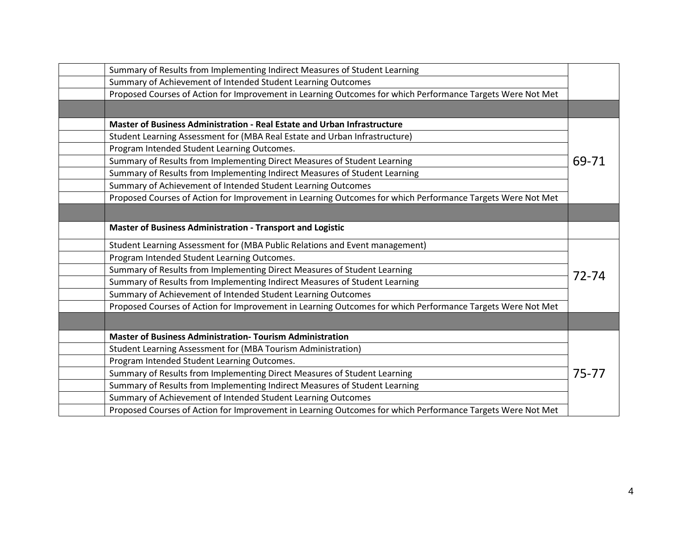| Summary of Results from Implementing Indirect Measures of Student Learning                                 |           |
|------------------------------------------------------------------------------------------------------------|-----------|
| Summary of Achievement of Intended Student Learning Outcomes                                               |           |
| Proposed Courses of Action for Improvement in Learning Outcomes for which Performance Targets Were Not Met |           |
|                                                                                                            |           |
| Master of Business Administration - Real Estate and Urban Infrastructure                                   |           |
| Student Learning Assessment for (MBA Real Estate and Urban Infrastructure)                                 |           |
| Program Intended Student Learning Outcomes.                                                                |           |
| Summary of Results from Implementing Direct Measures of Student Learning                                   | 69-71     |
| Summary of Results from Implementing Indirect Measures of Student Learning                                 |           |
| Summary of Achievement of Intended Student Learning Outcomes                                               |           |
| Proposed Courses of Action for Improvement in Learning Outcomes for which Performance Targets Were Not Met |           |
|                                                                                                            |           |
| <b>Master of Business Administration - Transport and Logistic</b>                                          |           |
| Student Learning Assessment for (MBA Public Relations and Event management)                                |           |
| Program Intended Student Learning Outcomes.                                                                |           |
| Summary of Results from Implementing Direct Measures of Student Learning                                   | $72 - 74$ |
| Summary of Results from Implementing Indirect Measures of Student Learning                                 |           |
| Summary of Achievement of Intended Student Learning Outcomes                                               |           |
| Proposed Courses of Action for Improvement in Learning Outcomes for which Performance Targets Were Not Met |           |
|                                                                                                            |           |
| <b>Master of Business Administration- Tourism Administration</b>                                           |           |
| Student Learning Assessment for (MBA Tourism Administration)                                               |           |
| Program Intended Student Learning Outcomes.                                                                |           |
| Summary of Results from Implementing Direct Measures of Student Learning                                   | $75 - 77$ |
| Summary of Results from Implementing Indirect Measures of Student Learning                                 |           |
| Summary of Achievement of Intended Student Learning Outcomes                                               |           |
| Proposed Courses of Action for Improvement in Learning Outcomes for which Performance Targets Were Not Met |           |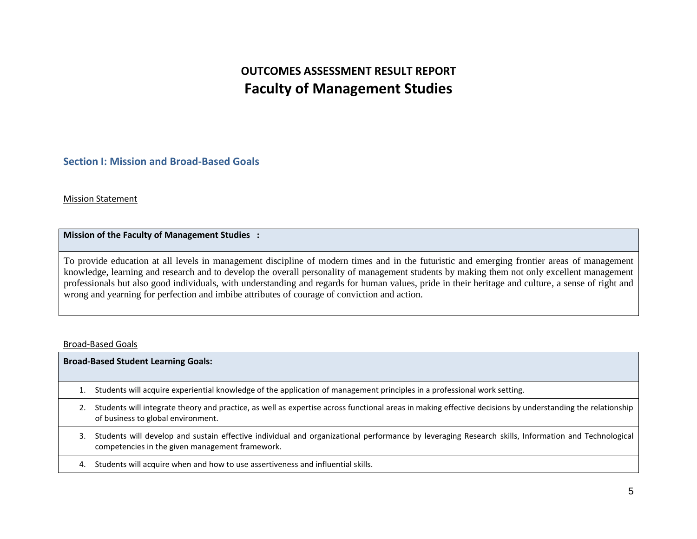# **OUTCOMES ASSESSMENT RESULT REPORT Faculty of Management Studies**

## **Section I: Mission and Broad-Based Goals**

#### Mission Statement

## **Mission of the Faculty of Management Studies :**

To provide education at all levels in management discipline of modern times and in the futuristic and emerging frontier areas of management knowledge, learning and research and to develop the overall personality of management students by making them not only excellent management professionals but also good individuals, with understanding and regards for human values, pride in their heritage and culture, a sense of right and wrong and yearning for perfection and imbibe attributes of courage of conviction and action.

#### Broad-Based Goals

## **Broad-Based Student Learning Goals:**

- 1. Students will acquire experiential knowledge of the application of management principles in a professional work setting.
- 2. Students will integrate theory and practice, as well as expertise across functional areas in making effective decisions by understanding the relationship of business to global environment.
- 3. Students will develop and sustain effective individual and organizational performance by leveraging Research skills, Information and Technological competencies in the given management framework.
- 4. Students will acquire when and how to use assertiveness and influential skills.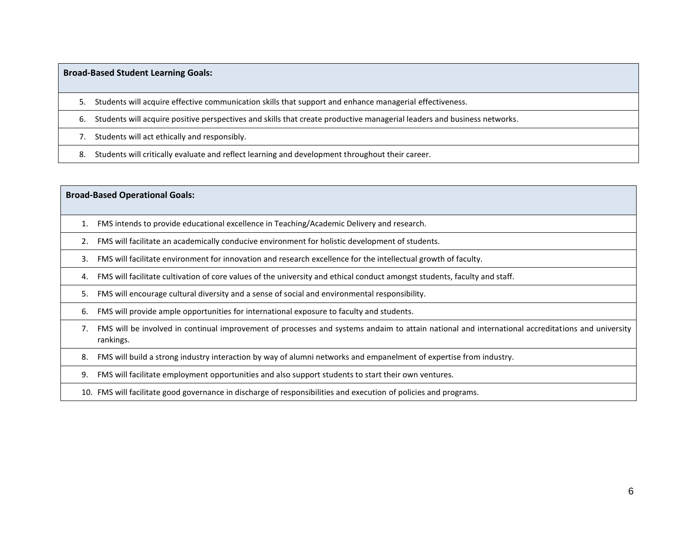### **Broad-Based Student Learning Goals:**

- 5. Students will acquire effective communication skills that support and enhance managerial effectiveness.
- 6. Students will acquire positive perspectives and skills that create productive managerial leaders and business networks.
- 7. Students will act ethically and responsibly.
- 8. Students will critically evaluate and reflect learning and development throughout their career.

|    | <b>Broad-Based Operational Goals:</b> |                                                                                                                                                               |  |  |  |  |
|----|---------------------------------------|---------------------------------------------------------------------------------------------------------------------------------------------------------------|--|--|--|--|
|    |                                       | FMS intends to provide educational excellence in Teaching/Academic Delivery and research.                                                                     |  |  |  |  |
| 2. |                                       | FMS will facilitate an academically conducive environment for holistic development of students.                                                               |  |  |  |  |
| 3. |                                       | FMS will facilitate environment for innovation and research excellence for the intellectual growth of faculty.                                                |  |  |  |  |
| 4. |                                       | FMS will facilitate cultivation of core values of the university and ethical conduct amongst students, faculty and staff.                                     |  |  |  |  |
| 5. |                                       | FMS will encourage cultural diversity and a sense of social and environmental responsibility.                                                                 |  |  |  |  |
| 6. |                                       | FMS will provide ample opportunities for international exposure to faculty and students.                                                                      |  |  |  |  |
| 7. |                                       | FMS will be involved in continual improvement of processes and systems andaim to attain national and international accreditations and university<br>rankings. |  |  |  |  |
| 8. |                                       | FMS will build a strong industry interaction by way of alumni networks and empanelment of expertise from industry.                                            |  |  |  |  |
| 9. |                                       | FMS will facilitate employment opportunities and also support students to start their own ventures.                                                           |  |  |  |  |
|    | 10.                                   | FMS will facilitate good governance in discharge of responsibilities and execution of policies and programs.                                                  |  |  |  |  |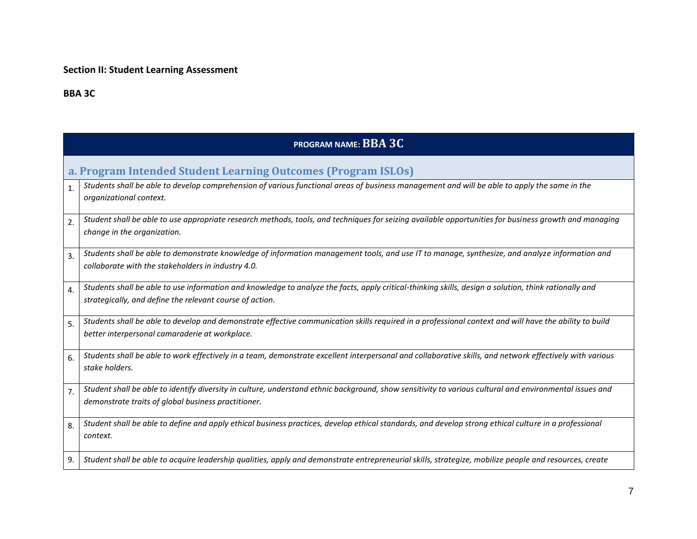## **Section II: Student Learning Assessment**

# **BBA 3C**

|                  | PROGRAM NAME: BBA 3C                                                                                                                                                                                              |  |  |  |  |  |
|------------------|-------------------------------------------------------------------------------------------------------------------------------------------------------------------------------------------------------------------|--|--|--|--|--|
|                  | a. Program Intended Student Learning Outcomes (Program ISLOs)                                                                                                                                                     |  |  |  |  |  |
| 1.               | Students shall be able to develop comprehension of various functional areas of business management and will be able to apply the same in the<br>organizational context.                                           |  |  |  |  |  |
| $\overline{2}$ . | Student shall be able to use appropriate research methods, tools, and techniques for seizing available opportunities for business growth and managing<br>change in the organization.                              |  |  |  |  |  |
| 3.               | Students shall be able to demonstrate knowledge of information management tools, and use IT to manage, synthesize, and analyze information and<br>collaborate with the stakeholders in industry 4.0.              |  |  |  |  |  |
| 4.               | Students shall be able to use information and knowledge to analyze the facts, apply critical-thinking skills, design a solution, think rationally and<br>strategically, and define the relevant course of action. |  |  |  |  |  |
| 5.               | Students shall be able to develop and demonstrate effective communication skills required in a professional context and will have the ability to build<br>better interpersonal camaraderie at workplace.          |  |  |  |  |  |
| 6.               | Students shall be able to work effectively in a team, demonstrate excellent interpersonal and collaborative skills, and network effectively with various<br>stake holders.                                        |  |  |  |  |  |
| 7.               | Student shall be able to identify diversity in culture, understand ethnic background, show sensitivity to various cultural and environmental issues and<br>demonstrate traits of global business practitioner.    |  |  |  |  |  |
| 8.               | Student shall be able to define and apply ethical business practices, develop ethical standards, and develop strong ethical culture in a professional<br>context.                                                 |  |  |  |  |  |
| 9.               | Student shall be able to acquire leadership qualities, apply and demonstrate entrepreneurial skills, strategize, mobilize people and resources, create                                                            |  |  |  |  |  |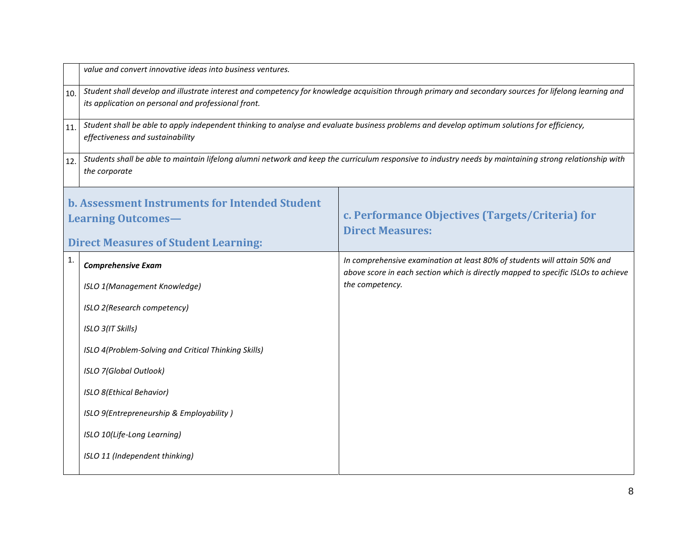|     | value and convert innovative ideas into business ventures.                                                                                                                                                    |                                                                                                                                                                                   |  |  |  |  |
|-----|---------------------------------------------------------------------------------------------------------------------------------------------------------------------------------------------------------------|-----------------------------------------------------------------------------------------------------------------------------------------------------------------------------------|--|--|--|--|
| 10. | Student shall develop and illustrate interest and competency for knowledge acquisition through primary and secondary sources for lifelong learning and<br>its application on personal and professional front. |                                                                                                                                                                                   |  |  |  |  |
| 11. | Student shall be able to apply independent thinking to analyse and evaluate business problems and develop optimum solutions for efficiency,<br>effectiveness and sustainability                               |                                                                                                                                                                                   |  |  |  |  |
| 12. | Students shall be able to maintain lifelong alumni network and keep the curriculum responsive to industry needs by maintaining strong relationship with<br>the corporate                                      |                                                                                                                                                                                   |  |  |  |  |
|     | <b>b. Assessment Instruments for Intended Student</b><br><b>Learning Outcomes-</b><br><b>Direct Measures of Student Learning:</b>                                                                             | c. Performance Objectives (Targets/Criteria) for<br><b>Direct Measures:</b>                                                                                                       |  |  |  |  |
| 1.  | <b>Comprehensive Exam</b><br>ISLO 1(Management Knowledge)                                                                                                                                                     | In comprehensive examination at least 80% of students will attain 50% and<br>above score in each section which is directly mapped to specific ISLOs to achieve<br>the competency. |  |  |  |  |
|     | ISLO 2(Research competency)                                                                                                                                                                                   |                                                                                                                                                                                   |  |  |  |  |
|     | ISLO 3(IT Skills)                                                                                                                                                                                             |                                                                                                                                                                                   |  |  |  |  |
|     | ISLO 4(Problem-Solving and Critical Thinking Skills)                                                                                                                                                          |                                                                                                                                                                                   |  |  |  |  |
|     | ISLO 7(Global Outlook)                                                                                                                                                                                        |                                                                                                                                                                                   |  |  |  |  |
|     | ISLO 8(Ethical Behavior)                                                                                                                                                                                      |                                                                                                                                                                                   |  |  |  |  |
|     | ISLO 9(Entrepreneurship & Employability)                                                                                                                                                                      |                                                                                                                                                                                   |  |  |  |  |
|     | ISLO 10(Life-Long Learning)                                                                                                                                                                                   |                                                                                                                                                                                   |  |  |  |  |
|     | ISLO 11 (Independent thinking)                                                                                                                                                                                |                                                                                                                                                                                   |  |  |  |  |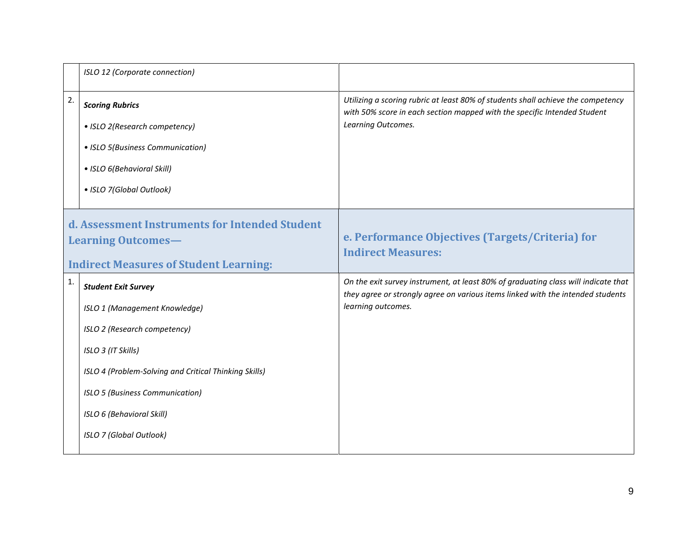|                                                                                                                              | ISLO 12 (Corporate connection)                                                                                                                                                                                                                                        |                                                                                                                                                                                             |
|------------------------------------------------------------------------------------------------------------------------------|-----------------------------------------------------------------------------------------------------------------------------------------------------------------------------------------------------------------------------------------------------------------------|---------------------------------------------------------------------------------------------------------------------------------------------------------------------------------------------|
| 2.                                                                                                                           | <b>Scoring Rubrics</b><br>• ISLO 2(Research competency)<br>• ISLO 5(Business Communication)<br>• ISLO 6(Behavioral Skill)<br>• ISLO 7(Global Outlook)                                                                                                                 | Utilizing a scoring rubric at least 80% of students shall achieve the competency<br>with 50% score in each section mapped with the specific Intended Student<br>Learning Outcomes.          |
| d. Assessment Instruments for Intended Student<br><b>Learning Outcomes-</b><br><b>Indirect Measures of Student Learning:</b> |                                                                                                                                                                                                                                                                       | e. Performance Objectives (Targets/Criteria) for<br><b>Indirect Measures:</b>                                                                                                               |
| 1.                                                                                                                           | <b>Student Exit Survey</b><br>ISLO 1 (Management Knowledge)<br>ISLO 2 (Research competency)<br>ISLO 3 (IT Skills)<br>ISLO 4 (Problem-Solving and Critical Thinking Skills)<br>ISLO 5 (Business Communication)<br>ISLO 6 (Behavioral Skill)<br>ISLO 7 (Global Outlook) | On the exit survey instrument, at least 80% of graduating class will indicate that<br>they agree or strongly agree on various items linked with the intended students<br>learning outcomes. |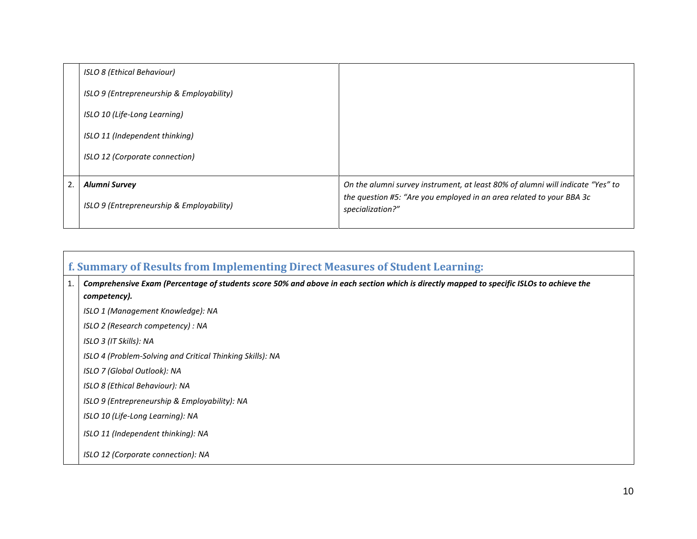|    | ISLO 8 (Ethical Behaviour)                |                                                                                          |
|----|-------------------------------------------|------------------------------------------------------------------------------------------|
|    | ISLO 9 (Entrepreneurship & Employability) |                                                                                          |
|    | ISLO 10 (Life-Long Learning)              |                                                                                          |
|    | ISLO 11 (Independent thinking)            |                                                                                          |
|    | ISLO 12 (Corporate connection)            |                                                                                          |
|    |                                           |                                                                                          |
| 2. | <b>Alumni Survey</b>                      | On the alumni survey instrument, at least 80% of alumni will indicate "Yes" to           |
|    | ISLO 9 (Entrepreneurship & Employability) | the question #5: "Are you employed in an area related to your BBA 3c<br>specialization?" |

| f. Summary of Results from Implementing Direct Measures of Student Learning: |                                                                                                                                                          |  |  |  |  |  |
|------------------------------------------------------------------------------|----------------------------------------------------------------------------------------------------------------------------------------------------------|--|--|--|--|--|
| 1.                                                                           | Comprehensive Exam (Percentage of students score 50% and above in each section which is directly mapped to specific ISLOs to achieve the<br>competency). |  |  |  |  |  |
|                                                                              | ISLO 1 (Management Knowledge): NA                                                                                                                        |  |  |  |  |  |
|                                                                              | ISLO 2 (Research competency) : NA                                                                                                                        |  |  |  |  |  |
|                                                                              | ISLO 3 (IT Skills): NA                                                                                                                                   |  |  |  |  |  |
|                                                                              | ISLO 4 (Problem-Solving and Critical Thinking Skills): NA                                                                                                |  |  |  |  |  |
|                                                                              | ISLO 7 (Global Outlook): NA                                                                                                                              |  |  |  |  |  |
|                                                                              | ISLO 8 (Ethical Behaviour): NA                                                                                                                           |  |  |  |  |  |
|                                                                              | ISLO 9 (Entrepreneurship & Employability): NA                                                                                                            |  |  |  |  |  |
|                                                                              | ISLO 10 (Life-Long Learning): NA                                                                                                                         |  |  |  |  |  |
|                                                                              | ISLO 11 (Independent thinking): NA                                                                                                                       |  |  |  |  |  |
|                                                                              | ISLO 12 (Corporate connection): NA                                                                                                                       |  |  |  |  |  |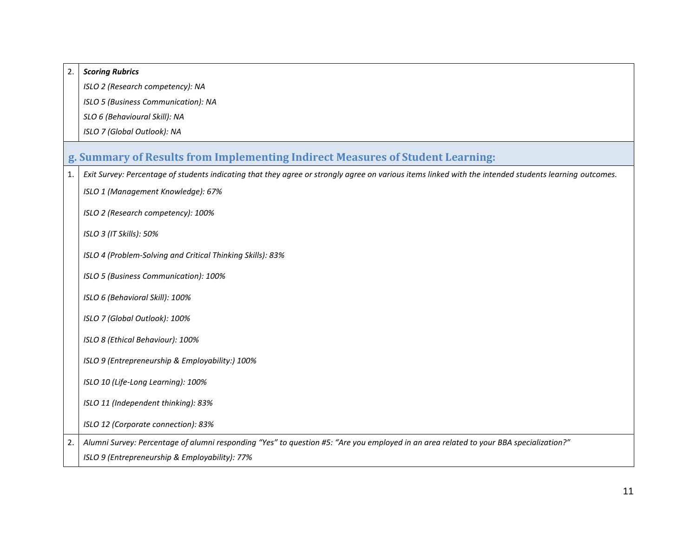# 2. *Scoring Rubrics ISLO 2 (Research competency): NA ISLO 5 (Business Communication): NA SLO 6 (Behavioural Skill): NA ISLO 7 (Global Outlook): NA* **g. Summary of Results from Implementing Indirect Measures of Student Learning:** 1. *Exit Survey: Percentage of students indicating that they agree or strongly agree on various items linked with the intended students learning outcomes. ISLO 1 (Management Knowledge): 67% ISLO 2 (Research competency): 100% ISLO 3 (IT Skills): 50% ISLO 4 (Problem-Solving and Critical Thinking Skills): 83% ISLO 5 (Business Communication): 100% ISLO 6 (Behavioral Skill): 100% ISLO 7 (Global Outlook): 100% ISLO 8 (Ethical Behaviour): 100% ISLO 9 (Entrepreneurship & Employability:) 100% ISLO 10 (Life-Long Learning): 100% ISLO 11 (Independent thinking): 83% ISLO 12 (Corporate connection): 83%* 2. *Alumni Survey: Percentage of alumni responding "Yes" to question #5: "Are you employed in an area related to your BBA specialization?" ISLO 9 (Entrepreneurship & Employability): 77%*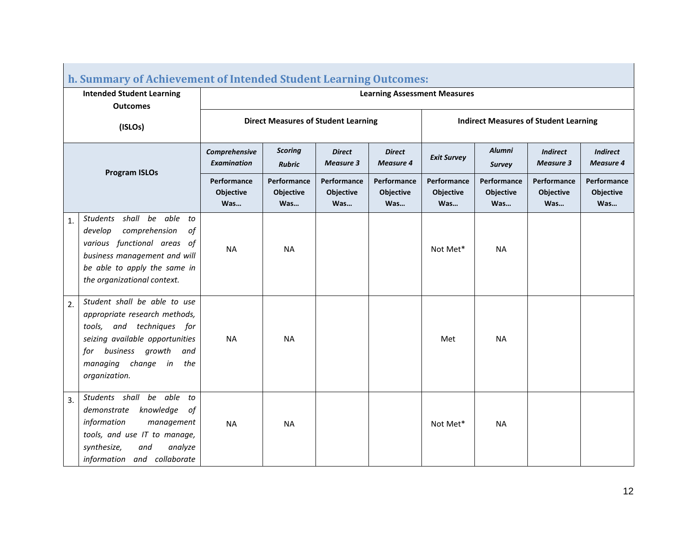| h. Summary of Achievement of Intended Student Learning Outcomes:                                                                                                                                                |                                            |                                        |                                        |                                   |                                              |                                 |                                     |                                        |
|-----------------------------------------------------------------------------------------------------------------------------------------------------------------------------------------------------------------|--------------------------------------------|----------------------------------------|----------------------------------------|-----------------------------------|----------------------------------------------|---------------------------------|-------------------------------------|----------------------------------------|
| <b>Intended Student Learning</b>                                                                                                                                                                                | <b>Learning Assessment Measures</b>        |                                        |                                        |                                   |                                              |                                 |                                     |                                        |
| <b>Outcomes</b>                                                                                                                                                                                                 |                                            |                                        |                                        |                                   |                                              |                                 |                                     |                                        |
| (ISLOs)                                                                                                                                                                                                         | <b>Direct Measures of Student Learning</b> |                                        |                                        |                                   | <b>Indirect Measures of Student Learning</b> |                                 |                                     |                                        |
| <b>Program ISLOs</b>                                                                                                                                                                                            | Comprehensive<br><b>Examination</b>        | <b>Scoring</b><br><b>Rubric</b>        | <b>Direct</b><br><b>Measure 3</b>      | <b>Direct</b><br><b>Measure 4</b> | <b>Exit Survey</b>                           | <b>Alumni</b><br><b>Survey</b>  | <b>Indirect</b><br><b>Measure 3</b> | <b>Indirect</b><br><b>Measure 4</b>    |
|                                                                                                                                                                                                                 | Performance<br>Objective<br>Was            | Performance<br><b>Objective</b><br>Was | Performance<br><b>Objective</b><br>Was | Performance<br>Objective<br>Was   | Performance<br><b>Objective</b><br>Was       | Performance<br>Objective<br>Was | Performance<br>Objective<br>Was     | Performance<br><b>Objective</b><br>Was |
| Students shall be able<br>to<br>1.<br>comprehension<br>develop<br>of<br>various functional areas of<br>business management and will<br>be able to apply the same in<br>the organizational context.              | <b>NA</b>                                  | <b>NA</b>                              |                                        |                                   | Not Met*                                     | <b>NA</b>                       |                                     |                                        |
| Student shall be able to use<br>2.<br>appropriate research methods,<br>tools, and techniques for<br>seizing available opportunities<br>for business growth<br>and<br>managing change in<br>the<br>organization. | <b>NA</b>                                  | <b>NA</b>                              |                                        |                                   | Met                                          | <b>NA</b>                       |                                     |                                        |
| Students shall be able to<br>3.<br>demonstrate<br>knowledge of<br>information<br>management<br>tools, and use IT to manage,<br>synthesize,<br>analyze<br>and<br>information and collaborate                     | <b>NA</b>                                  | <b>NA</b>                              |                                        |                                   | Not Met*                                     | <b>NA</b>                       |                                     |                                        |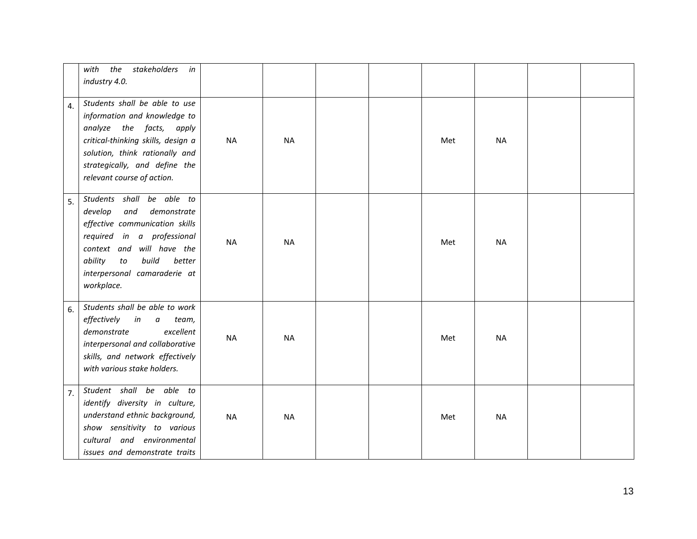|                  | the<br>stakeholders<br>with<br>in<br>industry 4.0.                                                                                                                                                                                        |           |           |  |     |           |  |
|------------------|-------------------------------------------------------------------------------------------------------------------------------------------------------------------------------------------------------------------------------------------|-----------|-----------|--|-----|-----------|--|
| $\overline{4}$ . | Students shall be able to use<br>information and knowledge to<br>analyze the facts, apply<br>critical-thinking skills, design a<br>solution, think rationally and<br>strategically, and define the<br>relevant course of action.          | <b>NA</b> | <b>NA</b> |  | Met | <b>NA</b> |  |
| 5 <sub>1</sub>   | Students shall be able to<br>develop<br>and<br>demonstrate<br>effective communication skills<br>required in a professional<br>context and will have the<br>build<br>better<br>ability<br>to<br>interpersonal camaraderie at<br>workplace. | <b>NA</b> | <b>NA</b> |  | Met | <b>NA</b> |  |
| 6.               | Students shall be able to work<br>effectively<br>in<br>team,<br>$\alpha$<br>demonstrate<br>excellent<br>interpersonal and collaborative<br>skills, and network effectively<br>with various stake holders.                                 | <b>NA</b> | <b>NA</b> |  | Met | <b>NA</b> |  |
| $\overline{7}$ . | Student shall be able to<br>identify diversity in culture,<br>understand ethnic background,<br>show sensitivity to various<br>cultural and environmental<br>issues and demonstrate traits                                                 | <b>NA</b> | <b>NA</b> |  | Met | <b>NA</b> |  |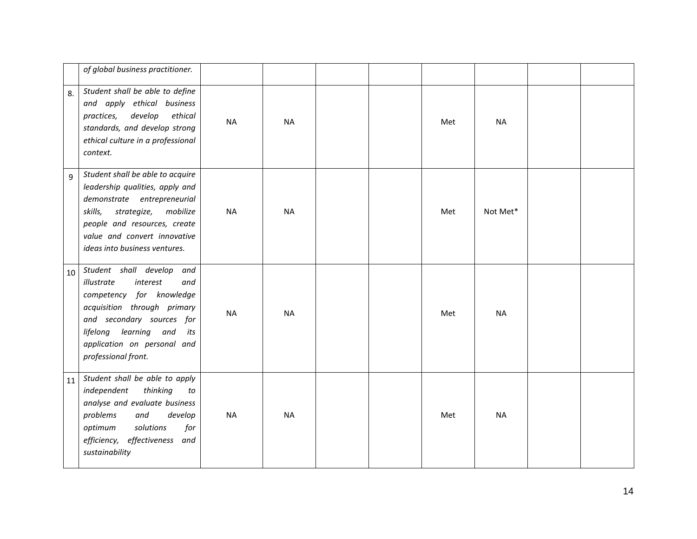|    | of global business practitioner.                                                                                                                                                                                                          |           |           |  |     |           |  |
|----|-------------------------------------------------------------------------------------------------------------------------------------------------------------------------------------------------------------------------------------------|-----------|-----------|--|-----|-----------|--|
| 8. | Student shall be able to define<br>and apply ethical business<br>develop<br>ethical<br>practices,<br>standards, and develop strong<br>ethical culture in a professional<br>context.                                                       | <b>NA</b> | <b>NA</b> |  | Met | <b>NA</b> |  |
| 9  | Student shall be able to acquire<br>leadership qualities, apply and<br>demonstrate entrepreneurial<br>strategize,<br>mobilize<br>skills,<br>people and resources, create<br>value and convert innovative<br>ideas into business ventures. | <b>NA</b> | <b>NA</b> |  | Met | Not Met*  |  |
| 10 | Student shall develop and<br>illustrate<br>interest<br>and<br>competency for knowledge<br>acquisition through primary<br>and secondary sources for<br>lifelong learning and<br>its<br>application on personal and<br>professional front.  | <b>NA</b> | <b>NA</b> |  | Met | <b>NA</b> |  |
| 11 | Student shall be able to apply<br>independent<br>thinking<br>to<br>analyse and evaluate business<br>problems<br>and<br>develop<br>optimum<br>solutions<br>for<br>efficiency, effectiveness and<br>sustainability                          | <b>NA</b> | <b>NA</b> |  | Met | <b>NA</b> |  |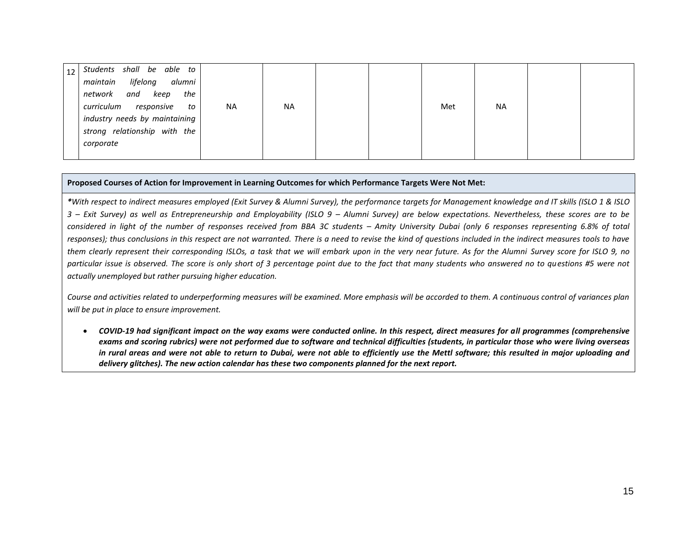| 12 | Students shall be able to<br>maintain lifelong<br>alumni<br>network and<br>keep<br>the<br>curriculum responsive<br>to<br>industry needs by maintaining<br>strong relationship with the<br>corporate | <b>NA</b> | <b>NA</b> |  |  | Met | <b>NA</b> |  |  |
|----|-----------------------------------------------------------------------------------------------------------------------------------------------------------------------------------------------------|-----------|-----------|--|--|-----|-----------|--|--|
|----|-----------------------------------------------------------------------------------------------------------------------------------------------------------------------------------------------------|-----------|-----------|--|--|-----|-----------|--|--|

#### **Proposed Courses of Action for Improvement in Learning Outcomes for which Performance Targets Were Not Met:**

*\*With respect to indirect measures employed (Exit Survey & Alumni Survey), the performance targets for Management knowledge and IT skills (ISLO 1 & ISLO 3 – Exit Survey) as well as Entrepreneurship and Employability (ISLO 9 – Alumni Survey) are below expectations. Nevertheless, these scores are to be*  considered in light of the number of responses received from BBA 3C students – Amity University Dubai (only 6 responses representing 6.8% of total *responses); thus conclusions in this respect are not warranted. There is a need to revise the kind of questions included in the indirect measures tools to have them clearly represent their corresponding ISLOs, a task that we will embark upon in the very near future. As for the Alumni Survey score for ISLO 9, no particular issue is observed. The score is only short of 3 percentage point due to the fact that many students who answered no to questions #5 were not actually unemployed but rather pursuing higher education.*

*Course and activities related to underperforming measures will be examined. More emphasis will be accorded to them. A continuous control of variances plan will be put in place to ensure improvement.*

• *COVID-19 had significant impact on the way exams were conducted online. In this respect, direct measures for all programmes (comprehensive exams and scoring rubrics) were not performed due to software and technical difficulties (students, in particular those who were living overseas in rural areas and were not able to return to Dubai, were not able to efficiently use the Mettl software; this resulted in major uploading and delivery glitches). The new action calendar has these two components planned for the next report.*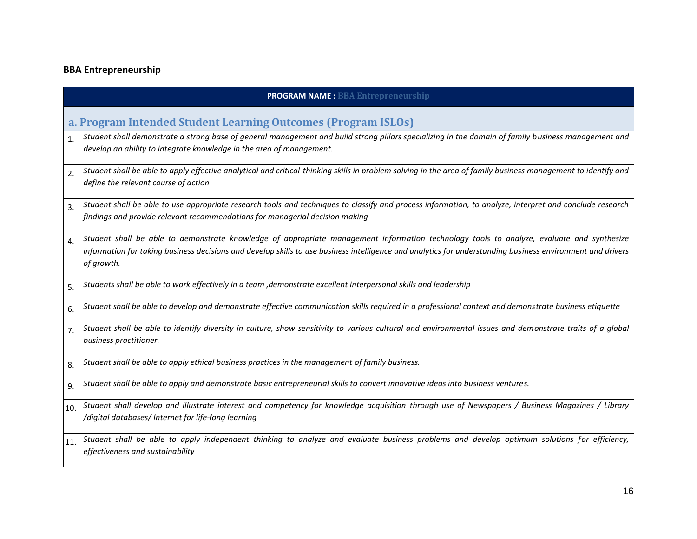# **BBA Entrepreneurship**

|                  | <b>PROGRAM NAME: BBA Entrepreneurship</b>                                                                                                                                                                                                                                                                             |
|------------------|-----------------------------------------------------------------------------------------------------------------------------------------------------------------------------------------------------------------------------------------------------------------------------------------------------------------------|
|                  | a. Program Intended Student Learning Outcomes (Program ISLOs)                                                                                                                                                                                                                                                         |
| 1 <sub>1</sub>   | Student shall demonstrate a strong base of general management and build strong pillars specializing in the domain of family business management and<br>develop an ability to integrate knowledge in the area of management.                                                                                           |
| $\overline{2}$ . | Student shall be able to apply effective analytical and critical-thinking skills in problem solving in the area of family business management to identify and<br>define the relevant course of action.                                                                                                                |
| 3.               | Student shall be able to use appropriate research tools and techniques to classify and process information, to analyze, interpret and conclude research<br>findings and provide relevant recommendations for managerial decision making                                                                               |
| $\mathbf{4}$     | Student shall be able to demonstrate knowledge of appropriate management information technology tools to analyze, evaluate and synthesize<br>information for taking business decisions and develop skills to use business intelligence and analytics for understanding business environment and drivers<br>of growth. |
| 5.               | Students shall be able to work effectively in a team , demonstrate excellent interpersonal skills and leadership                                                                                                                                                                                                      |
| 6.               | Student shall be able to develop and demonstrate effective communication skills required in a professional context and demonstrate business etiquette                                                                                                                                                                 |
| 7.               | Student shall be able to identify diversity in culture, show sensitivity to various cultural and environmental issues and demonstrate traits of a global<br>business practitioner.                                                                                                                                    |
| 8.               | Student shall be able to apply ethical business practices in the management of family business.                                                                                                                                                                                                                       |
| 9.               | Student shall be able to apply and demonstrate basic entrepreneurial skills to convert innovative ideas into business ventures.                                                                                                                                                                                       |
| 10.              | Student shall develop and illustrate interest and competency for knowledge acquisition through use of Newspapers / Business Magazines / Library<br>/digital databases/ Internet for life-long learning                                                                                                                |
| 11.              | Student shall be able to apply independent thinking to analyze and evaluate business problems and develop optimum solutions for efficiency,<br>effectiveness and sustainability                                                                                                                                       |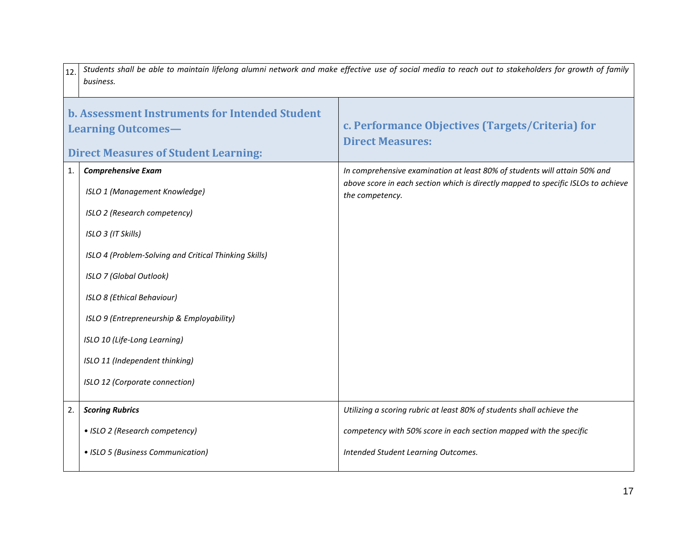| 12. | Students shall be able to maintain lifelong alumni network and make effective use of social media to reach out to stakeholders for growth of family<br>business. |                                                                                                                                                                                   |  |  |  |  |  |  |  |
|-----|------------------------------------------------------------------------------------------------------------------------------------------------------------------|-----------------------------------------------------------------------------------------------------------------------------------------------------------------------------------|--|--|--|--|--|--|--|
|     | <b>b. Assessment Instruments for Intended Student</b><br><b>Learning Outcomes-</b><br><b>Direct Measures of Student Learning:</b>                                | c. Performance Objectives (Targets/Criteria) for<br><b>Direct Measures:</b>                                                                                                       |  |  |  |  |  |  |  |
| 1.  | <b>Comprehensive Exam</b><br>ISLO 1 (Management Knowledge)<br>ISLO 2 (Research competency)                                                                       | In comprehensive examination at least 80% of students will attain 50% and<br>above score in each section which is directly mapped to specific ISLOs to achieve<br>the competency. |  |  |  |  |  |  |  |
|     | ISLO 3 (IT Skills)<br>ISLO 4 (Problem-Solving and Critical Thinking Skills)                                                                                      |                                                                                                                                                                                   |  |  |  |  |  |  |  |
|     | ISLO 7 (Global Outlook)<br>ISLO 8 (Ethical Behaviour)                                                                                                            |                                                                                                                                                                                   |  |  |  |  |  |  |  |
|     | ISLO 9 (Entrepreneurship & Employability)<br>ISLO 10 (Life-Long Learning)                                                                                        |                                                                                                                                                                                   |  |  |  |  |  |  |  |
|     | ISLO 11 (Independent thinking)<br>ISLO 12 (Corporate connection)                                                                                                 |                                                                                                                                                                                   |  |  |  |  |  |  |  |
| 2.  | <b>Scoring Rubrics</b>                                                                                                                                           | Utilizing a scoring rubric at least 80% of students shall achieve the                                                                                                             |  |  |  |  |  |  |  |
|     | • ISLO 2 (Research competency)                                                                                                                                   | competency with 50% score in each section mapped with the specific                                                                                                                |  |  |  |  |  |  |  |
|     | • ISLO 5 (Business Communication)                                                                                                                                | Intended Student Learning Outcomes.                                                                                                                                               |  |  |  |  |  |  |  |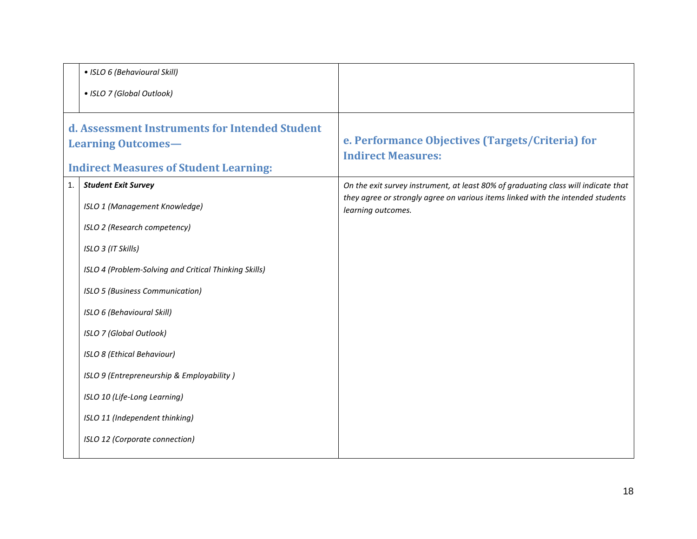|    | • ISLO 6 (Behavioural Skill)                                                                                                 |                                                                                                                                                                                             |
|----|------------------------------------------------------------------------------------------------------------------------------|---------------------------------------------------------------------------------------------------------------------------------------------------------------------------------------------|
|    | • ISLO 7 (Global Outlook)                                                                                                    |                                                                                                                                                                                             |
|    | d. Assessment Instruments for Intended Student<br><b>Learning Outcomes-</b><br><b>Indirect Measures of Student Learning:</b> | e. Performance Objectives (Targets/Criteria) for<br><b>Indirect Measures:</b>                                                                                                               |
| 1. | <b>Student Exit Survey</b><br>ISLO 1 (Management Knowledge)                                                                  | On the exit survey instrument, at least 80% of graduating class will indicate that<br>they agree or strongly agree on various items linked with the intended students<br>learning outcomes. |
|    | ISLO 2 (Research competency)                                                                                                 |                                                                                                                                                                                             |
|    | ISLO 3 (IT Skills)                                                                                                           |                                                                                                                                                                                             |
|    | ISLO 4 (Problem-Solving and Critical Thinking Skills)                                                                        |                                                                                                                                                                                             |
|    | ISLO 5 (Business Communication)                                                                                              |                                                                                                                                                                                             |
|    | ISLO 6 (Behavioural Skill)                                                                                                   |                                                                                                                                                                                             |
|    | ISLO 7 (Global Outlook)                                                                                                      |                                                                                                                                                                                             |
|    | ISLO 8 (Ethical Behaviour)                                                                                                   |                                                                                                                                                                                             |
|    | ISLO 9 (Entrepreneurship & Employability)                                                                                    |                                                                                                                                                                                             |
|    | ISLO 10 (Life-Long Learning)                                                                                                 |                                                                                                                                                                                             |
|    | ISLO 11 (Independent thinking)                                                                                               |                                                                                                                                                                                             |
|    | ISLO 12 (Corporate connection)                                                                                               |                                                                                                                                                                                             |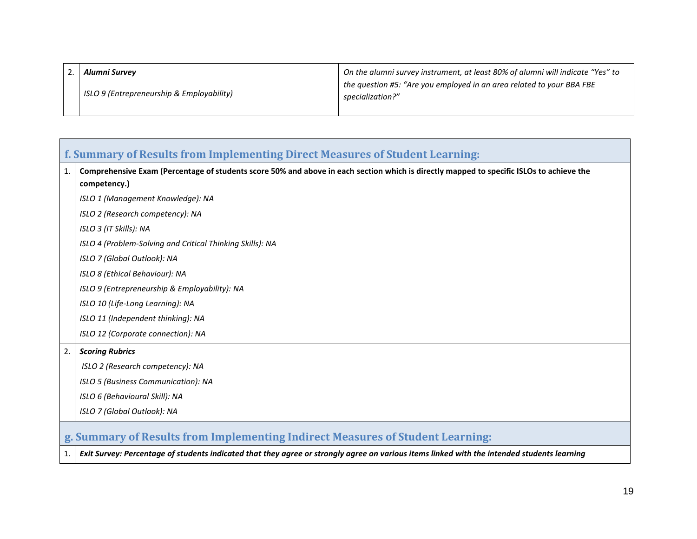| Alumni Survev                             | On the alumni survey instrument, at least 80% of alumni will indicate "Yes" to            |
|-------------------------------------------|-------------------------------------------------------------------------------------------|
| ISLO 9 (Entrepreneurship & Employability) | the question #5: "Are you employed in an area related to your BBA FBE<br>specialization?" |

|    | f. Summary of Results from Implementing Direct Measures of Student Learning:                                                                             |  |  |  |  |  |  |
|----|----------------------------------------------------------------------------------------------------------------------------------------------------------|--|--|--|--|--|--|
| 1. | Comprehensive Exam (Percentage of students score 50% and above in each section which is directly mapped to specific ISLOs to achieve the<br>competency.) |  |  |  |  |  |  |
|    | ISLO 1 (Management Knowledge): NA                                                                                                                        |  |  |  |  |  |  |
|    | ISLO 2 (Research competency): NA                                                                                                                         |  |  |  |  |  |  |
|    | ISLO 3 (IT Skills): NA                                                                                                                                   |  |  |  |  |  |  |
|    | ISLO 4 (Problem-Solving and Critical Thinking Skills): NA                                                                                                |  |  |  |  |  |  |
|    | ISLO 7 (Global Outlook): NA                                                                                                                              |  |  |  |  |  |  |
|    | ISLO 8 (Ethical Behaviour): NA                                                                                                                           |  |  |  |  |  |  |
|    | ISLO 9 (Entrepreneurship & Employability): NA                                                                                                            |  |  |  |  |  |  |
|    | ISLO 10 (Life-Long Learning): NA                                                                                                                         |  |  |  |  |  |  |
|    | ISLO 11 (Independent thinking): NA                                                                                                                       |  |  |  |  |  |  |
|    | ISLO 12 (Corporate connection): NA                                                                                                                       |  |  |  |  |  |  |
| 2. | <b>Scoring Rubrics</b>                                                                                                                                   |  |  |  |  |  |  |
|    | ISLO 2 (Research competency): NA                                                                                                                         |  |  |  |  |  |  |
|    | ISLO 5 (Business Communication): NA                                                                                                                      |  |  |  |  |  |  |
|    | ISLO 6 (Behavioural Skill): NA                                                                                                                           |  |  |  |  |  |  |
|    | ISLO 7 (Global Outlook): NA                                                                                                                              |  |  |  |  |  |  |
|    | g. Summary of Results from Implementing Indirect Measures of Student Learning:                                                                           |  |  |  |  |  |  |
|    | Exit Survey: Percentage of students indicated that they agree or strongly agree on various items linked with the intended students learning              |  |  |  |  |  |  |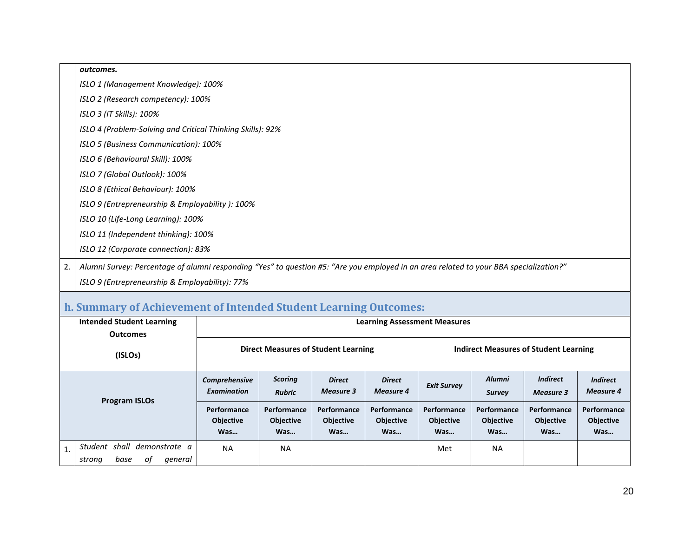|    | outcomes.                                                                                                                              |
|----|----------------------------------------------------------------------------------------------------------------------------------------|
|    | ISLO 1 (Management Knowledge): 100%                                                                                                    |
|    | ISLO 2 (Research competency): 100%                                                                                                     |
|    | ISLO 3 (IT Skills): 100%                                                                                                               |
|    | ISLO 4 (Problem-Solving and Critical Thinking Skills): 92%                                                                             |
|    | ISLO 5 (Business Communication): 100%                                                                                                  |
|    | ISLO 6 (Behavioural Skill): 100%                                                                                                       |
|    | ISLO 7 (Global Outlook): 100%                                                                                                          |
|    | ISLO 8 (Ethical Behaviour): 100%                                                                                                       |
|    | ISLO 9 (Entrepreneurship & Employability): 100%                                                                                        |
|    | ISLO 10 (Life-Long Learning): 100%                                                                                                     |
|    | ISLO 11 (Independent thinking): 100%                                                                                                   |
|    | ISLO 12 (Corporate connection): 83%                                                                                                    |
| 2. | Alumni Survey: Percentage of alumni responding "Yes" to question #5: "Are you employed in an area related to your BBA specialization?" |
|    | ISLO 9 (Entrepreneurship & Employability): 77%                                                                                         |

# **h. Summary of Achievement of Intended Student Learning Outcomes:**

| <b>Intended Student Learning</b><br><b>Outcomes</b><br>(ISLO <sub>s</sub> ) |                                                                   | <b>Learning Assessment Measures</b>        |                                            |                                        |                                        |                                              |                                        |                                        |                                        |  |  |
|-----------------------------------------------------------------------------|-------------------------------------------------------------------|--------------------------------------------|--------------------------------------------|----------------------------------------|----------------------------------------|----------------------------------------------|----------------------------------------|----------------------------------------|----------------------------------------|--|--|
|                                                                             |                                                                   |                                            | <b>Direct Measures of Student Learning</b> |                                        |                                        | <b>Indirect Measures of Student Learning</b> |                                        |                                        |                                        |  |  |
| <b>Program ISLOs</b>                                                        |                                                                   | <b>Comprehensive</b><br><b>Examination</b> | <b>Scoring</b><br><b>Rubric</b>            | <b>Direct</b><br><b>Measure 3</b>      | <b>Direct</b><br><b>Measure 4</b>      | <b>Exit Survey</b>                           | <b>Alumni</b><br><b>Survey</b>         | <b>Indirect</b><br>Measure 3           | <b>Indirect</b><br><b>Measure 4</b>    |  |  |
|                                                                             |                                                                   | Performance<br><b>Objective</b><br>Was     | Performance<br><b>Objective</b><br>Was     | Performance<br><b>Objective</b><br>Was | Performance<br><b>Objective</b><br>Was | Performance<br><b>Objective</b><br>Was       | Performance<br><b>Objective</b><br>Was | Performance<br><b>Objective</b><br>Was | Performance<br><b>Objective</b><br>Was |  |  |
| 1.                                                                          | Student<br>shall demonstrate a<br>strona<br>base<br>оt<br>general | <b>NA</b>                                  | <b>NA</b>                                  |                                        |                                        | Met                                          | <b>NA</b>                              |                                        |                                        |  |  |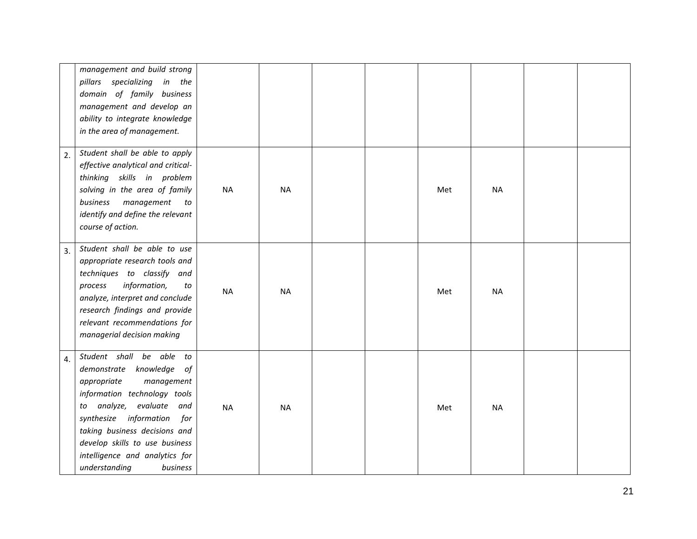|    | management and build strong<br>pillars specializing in the<br>domain of family business<br>management and develop an<br>ability to integrate knowledge<br>in the area of management.                                                                                                                                |           |           |  |     |           |  |
|----|---------------------------------------------------------------------------------------------------------------------------------------------------------------------------------------------------------------------------------------------------------------------------------------------------------------------|-----------|-----------|--|-----|-----------|--|
| 2. | Student shall be able to apply<br>effective analytical and critical-<br>thinking skills in problem<br>solving in the area of family<br>management<br>business<br>to<br>identify and define the relevant<br>course of action.                                                                                        | <b>NA</b> | <b>NA</b> |  | Met | <b>NA</b> |  |
| 3. | Student shall be able to use<br>appropriate research tools and<br>techniques to classify and<br>information,<br>process<br>to<br>analyze, interpret and conclude<br>research findings and provide<br>relevant recommendations for<br>managerial decision making                                                     | <b>NA</b> | <b>NA</b> |  | Met | <b>NA</b> |  |
| 4. | Student shall be able to<br>demonstrate knowledge of<br>management<br>appropriate<br>information technology tools<br>evaluate and<br>to analyze,<br>synthesize information<br>for<br>taking business decisions and<br>develop skills to use business<br>intelligence and analytics for<br>understanding<br>business | <b>NA</b> | <b>NA</b> |  | Met | <b>NA</b> |  |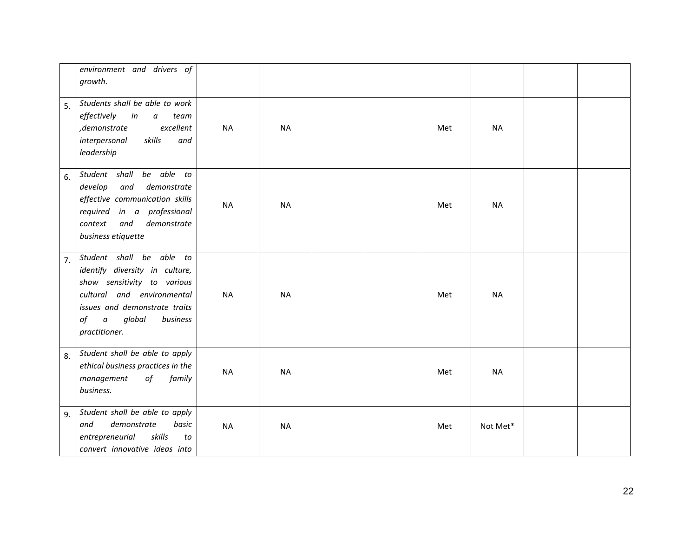|    | environment and drivers of<br>growth.                                                                                                                                                                           |           |           |  |     |           |  |
|----|-----------------------------------------------------------------------------------------------------------------------------------------------------------------------------------------------------------------|-----------|-----------|--|-----|-----------|--|
| 5. | Students shall be able to work<br>effectively in<br>$\it a$<br>team<br>excellent<br>, demonstrate<br>interpersonal<br>skills<br>and<br>leadership                                                               | <b>NA</b> | <b>NA</b> |  | Met | <b>NA</b> |  |
| 6. | Student shall be able to<br>develop<br>and<br>demonstrate<br>effective communication skills<br>required in a professional<br>demonstrate<br>context<br>and<br>business etiquette                                | <b>NA</b> | <b>NA</b> |  | Met | <b>NA</b> |  |
| 7. | Student shall be able to<br>identify diversity in culture,<br>show sensitivity to various<br>cultural and environmental<br>issues and demonstrate traits<br>$of \quad a$<br>global<br>business<br>practitioner. | <b>NA</b> | <b>NA</b> |  | Met | <b>NA</b> |  |
| 8. | Student shall be able to apply<br>ethical business practices in the<br>management<br>of<br>family<br>business.                                                                                                  | <b>NA</b> | <b>NA</b> |  | Met | <b>NA</b> |  |
| 9. | Student shall be able to apply<br>and<br>demonstrate<br>basic<br>skills<br>entrepreneurial<br>to<br>convert innovative ideas into                                                                               | <b>NA</b> | <b>NA</b> |  | Met | Not Met*  |  |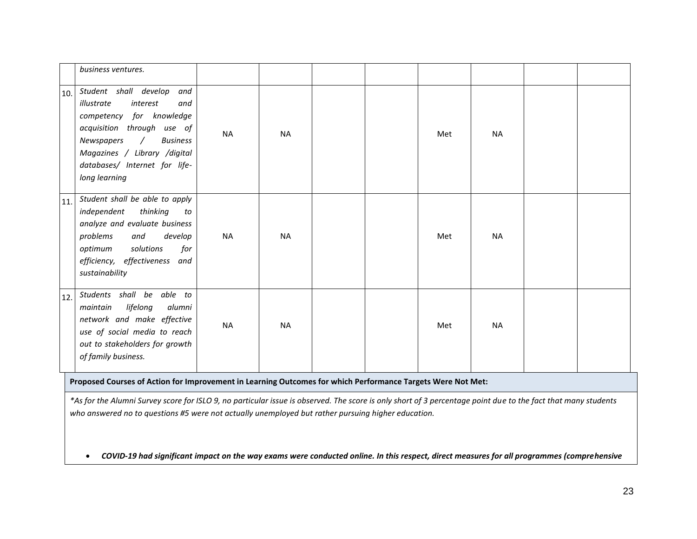|     | business ventures.                                                                                                                                                                                                                                       |           |           |  |     |           |  |
|-----|----------------------------------------------------------------------------------------------------------------------------------------------------------------------------------------------------------------------------------------------------------|-----------|-----------|--|-----|-----------|--|
| 10. | Student shall develop<br>and<br>interest<br>illustrate<br>and<br>competency for knowledge<br>acquisition through use of<br><b>Business</b><br>Newspapers<br>$\sqrt{2}$<br>Magazines / Library /digital<br>databases/ Internet for life-<br>long learning | <b>NA</b> | <b>NA</b> |  | Met | <b>NA</b> |  |
| 11. | Student shall be able to apply<br>independent<br>thinking<br>to<br>analyze and evaluate business<br>problems<br>and<br>develop<br>optimum<br>solutions<br>for<br>efficiency, effectiveness<br>and<br>sustainability                                      | <b>NA</b> | <b>NA</b> |  | Met | <b>NA</b> |  |
| 12. | Students shall be able to<br>lifelong<br>alumni<br>maintain<br>network and make effective<br>use of social media to reach<br>out to stakeholders for growth<br>of family business.                                                                       | <b>NA</b> | <b>NA</b> |  | Met | <b>NA</b> |  |

**Proposed Courses of Action for Improvement in Learning Outcomes for which Performance Targets Were Not Met:**

*\*As for the Alumni Survey score for ISLO 9, no particular issue is observed. The score is only short of 3 percentage point due to the fact that many students who answered no to questions #5 were not actually unemployed but rather pursuing higher education.*

• *COVID-19 had significant impact on the way exams were conducted online. In this respect, direct measures for all programmes (comprehensive*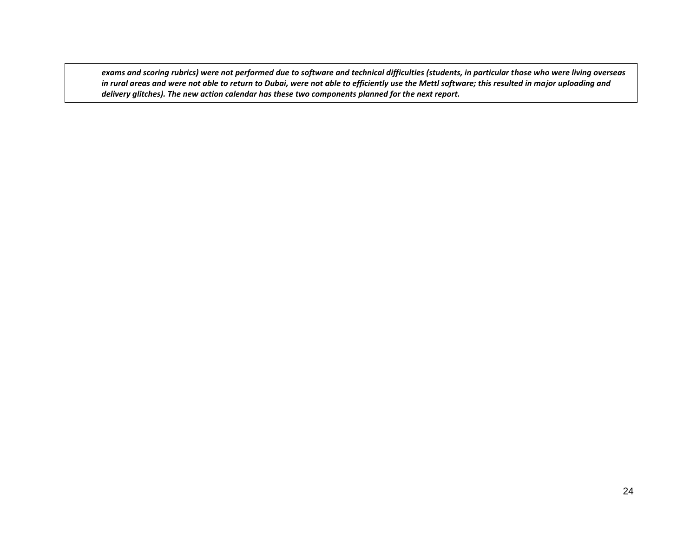*exams and scoring rubrics) were not performed due to software and technical difficulties (students, in particular those who were living overseas in rural areas and were not able to return to Dubai, were not able to efficiently use the Mettl software; this resulted in major uploading and delivery glitches). The new action calendar has these two components planned for the next report.*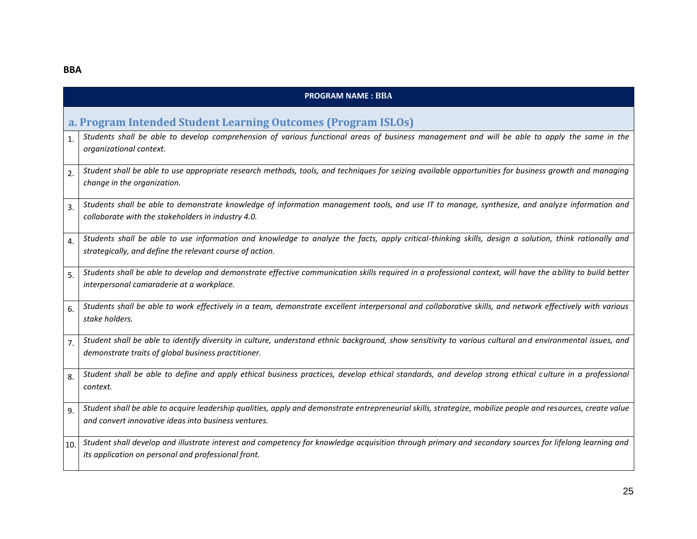|                  | <b>PROGRAM NAME: BBA</b>                                                                                                                                                                                             |  |  |  |  |  |  |  |  |
|------------------|----------------------------------------------------------------------------------------------------------------------------------------------------------------------------------------------------------------------|--|--|--|--|--|--|--|--|
|                  | a. Program Intended Student Learning Outcomes (Program ISLOs)                                                                                                                                                        |  |  |  |  |  |  |  |  |
| 1 <sub>1</sub>   | Students shall be able to develop comprehension of various functional areas of business management and will be able to apply the same in the<br>organizational context.                                              |  |  |  |  |  |  |  |  |
| $\mathfrak{D}$ . | Student shall be able to use appropriate research methods, tools, and techniques for seizing available opportunities for business growth and managing<br>change in the organization.                                 |  |  |  |  |  |  |  |  |
| $\overline{3}$ . | Students shall be able to demonstrate knowledge of information management tools, and use IT to manage, synthesize, and analyze information and<br>collaborate with the stakeholders in industry 4.0.                 |  |  |  |  |  |  |  |  |
| 4.               | Students shall be able to use information and knowledge to analyze the facts, apply critical-thinking skills, design a solution, think rationally and<br>strategically, and define the relevant course of action.    |  |  |  |  |  |  |  |  |
| 5.               | Students shall be able to develop and demonstrate effective communication skills required in a professional context, will have the ability to build better<br>interpersonal camaraderie at a workplace.              |  |  |  |  |  |  |  |  |
| 6.               | Students shall be able to work effectively in a team, demonstrate excellent interpersonal and collaborative skills, and network effectively with various<br>stake holders.                                           |  |  |  |  |  |  |  |  |
| $\overline{7}$ . | Student shall be able to identify diversity in culture, understand ethnic background, show sensitivity to various cultural and environmental issues, and<br>demonstrate traits of global business practitioner.      |  |  |  |  |  |  |  |  |
| 8.               | Student shall be able to define and apply ethical business practices, develop ethical standards, and develop strong ethical culture in a professional<br>context.                                                    |  |  |  |  |  |  |  |  |
| 9.               | Student shall be able to acquire leadership qualities, apply and demonstrate entrepreneurial skills, strategize, mobilize people and resources, create value<br>and convert innovative ideas into business ventures. |  |  |  |  |  |  |  |  |
| 10.              | Student shall develop and illustrate interest and competency for knowledge acquisition through primary and secondary sources for lifelong learning and<br>its application on personal and professional front.        |  |  |  |  |  |  |  |  |

**BBA**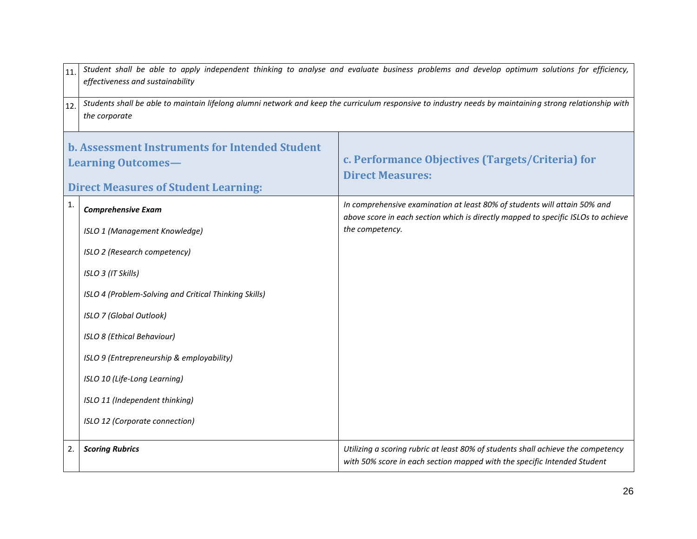| 11. | Student shall be able to apply independent thinking to analyse and evaluate business problems and develop optimum solutions for efficiency,<br>effectiveness and sustainability |                                                                                                                                                                |  |  |  |  |  |  |
|-----|---------------------------------------------------------------------------------------------------------------------------------------------------------------------------------|----------------------------------------------------------------------------------------------------------------------------------------------------------------|--|--|--|--|--|--|
| 12. | Students shall be able to maintain lifelong alumni network and keep the curriculum responsive to industry needs by maintaining strong relationship with<br>the corporate        |                                                                                                                                                                |  |  |  |  |  |  |
|     | <b>b. Assessment Instruments for Intended Student</b><br><b>Learning Outcomes-</b><br><b>Direct Measures of Student Learning:</b>                                               | c. Performance Objectives (Targets/Criteria) for<br><b>Direct Measures:</b>                                                                                    |  |  |  |  |  |  |
| 1.  | <b>Comprehensive Exam</b>                                                                                                                                                       | In comprehensive examination at least 80% of students will attain 50% and<br>above score in each section which is directly mapped to specific ISLOs to achieve |  |  |  |  |  |  |
|     | ISLO 1 (Management Knowledge)                                                                                                                                                   | the competency.                                                                                                                                                |  |  |  |  |  |  |
|     | ISLO 2 (Research competency)                                                                                                                                                    |                                                                                                                                                                |  |  |  |  |  |  |
|     | ISLO 3 (IT Skills)                                                                                                                                                              |                                                                                                                                                                |  |  |  |  |  |  |
|     | ISLO 4 (Problem-Solving and Critical Thinking Skills)                                                                                                                           |                                                                                                                                                                |  |  |  |  |  |  |
|     | ISLO 7 (Global Outlook)                                                                                                                                                         |                                                                                                                                                                |  |  |  |  |  |  |
|     | ISLO 8 (Ethical Behaviour)                                                                                                                                                      |                                                                                                                                                                |  |  |  |  |  |  |
|     | ISLO 9 (Entrepreneurship & employability)                                                                                                                                       |                                                                                                                                                                |  |  |  |  |  |  |
|     | ISLO 10 (Life-Long Learning)                                                                                                                                                    |                                                                                                                                                                |  |  |  |  |  |  |
|     | ISLO 11 (Independent thinking)                                                                                                                                                  |                                                                                                                                                                |  |  |  |  |  |  |
|     | ISLO 12 (Corporate connection)                                                                                                                                                  |                                                                                                                                                                |  |  |  |  |  |  |
| 2.  | <b>Scoring Rubrics</b>                                                                                                                                                          | Utilizing a scoring rubric at least 80% of students shall achieve the competency<br>with 50% score in each section mapped with the specific Intended Student   |  |  |  |  |  |  |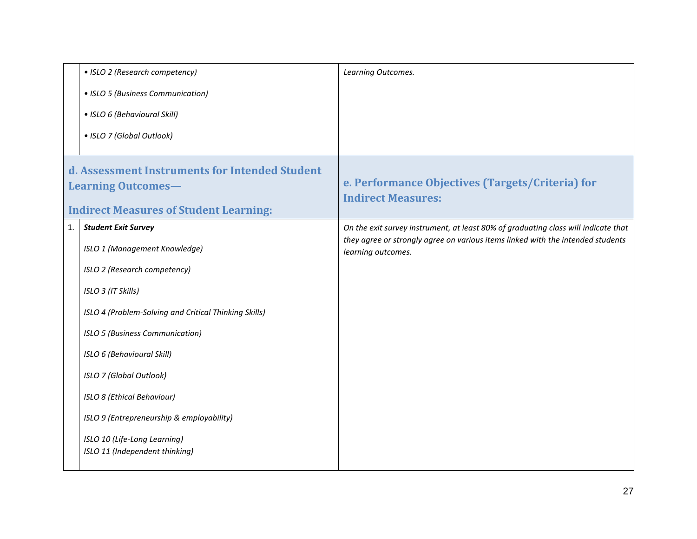|    | • ISLO 2 (Research competency)                                 | Learning Outcomes.                                                                                    |
|----|----------------------------------------------------------------|-------------------------------------------------------------------------------------------------------|
|    | • ISLO 5 (Business Communication)                              |                                                                                                       |
|    | • ISLO 6 (Behavioural Skill)                                   |                                                                                                       |
|    | · ISLO 7 (Global Outlook)                                      |                                                                                                       |
|    | d. Assessment Instruments for Intended Student                 |                                                                                                       |
|    | <b>Learning Outcomes-</b>                                      | e. Performance Objectives (Targets/Criteria) for                                                      |
|    | <b>Indirect Measures of Student Learning:</b>                  | <b>Indirect Measures:</b>                                                                             |
| 1. | <b>Student Exit Survey</b>                                     | On the exit survey instrument, at least 80% of graduating class will indicate that                    |
|    | ISLO 1 (Management Knowledge)                                  | they agree or strongly agree on various items linked with the intended students<br>learning outcomes. |
|    | ISLO 2 (Research competency)                                   |                                                                                                       |
|    | ISLO 3 (IT Skills)                                             |                                                                                                       |
|    | ISLO 4 (Problem-Solving and Critical Thinking Skills)          |                                                                                                       |
|    | ISLO 5 (Business Communication)                                |                                                                                                       |
|    | ISLO 6 (Behavioural Skill)                                     |                                                                                                       |
|    | ISLO 7 (Global Outlook)                                        |                                                                                                       |
|    | ISLO 8 (Ethical Behaviour)                                     |                                                                                                       |
|    | ISLO 9 (Entrepreneurship & employability)                      |                                                                                                       |
|    | ISLO 10 (Life-Long Learning)<br>ISLO 11 (Independent thinking) |                                                                                                       |
|    |                                                                |                                                                                                       |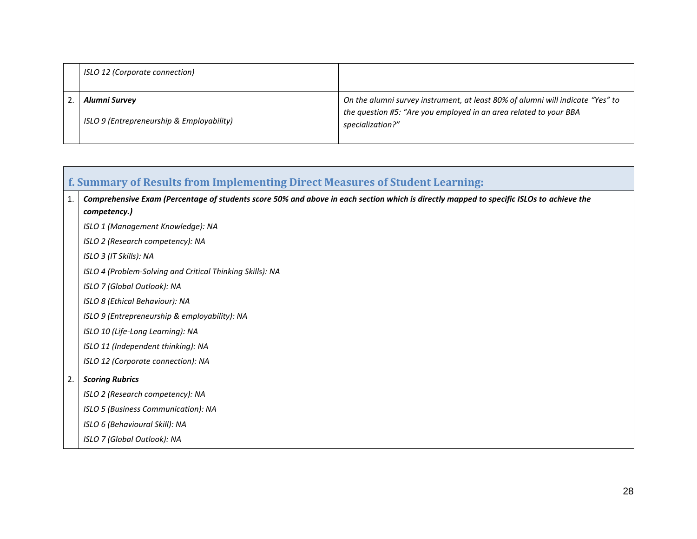| ISLO 12 (Corporate connection)            |                                                                                       |
|-------------------------------------------|---------------------------------------------------------------------------------------|
| Alumni Survey                             | On the alumni survey instrument, at least 80% of alumni will indicate "Yes" to        |
| ISLO 9 (Entrepreneurship & Employability) | the question #5: "Are you employed in an area related to your BBA<br>specialization?" |

|    | f. Summary of Results from Implementing Direct Measures of Student Learning:                                                                             |  |  |  |  |  |  |  |  |
|----|----------------------------------------------------------------------------------------------------------------------------------------------------------|--|--|--|--|--|--|--|--|
| 1. | Comprehensive Exam (Percentage of students score 50% and above in each section which is directly mapped to specific ISLOs to achieve the<br>competency.) |  |  |  |  |  |  |  |  |
|    | ISLO 1 (Management Knowledge): NA                                                                                                                        |  |  |  |  |  |  |  |  |
|    | ISLO 2 (Research competency): NA                                                                                                                         |  |  |  |  |  |  |  |  |
|    | ISLO 3 (IT Skills): NA                                                                                                                                   |  |  |  |  |  |  |  |  |
|    | ISLO 4 (Problem-Solving and Critical Thinking Skills): NA                                                                                                |  |  |  |  |  |  |  |  |
|    | ISLO 7 (Global Outlook): NA                                                                                                                              |  |  |  |  |  |  |  |  |
|    | ISLO 8 (Ethical Behaviour): NA                                                                                                                           |  |  |  |  |  |  |  |  |
|    | ISLO 9 (Entrepreneurship & employability): NA                                                                                                            |  |  |  |  |  |  |  |  |
|    | ISLO 10 (Life-Long Learning): NA                                                                                                                         |  |  |  |  |  |  |  |  |
|    | ISLO 11 (Independent thinking): NA                                                                                                                       |  |  |  |  |  |  |  |  |
|    | ISLO 12 (Corporate connection): NA                                                                                                                       |  |  |  |  |  |  |  |  |
| 2. | <b>Scoring Rubrics</b>                                                                                                                                   |  |  |  |  |  |  |  |  |
|    | ISLO 2 (Research competency): NA                                                                                                                         |  |  |  |  |  |  |  |  |
|    | ISLO 5 (Business Communication): NA                                                                                                                      |  |  |  |  |  |  |  |  |
|    | ISLO 6 (Behavioural Skill): NA                                                                                                                           |  |  |  |  |  |  |  |  |
|    | ISLO 7 (Global Outlook): NA                                                                                                                              |  |  |  |  |  |  |  |  |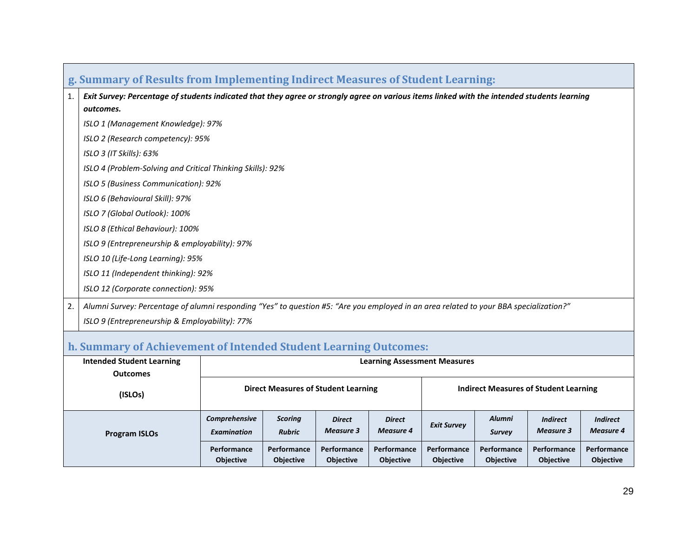|    | g. Summary of Results from Implementing Indirect Measures of Student Learning:                                                              |  |  |  |  |  |  |
|----|---------------------------------------------------------------------------------------------------------------------------------------------|--|--|--|--|--|--|
| 1. | Exit Survey: Percentage of students indicated that they agree or strongly agree on various items linked with the intended students learning |  |  |  |  |  |  |
|    | outcomes.                                                                                                                                   |  |  |  |  |  |  |
|    | ISLO 1 (Management Knowledge): 97%                                                                                                          |  |  |  |  |  |  |
|    | ISLO 2 (Research competency): 95%                                                                                                           |  |  |  |  |  |  |
|    | ISLO 3 (IT Skills): 63%                                                                                                                     |  |  |  |  |  |  |
|    | ISLO 4 (Problem-Solving and Critical Thinking Skills): 92%                                                                                  |  |  |  |  |  |  |
|    | ISLO 5 (Business Communication): 92%                                                                                                        |  |  |  |  |  |  |
|    | ISLO 6 (Behavioural Skill): 97%                                                                                                             |  |  |  |  |  |  |
|    | ISLO 7 (Global Outlook): 100%                                                                                                               |  |  |  |  |  |  |
|    | ISLO 8 (Ethical Behaviour): 100%                                                                                                            |  |  |  |  |  |  |
|    | ISLO 9 (Entrepreneurship & employability): 97%                                                                                              |  |  |  |  |  |  |
|    | ISLO 10 (Life-Long Learning): 95%                                                                                                           |  |  |  |  |  |  |
|    | ISLO 11 (Independent thinking): 92%                                                                                                         |  |  |  |  |  |  |
|    | ISLO 12 (Corporate connection): 95%                                                                                                         |  |  |  |  |  |  |
| 2. | Alumni Survey: Percentage of alumni responding "Yes" to question #5: "Are you employed in an area related to your BBA specialization?"      |  |  |  |  |  |  |
|    | ISLO 9 (Entrepreneurship & Employability): 77%                                                                                              |  |  |  |  |  |  |
|    | h. Summary of Achievement of Intended Student Learning Outcomes:                                                                            |  |  |  |  |  |  |

| <b>Intended Student Learning</b><br><b>Outcomes</b> | <b>Learning Assessment Measures</b>        |                                 |                                   |                                   |                                              |                                 |                                     |                                     |  |
|-----------------------------------------------------|--------------------------------------------|---------------------------------|-----------------------------------|-----------------------------------|----------------------------------------------|---------------------------------|-------------------------------------|-------------------------------------|--|
| (ISLOs)                                             | <b>Direct Measures of Student Learning</b> |                                 |                                   |                                   | <b>Indirect Measures of Student Learning</b> |                                 |                                     |                                     |  |
| <b>Program ISLOs</b>                                | <b>Comprehensive</b><br><b>Examination</b> | <b>Scoring</b><br><b>Rubric</b> | <b>Direct</b><br><b>Measure 3</b> | <b>Direct</b><br><b>Measure 4</b> | <b>Exit Survey</b>                           | <b>Alumni</b><br><b>Survey</b>  | <b>Indirect</b><br><b>Measure 3</b> | <b>Indirect</b><br><b>Measure 4</b> |  |
|                                                     | Performance<br><b>Objective</b>            | Performance<br><b>Objective</b> | Performance<br><b>Objective</b>   | Performance<br><b>Objective</b>   | Performance<br><b>Objective</b>              | Performance<br><b>Objective</b> | Performance<br><b>Objective</b>     | Performance<br><b>Objective</b>     |  |

 $\sim$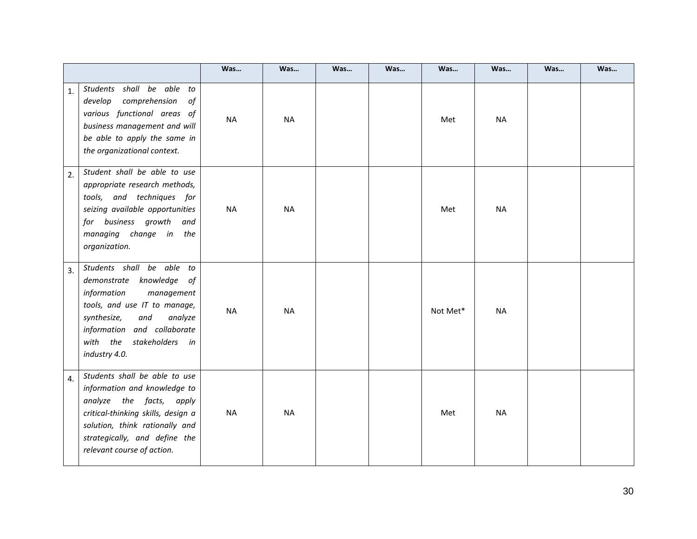|    |                                                                                                                                                                                                                                  | Was       | Was       | Was | Was | Was      | Was       | Was | Was |
|----|----------------------------------------------------------------------------------------------------------------------------------------------------------------------------------------------------------------------------------|-----------|-----------|-----|-----|----------|-----------|-----|-----|
| 1. | Students shall be able to<br>develop comprehension<br>of<br>various functional areas of<br>business management and will<br>be able to apply the same in<br>the organizational context.                                           | <b>NA</b> | <b>NA</b> |     |     | Met      | <b>NA</b> |     |     |
| 2. | Student shall be able to use<br>appropriate research methods,<br>tools, and techniques for<br>seizing available opportunities<br>for business growth<br>and<br>managing change in the<br>organization.                           | <b>NA</b> | <b>NA</b> |     |     | Met      | <b>NA</b> |     |     |
| 3. | Students shall be able to<br>demonstrate knowledge of<br>information<br>management<br>tools, and use IT to manage,<br>synthesize,<br>and<br>analyze<br>information and collaborate<br>with the stakeholders in<br>industry 4.0.  | <b>NA</b> | <b>NA</b> |     |     | Not Met* | <b>NA</b> |     |     |
| 4. | Students shall be able to use<br>information and knowledge to<br>analyze the facts, apply<br>critical-thinking skills, design a<br>solution, think rationally and<br>strategically, and define the<br>relevant course of action. | <b>NA</b> | <b>NA</b> |     |     | Met      | <b>NA</b> |     |     |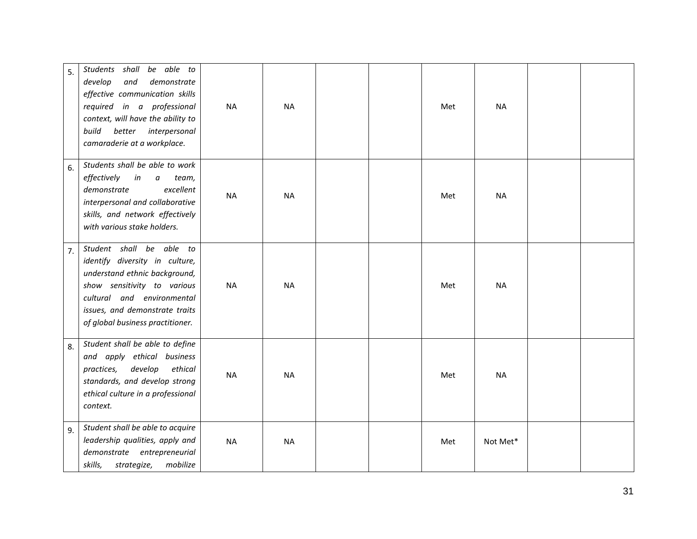| 5. | be able to<br>Students<br>shall<br>develop<br>demonstrate<br>and<br>effective communication skills<br>required in a professional<br>context, will have the ability to<br>build<br>better interpersonal<br>camaraderie at a workplace. | <b>NA</b> | <b>NA</b> |  | Met | <b>NA</b> |  |
|----|---------------------------------------------------------------------------------------------------------------------------------------------------------------------------------------------------------------------------------------|-----------|-----------|--|-----|-----------|--|
| 6. | Students shall be able to work<br>effectively in<br>$\boldsymbol{a}$<br>team,<br>excellent<br>demonstrate<br>interpersonal and collaborative<br>skills, and network effectively<br>with various stake holders.                        | <b>NA</b> | <b>NA</b> |  | Met | <b>NA</b> |  |
| 7. | Student shall be able to<br>identify diversity in culture,<br>understand ethnic background,<br>show sensitivity to various<br>cultural and environmental<br>issues, and demonstrate traits<br>of global business practitioner.        | <b>NA</b> | <b>NA</b> |  | Met | <b>NA</b> |  |
| 8. | Student shall be able to define<br>and apply ethical business<br>develop<br>ethical<br>practices,<br>standards, and develop strong<br>ethical culture in a professional<br>context.                                                   | <b>NA</b> | <b>NA</b> |  | Met | <b>NA</b> |  |
| 9. | Student shall be able to acquire<br>leadership qualities, apply and<br>demonstrate entrepreneurial<br>skills,<br>mobilize<br>strategize,                                                                                              | <b>NA</b> | <b>NA</b> |  | Met | Not Met*  |  |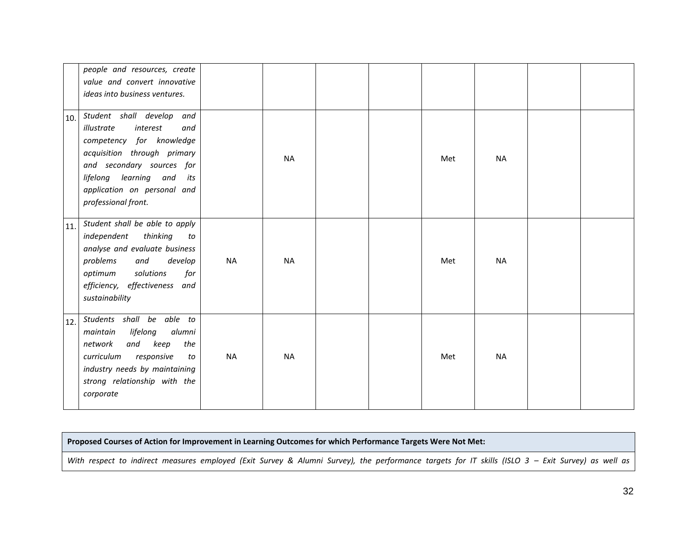|     | people and resources, create<br>value and convert innovative<br>ideas into business ventures.                                                                                                                                            |           |           |  |     |           |  |
|-----|------------------------------------------------------------------------------------------------------------------------------------------------------------------------------------------------------------------------------------------|-----------|-----------|--|-----|-----------|--|
| 10. | Student shall develop and<br>illustrate<br>interest<br>and<br>competency for knowledge<br>acquisition through primary<br>and secondary sources for<br>lifelong learning and<br>its<br>application on personal and<br>professional front. |           | <b>NA</b> |  | Met | <b>NA</b> |  |
| 11. | Student shall be able to apply<br>independent<br>thinking<br>to<br>analyse and evaluate business<br>problems<br>and<br>develop<br>optimum<br>solutions<br>for<br>efficiency, effectiveness and<br>sustainability                         | <b>NA</b> | <b>NA</b> |  | Met | <b>NA</b> |  |
| 12. | Students shall be able to<br>lifelong<br>maintain<br>alumni<br>and<br>keep<br>network<br>the<br>curriculum<br>responsive<br>to<br>industry needs by maintaining<br>strong relationship with the<br>corporate                             | <b>NA</b> | <b>NA</b> |  | Met | <b>NA</b> |  |

### **Proposed Courses of Action for Improvement in Learning Outcomes for which Performance Targets Were Not Met:**

*With respect to indirect measures employed (Exit Survey & Alumni Survey), the performance targets for IT skills (ISLO 3 - Exit Survey) as well as*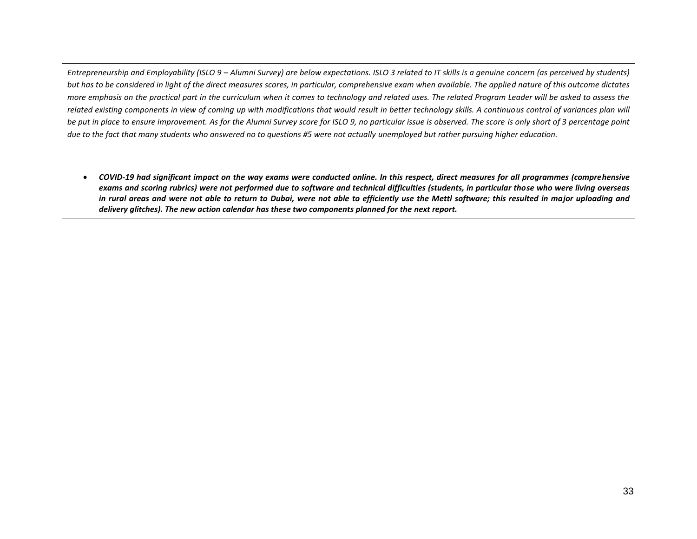*Entrepreneurship and Employability (ISLO 9 – Alumni Survey) are below expectations. ISLO 3 related to IT skills is a genuine concern (as perceived by students) but has to be considered in light of the direct measures scores, in particular, comprehensive exam when available. The applied nature of this outcome dictates more emphasis on the practical part in the curriculum when it comes to technology and related uses. The related Program Leader will be asked to assess the related existing components in view of coming up with modifications that would result in better technology skills. A continuous control of variances plan will be put in place to ensure improvement. As for the Alumni Survey score for ISLO 9, no particular issue is observed. The score is only short of 3 percentage point due to the fact that many students who answered no to questions #5 were not actually unemployed but rather pursuing higher education.*

• *COVID-19 had significant impact on the way exams were conducted online. In this respect, direct measures for all programmes (comprehensive exams and scoring rubrics) were not performed due to software and technical difficulties (students, in particular those who were living overseas in rural areas and were not able to return to Dubai, were not able to efficiently use the Mettl software; this resulted in major uploading and delivery glitches). The new action calendar has these two components planned for the next report.*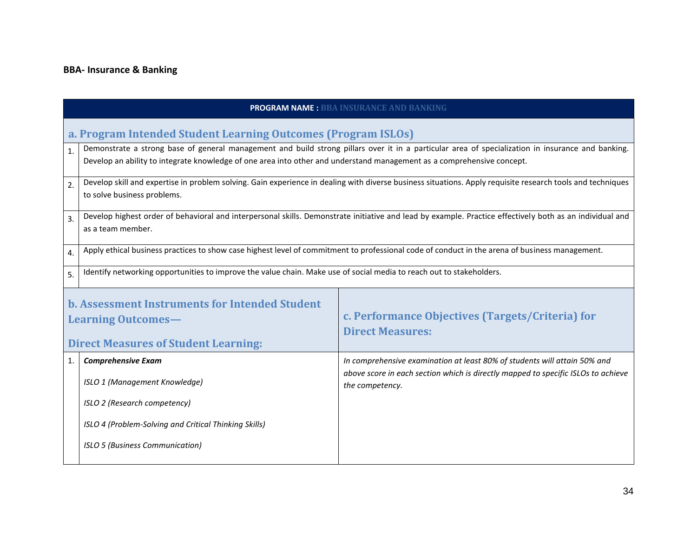# **BBA- Insurance & Banking**

|                  | <b>PROGRAM NAME: BBA INSURANCE AND BANKING</b>                                                                                                                                                                                                                              |                                                                                                                                                                |  |  |  |  |  |  |
|------------------|-----------------------------------------------------------------------------------------------------------------------------------------------------------------------------------------------------------------------------------------------------------------------------|----------------------------------------------------------------------------------------------------------------------------------------------------------------|--|--|--|--|--|--|
|                  | a. Program Intended Student Learning Outcomes (Program ISLOs)                                                                                                                                                                                                               |                                                                                                                                                                |  |  |  |  |  |  |
| $\mathbf{1}$ .   | Demonstrate a strong base of general management and build strong pillars over it in a particular area of specialization in insurance and banking.<br>Develop an ability to integrate knowledge of one area into other and understand management as a comprehensive concept. |                                                                                                                                                                |  |  |  |  |  |  |
| 2.               | Develop skill and expertise in problem solving. Gain experience in dealing with diverse business situations. Apply requisite research tools and techniques<br>to solve business problems.                                                                                   |                                                                                                                                                                |  |  |  |  |  |  |
| 3.               | Develop highest order of behavioral and interpersonal skills. Demonstrate initiative and lead by example. Practice effectively both as an individual and<br>as a team member.                                                                                               |                                                                                                                                                                |  |  |  |  |  |  |
| $\overline{4}$ . | Apply ethical business practices to show case highest level of commitment to professional code of conduct in the arena of business management.                                                                                                                              |                                                                                                                                                                |  |  |  |  |  |  |
| 5.               | Identify networking opportunities to improve the value chain. Make use of social media to reach out to stakeholders.                                                                                                                                                        |                                                                                                                                                                |  |  |  |  |  |  |
|                  | <b>b. Assessment Instruments for Intended Student</b><br><b>Learning Outcomes-</b><br><b>Direct Measures of Student Learning:</b>                                                                                                                                           | c. Performance Objectives (Targets/Criteria) for<br><b>Direct Measures:</b>                                                                                    |  |  |  |  |  |  |
| 1.               | <b>Comprehensive Exam</b>                                                                                                                                                                                                                                                   | In comprehensive examination at least 80% of students will attain 50% and<br>above score in each section which is directly mapped to specific ISLOs to achieve |  |  |  |  |  |  |
|                  | ISLO 1 (Management Knowledge)                                                                                                                                                                                                                                               | the competency.                                                                                                                                                |  |  |  |  |  |  |
|                  | ISLO 2 (Research competency)                                                                                                                                                                                                                                                |                                                                                                                                                                |  |  |  |  |  |  |
|                  | ISLO 4 (Problem-Solving and Critical Thinking Skills)                                                                                                                                                                                                                       |                                                                                                                                                                |  |  |  |  |  |  |
|                  | ISLO 5 (Business Communication)                                                                                                                                                                                                                                             |                                                                                                                                                                |  |  |  |  |  |  |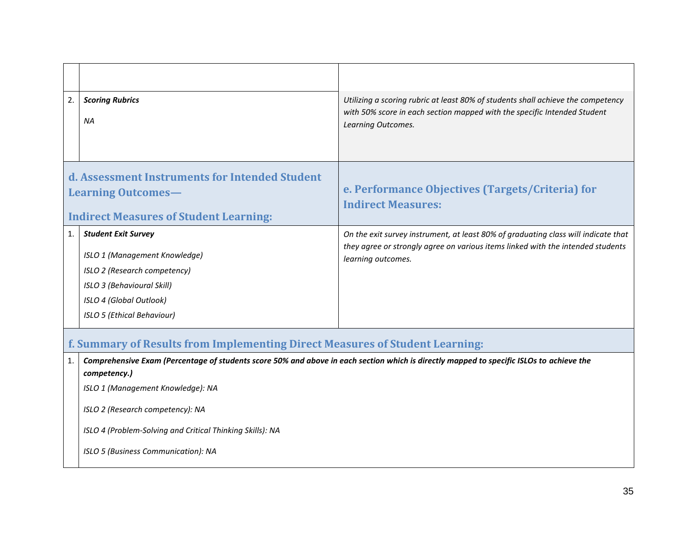| 2.                                                                           | <b>Scoring Rubrics</b><br><b>NA</b>                                                                                                                                                                                                                                                                                                   | Utilizing a scoring rubric at least 80% of students shall achieve the competency<br>with 50% score in each section mapped with the specific Intended Student<br>Learning Outcomes.          |
|------------------------------------------------------------------------------|---------------------------------------------------------------------------------------------------------------------------------------------------------------------------------------------------------------------------------------------------------------------------------------------------------------------------------------|---------------------------------------------------------------------------------------------------------------------------------------------------------------------------------------------|
|                                                                              | d. Assessment Instruments for Intended Student<br><b>Learning Outcomes-</b><br><b>Indirect Measures of Student Learning:</b>                                                                                                                                                                                                          | e. Performance Objectives (Targets/Criteria) for<br><b>Indirect Measures:</b>                                                                                                               |
| 1.                                                                           | <b>Student Exit Survey</b><br>ISLO 1 (Management Knowledge)<br>ISLO 2 (Research competency)<br>ISLO 3 (Behavioural Skill)<br>ISLO 4 (Global Outlook)<br>ISLO 5 (Ethical Behaviour)                                                                                                                                                    | On the exit survey instrument, at least 80% of graduating class will indicate that<br>they agree or strongly agree on various items linked with the intended students<br>learning outcomes. |
| f. Summary of Results from Implementing Direct Measures of Student Learning: |                                                                                                                                                                                                                                                                                                                                       |                                                                                                                                                                                             |
| 1.                                                                           | Comprehensive Exam (Percentage of students score 50% and above in each section which is directly mapped to specific ISLOs to achieve the<br>competency.)<br>ISLO 1 (Management Knowledge): NA<br>ISLO 2 (Research competency): NA<br>ISLO 4 (Problem-Solving and Critical Thinking Skills): NA<br>ISLO 5 (Business Communication): NA |                                                                                                                                                                                             |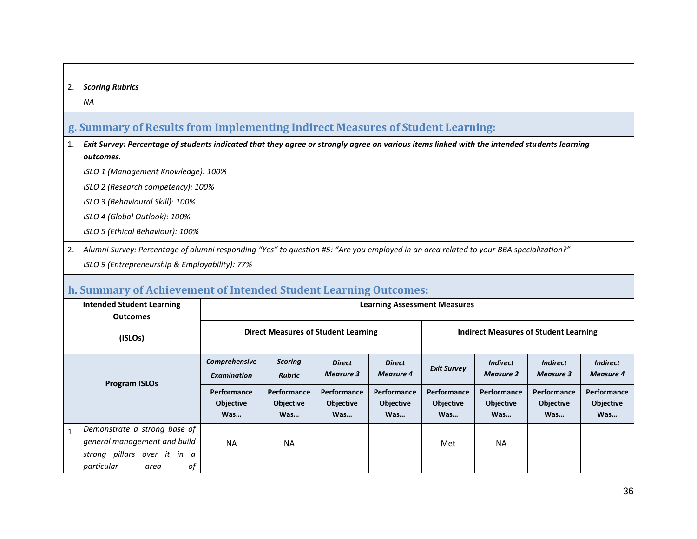| 2. | <b>Scoring Rubrics</b>                                                                                                                      |                    |                                            |                  |                  |                                              |                  |                  |                         |
|----|---------------------------------------------------------------------------------------------------------------------------------------------|--------------------|--------------------------------------------|------------------|------------------|----------------------------------------------|------------------|------------------|-------------------------|
|    | ΝA                                                                                                                                          |                    |                                            |                  |                  |                                              |                  |                  |                         |
|    |                                                                                                                                             |                    |                                            |                  |                  |                                              |                  |                  |                         |
|    | g. Summary of Results from Implementing Indirect Measures of Student Learning:                                                              |                    |                                            |                  |                  |                                              |                  |                  |                         |
| 1. | Exit Survey: Percentage of students indicated that they agree or strongly agree on various items linked with the intended students learning |                    |                                            |                  |                  |                                              |                  |                  |                         |
|    | outcomes.                                                                                                                                   |                    |                                            |                  |                  |                                              |                  |                  |                         |
|    | ISLO 1 (Management Knowledge): 100%                                                                                                         |                    |                                            |                  |                  |                                              |                  |                  |                         |
|    | ISLO 2 (Research competency): 100%                                                                                                          |                    |                                            |                  |                  |                                              |                  |                  |                         |
|    | ISLO 3 (Behavioural Skill): 100%                                                                                                            |                    |                                            |                  |                  |                                              |                  |                  |                         |
|    | ISLO 4 (Global Outlook): 100%                                                                                                               |                    |                                            |                  |                  |                                              |                  |                  |                         |
|    | ISLO 5 (Ethical Behaviour): 100%                                                                                                            |                    |                                            |                  |                  |                                              |                  |                  |                         |
| 2. | Alumni Survey: Percentage of alumni responding "Yes" to question #5: "Are you employed in an area related to your BBA specialization?"      |                    |                                            |                  |                  |                                              |                  |                  |                         |
|    | ISLO 9 (Entrepreneurship & Employability): 77%                                                                                              |                    |                                            |                  |                  |                                              |                  |                  |                         |
|    |                                                                                                                                             |                    |                                            |                  |                  |                                              |                  |                  |                         |
|    | h. Summary of Achievement of Intended Student Learning Outcomes:                                                                            |                    |                                            |                  |                  |                                              |                  |                  |                         |
|    | <b>Intended Student Learning</b>                                                                                                            |                    |                                            |                  |                  | <b>Learning Assessment Measures</b>          |                  |                  |                         |
|    | <b>Outcomes</b>                                                                                                                             |                    |                                            |                  |                  |                                              |                  |                  |                         |
|    | (ISLOs)                                                                                                                                     |                    | <b>Direct Measures of Student Learning</b> |                  |                  | <b>Indirect Measures of Student Learning</b> |                  |                  |                         |
|    |                                                                                                                                             |                    |                                            |                  |                  |                                              |                  |                  |                         |
|    |                                                                                                                                             | Comprehensive      | <b>Scoring</b>                             | <b>Direct</b>    | <b>Direct</b>    | <b>Exit Survey</b>                           | <b>Indirect</b>  | <b>Indirect</b>  | <b>Indirect</b>         |
|    | <b>Program ISLOs</b>                                                                                                                        | <b>Examination</b> | <b>Rubric</b>                              | <b>Measure 3</b> | <b>Measure 4</b> |                                              | <b>Measure 2</b> | <b>Measure 3</b> | <b>Measure 4</b>        |
|    |                                                                                                                                             | Performance        | Performance                                | Performance      | Performance      | Performance                                  | Performance      | Performance      | Performance             |
|    |                                                                                                                                             | Objective<br>Was   | Objective<br>Was                           | Objective<br>Was | Objective<br>Was | Objective<br>Was                             | Objective<br>Was | Objective<br>Was | <b>Objective</b><br>Was |
|    | Demonstrate a strong base of                                                                                                                |                    |                                            |                  |                  |                                              |                  |                  |                         |
| 1. | general management and build                                                                                                                | <b>NA</b>          | <b>NA</b>                                  |                  |                  | Met                                          | <b>NA</b>        |                  |                         |
|    | strong pillars over it in a                                                                                                                 |                    |                                            |                  |                  |                                              |                  |                  |                         |
|    | of<br>particular<br>area                                                                                                                    |                    |                                            |                  |                  |                                              |                  |                  |                         |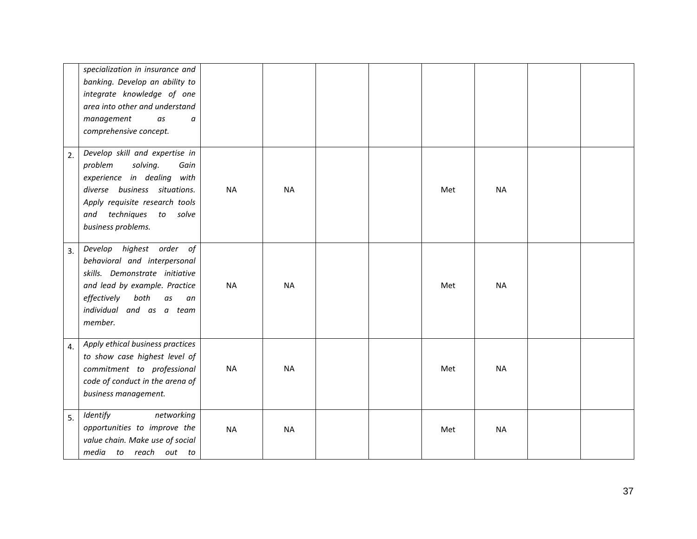|                  | specialization in insurance and<br>banking. Develop an ability to<br>integrate knowledge of one<br>area into other and understand<br>management<br>as<br>a<br>comprehensive concept.                           |           |           |  |     |           |  |
|------------------|----------------------------------------------------------------------------------------------------------------------------------------------------------------------------------------------------------------|-----------|-----------|--|-----|-----------|--|
| 2.               | Develop skill and expertise in<br>problem<br>solving.<br>Gain<br>experience in dealing with<br>diverse business situations.<br>Apply requisite research tools<br>and techniques to solve<br>business problems. | <b>NA</b> | <b>NA</b> |  | Met | <b>NA</b> |  |
| 3.               | Develop highest order of<br>behavioral and interpersonal<br>skills. Demonstrate initiative<br>and lead by example. Practice<br>effectively<br>both<br>as<br>an<br>individual and as a team<br>member.          | <b>NA</b> | <b>NA</b> |  | Met | <b>NA</b> |  |
| $\overline{4}$ . | Apply ethical business practices<br>to show case highest level of<br>commitment to professional<br>code of conduct in the arena of<br>business management.                                                     | <b>NA</b> | <b>NA</b> |  | Met | <b>NA</b> |  |
| 5.               | Identify<br>networking<br>opportunities to improve the<br>value chain. Make use of social<br>media to reach out to                                                                                             | <b>NA</b> | <b>NA</b> |  | Met | <b>NA</b> |  |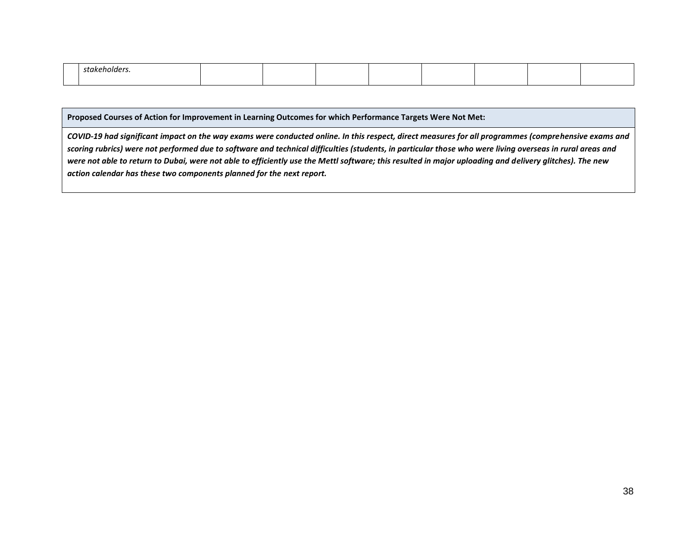| --<br>שוור<br>- 50° |
|---------------------|
|---------------------|

**Proposed Courses of Action for Improvement in Learning Outcomes for which Performance Targets Were Not Met:**

*COVID-19 had significant impact on the way exams were conducted online. In this respect, direct measures for all programmes (comprehensive exams and scoring rubrics) were not performed due to software and technical difficulties (students, in particular those who were living overseas in rural areas and were not able to return to Dubai, were not able to efficiently use the Mettl software; this resulted in major uploading and delivery glitches). The new action calendar has these two components planned for the next report.*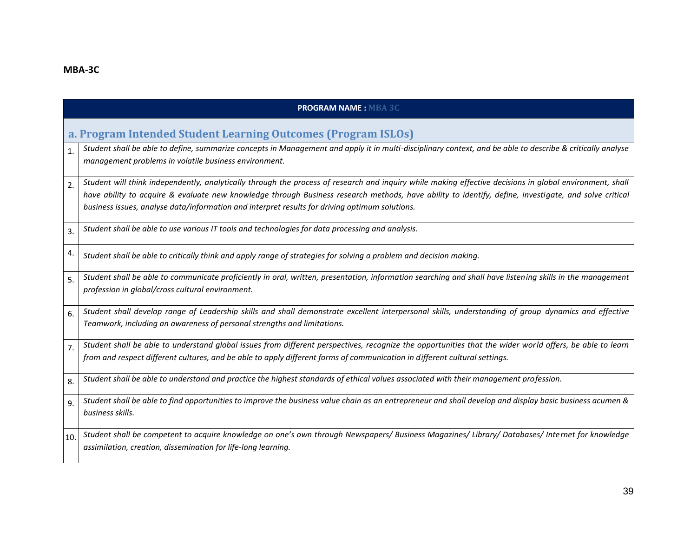|                  | <b>PROGRAM NAME: MBA 3C</b>                                                                                                                                                                                                                                                                                                                                                                                         |  |  |  |  |  |  |
|------------------|---------------------------------------------------------------------------------------------------------------------------------------------------------------------------------------------------------------------------------------------------------------------------------------------------------------------------------------------------------------------------------------------------------------------|--|--|--|--|--|--|
|                  | a. Program Intended Student Learning Outcomes (Program ISLOs)                                                                                                                                                                                                                                                                                                                                                       |  |  |  |  |  |  |
| $\mathbf{1}$ .   | Student shall be able to define, summarize concepts in Management and apply it in multi-disciplinary context, and be able to describe & critically analyse<br>management problems in volatile business environment.                                                                                                                                                                                                 |  |  |  |  |  |  |
| 2.               | Student will think independently, analytically through the process of research and inquiry while making effective decisions in global environment, shall<br>have ability to acquire & evaluate new knowledge through Business research methods, have ability to identify, define, investigate, and solve critical<br>business issues, analyse data/information and interpret results for driving optimum solutions. |  |  |  |  |  |  |
| $\overline{3}$ . | Student shall be able to use various IT tools and technologies for data processing and analysis.                                                                                                                                                                                                                                                                                                                    |  |  |  |  |  |  |
| 4.               | Student shall be able to critically think and apply range of strategies for solving a problem and decision making.                                                                                                                                                                                                                                                                                                  |  |  |  |  |  |  |
| 5.               | Student shall be able to communicate proficiently in oral, written, presentation, information searching and shall have listening skills in the management<br>profession in global/cross cultural environment.                                                                                                                                                                                                       |  |  |  |  |  |  |
| 6.               | Student shall develop range of Leadership skills and shall demonstrate excellent interpersonal skills, understanding of group dynamics and effective<br>Teamwork, including an awareness of personal strengths and limitations.                                                                                                                                                                                     |  |  |  |  |  |  |
| 7.               | Student shall be able to understand global issues from different perspectives, recognize the opportunities that the wider world offers, be able to learn<br>from and respect different cultures, and be able to apply different forms of communication in different cultural settings.                                                                                                                              |  |  |  |  |  |  |
| 8.               | Student shall be able to understand and practice the highest standards of ethical values associated with their management profession.                                                                                                                                                                                                                                                                               |  |  |  |  |  |  |
| 9.               | Student shall be able to find opportunities to improve the business value chain as an entrepreneur and shall develop and display basic business acumen &<br>business skills.                                                                                                                                                                                                                                        |  |  |  |  |  |  |
| 10.              | Student shall be competent to acquire knowledge on one's own through Newspapers/ Business Magazines/ Library/ Databases/ Internet for knowledge<br>assimilation, creation, dissemination for life-long learning.                                                                                                                                                                                                    |  |  |  |  |  |  |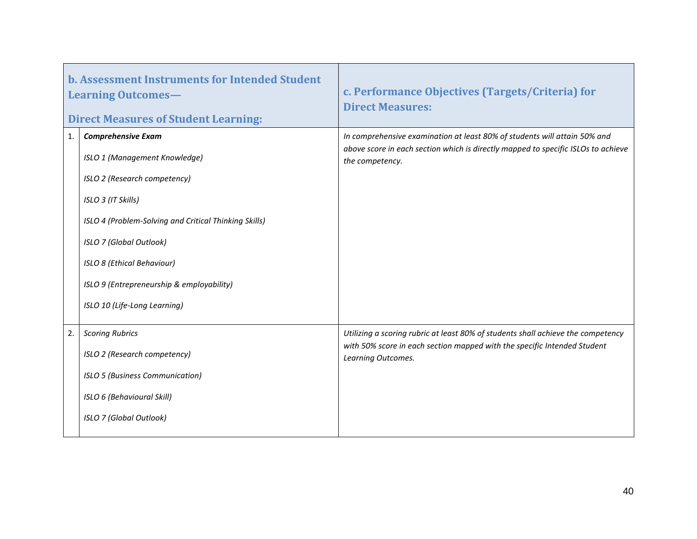| <b>b. Assessment Instruments for Intended Student</b><br><b>Learning Outcomes-</b><br><b>Direct Measures of Student Learning:</b>                                                                                                                    | c. Performance Objectives (Targets/Criteria) for<br><b>Direct Measures:</b>                                                                                                        |
|------------------------------------------------------------------------------------------------------------------------------------------------------------------------------------------------------------------------------------------------------|------------------------------------------------------------------------------------------------------------------------------------------------------------------------------------|
| <b>Comprehensive Exam</b><br>$\mathbf{1}$ .<br>ISLO 1 (Management Knowledge)<br>ISLO 2 (Research competency)<br>ISLO 3 (IT Skills)<br>ISLO 4 (Problem-Solving and Critical Thinking Skills)<br>ISLO 7 (Global Outlook)<br>ISLO 8 (Ethical Behaviour) | In comprehensive examination at least 80% of students will attain 50% and<br>above score in each section which is directly mapped to specific ISLOs to achieve<br>the competency.  |
| ISLO 9 (Entrepreneurship & employability)<br>ISLO 10 (Life-Long Learning)                                                                                                                                                                            |                                                                                                                                                                                    |
| 2.<br><b>Scoring Rubrics</b><br>ISLO 2 (Research competency)<br>ISLO 5 (Business Communication)<br>ISLO 6 (Behavioural Skill)<br>ISLO 7 (Global Outlook)                                                                                             | Utilizing a scoring rubric at least 80% of students shall achieve the competency<br>with 50% score in each section mapped with the specific Intended Student<br>Learning Outcomes. |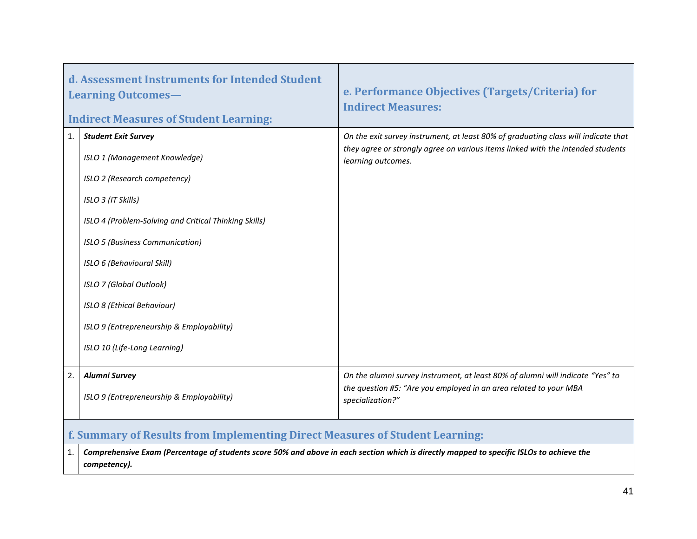|    | d. Assessment Instruments for Intended Student<br><b>Learning Outcomes-</b><br><b>Indirect Measures of Student Learning:</b>             | e. Performance Objectives (Targets/Criteria) for<br><b>Indirect Measures:</b>                         |  |  |  |  |  |
|----|------------------------------------------------------------------------------------------------------------------------------------------|-------------------------------------------------------------------------------------------------------|--|--|--|--|--|
| 1. | <b>Student Exit Survey</b>                                                                                                               | On the exit survey instrument, at least 80% of graduating class will indicate that                    |  |  |  |  |  |
|    | ISLO 1 (Management Knowledge)                                                                                                            | they agree or strongly agree on various items linked with the intended students<br>learning outcomes. |  |  |  |  |  |
|    | ISLO 2 (Research competency)                                                                                                             |                                                                                                       |  |  |  |  |  |
|    | ISLO 3 (IT Skills)                                                                                                                       |                                                                                                       |  |  |  |  |  |
|    | ISLO 4 (Problem-Solving and Critical Thinking Skills)                                                                                    |                                                                                                       |  |  |  |  |  |
|    | ISLO 5 (Business Communication)                                                                                                          |                                                                                                       |  |  |  |  |  |
|    | ISLO 6 (Behavioural Skill)                                                                                                               |                                                                                                       |  |  |  |  |  |
|    | ISLO 7 (Global Outlook)                                                                                                                  |                                                                                                       |  |  |  |  |  |
|    | ISLO 8 (Ethical Behaviour)                                                                                                               |                                                                                                       |  |  |  |  |  |
|    | ISLO 9 (Entrepreneurship & Employability)                                                                                                |                                                                                                       |  |  |  |  |  |
|    | ISLO 10 (Life-Long Learning)                                                                                                             |                                                                                                       |  |  |  |  |  |
| 2. | <b>Alumni Survey</b>                                                                                                                     | On the alumni survey instrument, at least 80% of alumni will indicate "Yes" to                        |  |  |  |  |  |
|    | ISLO 9 (Entrepreneurship & Employability)                                                                                                | the question #5: "Are you employed in an area related to your MBA<br>specialization?"                 |  |  |  |  |  |
|    | f. Summary of Results from Implementing Direct Measures of Student Learning:                                                             |                                                                                                       |  |  |  |  |  |
| 1. | Comprehensive Exam (Percentage of students score 50% and above in each section which is directly mapped to specific ISLOs to achieve the |                                                                                                       |  |  |  |  |  |
|    | competency).                                                                                                                             |                                                                                                       |  |  |  |  |  |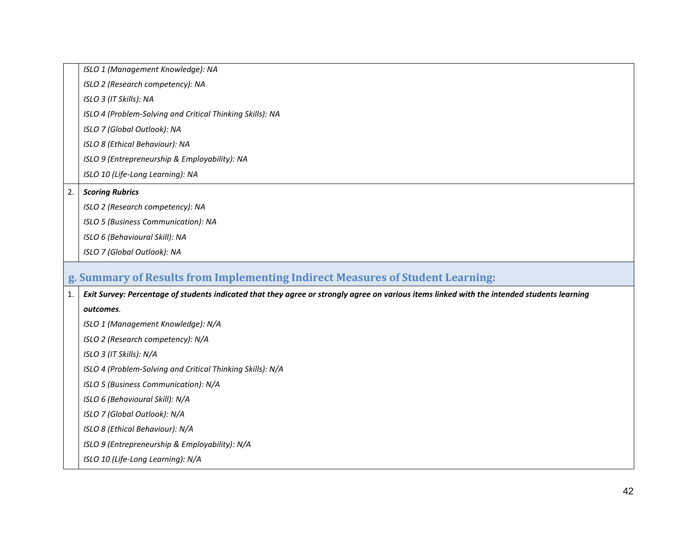|    | ISLO 1 (Management Knowledge): NA                                                                                                           |
|----|---------------------------------------------------------------------------------------------------------------------------------------------|
|    | ISLO 2 (Research competency): NA                                                                                                            |
|    | ISLO 3 (IT Skills): NA                                                                                                                      |
|    | ISLO 4 (Problem-Solving and Critical Thinking Skills): NA                                                                                   |
|    | ISLO 7 (Global Outlook): NA                                                                                                                 |
|    | ISLO 8 (Ethical Behaviour): NA                                                                                                              |
|    | ISLO 9 (Entrepreneurship & Employability): NA                                                                                               |
|    | ISLO 10 (Life-Long Learning): NA                                                                                                            |
| 2. | <b>Scoring Rubrics</b>                                                                                                                      |
|    | ISLO 2 (Research competency): NA                                                                                                            |
|    | ISLO 5 (Business Communication): NA                                                                                                         |
|    | ISLO 6 (Behavioural Skill): NA                                                                                                              |
|    | ISLO 7 (Global Outlook): NA                                                                                                                 |
|    |                                                                                                                                             |
|    |                                                                                                                                             |
|    | g. Summary of Results from Implementing Indirect Measures of Student Learning:                                                              |
| 1. | Exit Survey: Percentage of students indicated that they agree or strongly agree on various items linked with the intended students learning |
|    | outcomes.                                                                                                                                   |
|    | ISLO 1 (Management Knowledge): N/A                                                                                                          |
|    | ISLO 2 (Research competency): N/A                                                                                                           |
|    | ISLO 3 (IT Skills): N/A                                                                                                                     |
|    | ISLO 4 (Problem-Solving and Critical Thinking Skills): N/A                                                                                  |
|    | ISLO 5 (Business Communication): N/A                                                                                                        |
|    | ISLO 6 (Behavioural Skill): N/A                                                                                                             |
|    | ISLO 7 (Global Outlook): N/A                                                                                                                |
|    | ISLO 8 (Ethical Behaviour): N/A                                                                                                             |
|    | ISLO 9 (Entrepreneurship & Employability): N/A                                                                                              |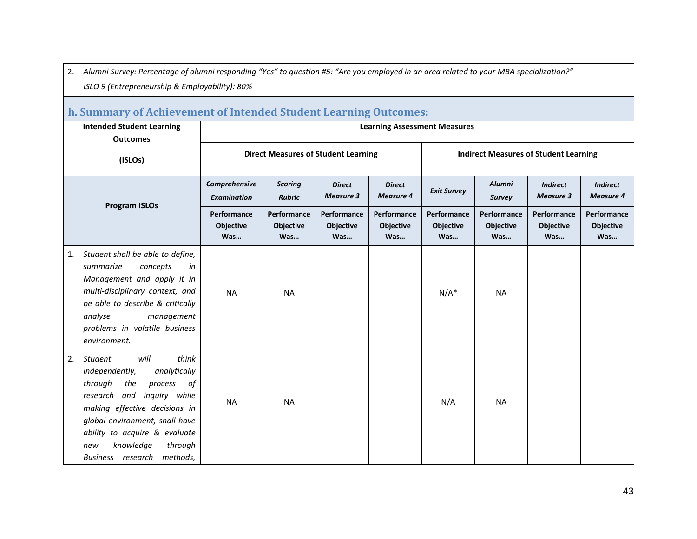2. *Alumni Survey: Percentage of alumni responding "Yes" to question #5: "Are you employed in an area related to your MBA specialization?" ISLO 9 (Entrepreneurship & Employability): 80%*

# **h. Summary of Achievement of Intended Student Learning Outcomes:**

| <b>Intended Student Learning</b><br><b>Outcomes</b><br>(ISLOs) |                                                                                                                                                                                                                                                                                                    | <b>Learning Assessment Measures</b> |                                            |                                   |                                   |                                 |                                              |                                     |                                     |  |
|----------------------------------------------------------------|----------------------------------------------------------------------------------------------------------------------------------------------------------------------------------------------------------------------------------------------------------------------------------------------------|-------------------------------------|--------------------------------------------|-----------------------------------|-----------------------------------|---------------------------------|----------------------------------------------|-------------------------------------|-------------------------------------|--|
|                                                                |                                                                                                                                                                                                                                                                                                    |                                     | <b>Direct Measures of Student Learning</b> |                                   |                                   |                                 | <b>Indirect Measures of Student Learning</b> |                                     |                                     |  |
| <b>Program ISLOs</b>                                           |                                                                                                                                                                                                                                                                                                    | Comprehensive<br><b>Examination</b> | <b>Scoring</b><br><b>Rubric</b>            | <b>Direct</b><br><b>Measure 3</b> | <b>Direct</b><br><b>Measure 4</b> | <b>Exit Survey</b>              | <b>Alumni</b><br>Survey                      | <b>Indirect</b><br><b>Measure 3</b> | <b>Indirect</b><br><b>Measure 4</b> |  |
|                                                                |                                                                                                                                                                                                                                                                                                    | Performance<br>Objective<br>Was     | Performance<br>Objective<br>Was            | Performance<br>Objective<br>Was   | Performance<br>Objective<br>Was   | Performance<br>Objective<br>Was | Performance<br>Objective<br>Was              | Performance<br>Objective<br>Was     | Performance<br>Objective<br>Was     |  |
| 1.                                                             | Student shall be able to define,<br>summarize<br>concepts<br>in<br>Management and apply it in<br>multi-disciplinary context, and<br>be able to describe & critically<br>analyse<br>management<br>problems in volatile business<br>environment.                                                     | <b>NA</b>                           | <b>NA</b>                                  |                                   |                                   | $N/A^*$                         | <b>NA</b>                                    |                                     |                                     |  |
| 2.                                                             | Student<br>will<br>think<br>independently,<br>analytically<br>through<br>the<br>process<br>of<br>research<br>and inquiry while<br>making effective decisions in<br>global environment, shall have<br>ability to acquire & evaluate<br>knowledge<br>through<br>new<br>methods,<br>Business research | <b>NA</b>                           | <b>NA</b>                                  |                                   |                                   | N/A                             | <b>NA</b>                                    |                                     |                                     |  |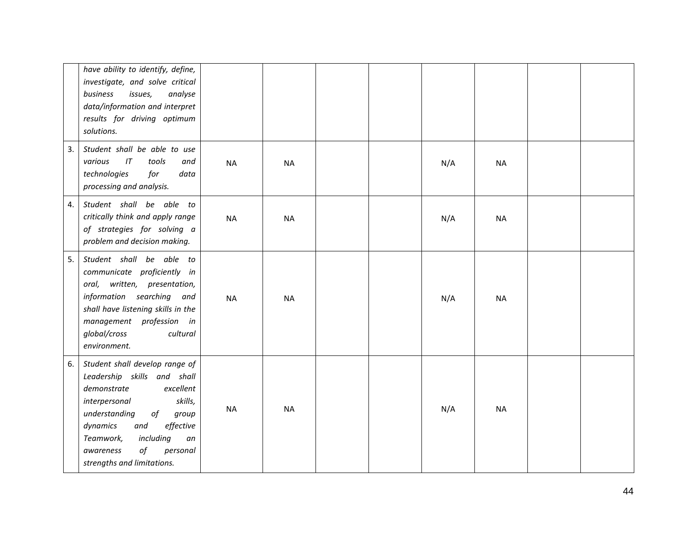|    | have ability to identify, define,<br>investigate, and solve critical<br>business<br>issues,<br>analyse<br>data/information and interpret<br>results for driving optimum<br>solutions.                                                                                              |           |           |  |     |           |  |
|----|------------------------------------------------------------------------------------------------------------------------------------------------------------------------------------------------------------------------------------------------------------------------------------|-----------|-----------|--|-----|-----------|--|
| 3. | Student shall be able to use<br>IT<br>tools<br>various<br>and<br>technologies<br>for<br>data<br>processing and analysis.                                                                                                                                                           | <b>NA</b> | <b>NA</b> |  | N/A | <b>NA</b> |  |
| 4. | Student shall be able to<br>critically think and apply range<br>of strategies for solving a<br>problem and decision making.                                                                                                                                                        | <b>NA</b> | <b>NA</b> |  | N/A | <b>NA</b> |  |
| 5. | Student shall be able to<br>communicate proficiently in<br>oral, written, presentation,<br>information searching and<br>shall have listening skills in the<br>management profession in<br>global/cross<br>cultural<br>environment.                                                 | <b>NA</b> | <b>NA</b> |  | N/A | <b>NA</b> |  |
| 6. | Student shall develop range of<br>Leadership skills and shall<br>excellent<br>demonstrate<br>skills,<br>interpersonal<br>understanding<br>of<br>group<br>dynamics<br>effective<br>and<br>Teamwork,<br>including<br>an<br>of<br>personal<br>awareness<br>strengths and limitations. | <b>NA</b> | <b>NA</b> |  | N/A | <b>NA</b> |  |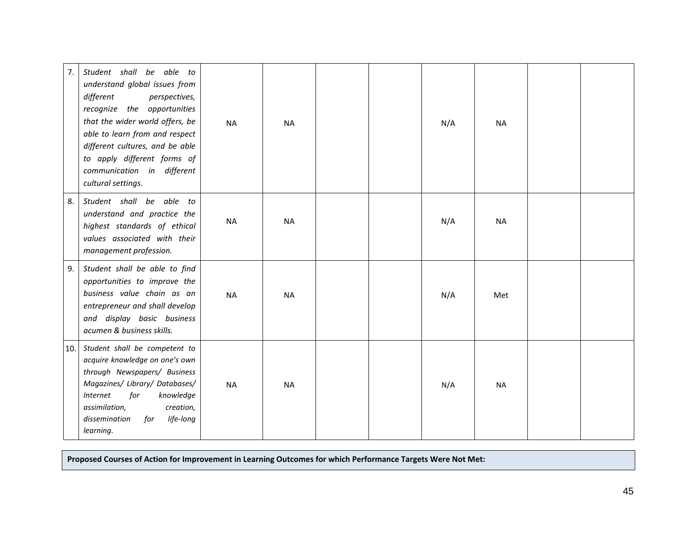| 7.  | Student shall be able to<br>understand global issues from<br>different<br>perspectives,<br>recognize the opportunities<br>that the wider world offers, be<br>able to learn from and respect<br>different cultures, and be able<br>to apply different forms of<br>communication in different<br>cultural settings. | <b>NA</b> | <b>NA</b> |  | N/A | <b>NA</b> |  |
|-----|-------------------------------------------------------------------------------------------------------------------------------------------------------------------------------------------------------------------------------------------------------------------------------------------------------------------|-----------|-----------|--|-----|-----------|--|
| 8.  | Student shall be able to<br>understand and practice the<br>highest standards of ethical<br>values associated with their<br>management profession.                                                                                                                                                                 | <b>NA</b> | <b>NA</b> |  | N/A | <b>NA</b> |  |
| 9.  | Student shall be able to find<br>opportunities to improve the<br>business value chain as an<br>entrepreneur and shall develop<br>and display basic business<br>acumen & business skills.                                                                                                                          | <b>NA</b> | <b>NA</b> |  | N/A | Met       |  |
| 10. | Student shall be competent to<br>acquire knowledge on one's own<br>through Newspapers/ Business<br>Magazines/ Library/ Databases/<br>for<br>Internet<br>knowledge<br>creation,<br>assimilation,<br>life-long<br>dissemination<br>for<br>learning.                                                                 | <b>NA</b> | <b>NA</b> |  | N/A | <b>NA</b> |  |

**Proposed Courses of Action for Improvement in Learning Outcomes for which Performance Targets Were Not Met:**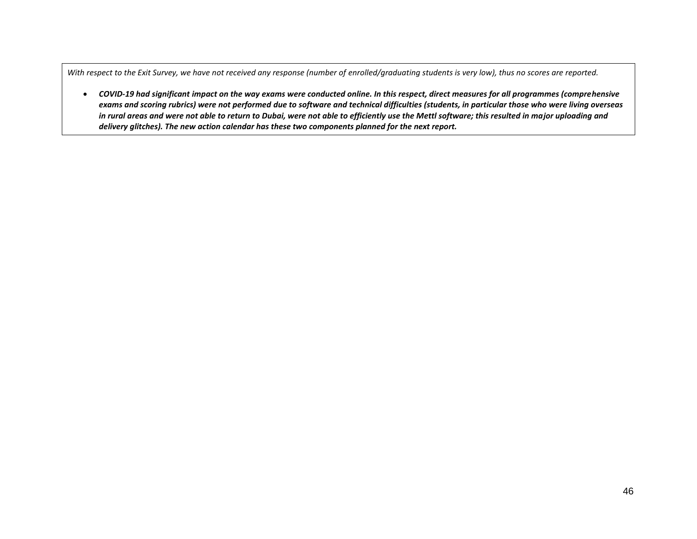*With respect to the Exit Survey, we have not received any response (number of enrolled/graduating students is very low), thus no scores are reported.*

• *COVID-19 had significant impact on the way exams were conducted online. In this respect, direct measures for all programmes (comprehensive exams and scoring rubrics) were not performed due to software and technical difficulties (students, in particular those who were living overseas in rural areas and were not able to return to Dubai, were not able to efficiently use the Mettl software; this resulted in major uploading and delivery glitches). The new action calendar has these two components planned for the next report.*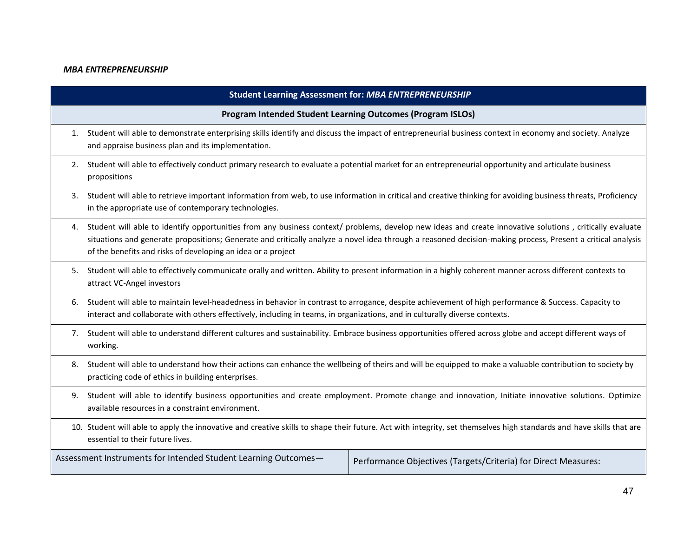# *MBA ENTREPRENEURSHIP*

|    | <b>Student Learning Assessment for: MBA ENTREPRENEURSHIP</b>                                                                                                                                                                                                                                                                                                                                |                                                                                                                                                                     |  |  |  |  |  |  |
|----|---------------------------------------------------------------------------------------------------------------------------------------------------------------------------------------------------------------------------------------------------------------------------------------------------------------------------------------------------------------------------------------------|---------------------------------------------------------------------------------------------------------------------------------------------------------------------|--|--|--|--|--|--|
|    | Program Intended Student Learning Outcomes (Program ISLOs)                                                                                                                                                                                                                                                                                                                                  |                                                                                                                                                                     |  |  |  |  |  |  |
| 1. | Student will able to demonstrate enterprising skills identify and discuss the impact of entrepreneurial business context in economy and society. Analyze<br>and appraise business plan and its implementation.                                                                                                                                                                              |                                                                                                                                                                     |  |  |  |  |  |  |
|    | Student will able to effectively conduct primary research to evaluate a potential market for an entrepreneurial opportunity and articulate business<br>2.<br>propositions                                                                                                                                                                                                                   |                                                                                                                                                                     |  |  |  |  |  |  |
| 3. | Student will able to retrieve important information from web, to use information in critical and creative thinking for avoiding business threats, Proficiency<br>in the appropriate use of contemporary technologies.                                                                                                                                                                       |                                                                                                                                                                     |  |  |  |  |  |  |
|    | Student will able to identify opportunities from any business context/ problems, develop new ideas and create innovative solutions, critically evaluate<br>4.<br>situations and generate propositions; Generate and critically analyze a novel idea through a reasoned decision-making process, Present a critical analysis<br>of the benefits and risks of developing an idea or a project |                                                                                                                                                                     |  |  |  |  |  |  |
| 5. | Student will able to effectively communicate orally and written. Ability to present information in a highly coherent manner across different contexts to<br>attract VC-Angel investors                                                                                                                                                                                                      |                                                                                                                                                                     |  |  |  |  |  |  |
| 6. | Student will able to maintain level-headedness in behavior in contrast to arrogance, despite achievement of high performance & Success. Capacity to<br>interact and collaborate with others effectively, including in teams, in organizations, and in culturally diverse contexts.                                                                                                          |                                                                                                                                                                     |  |  |  |  |  |  |
| 7. | working.                                                                                                                                                                                                                                                                                                                                                                                    | Student will able to understand different cultures and sustainability. Embrace business opportunities offered across globe and accept different ways of             |  |  |  |  |  |  |
| 8. | practicing code of ethics in building enterprises.                                                                                                                                                                                                                                                                                                                                          | Student will able to understand how their actions can enhance the wellbeing of theirs and will be equipped to make a valuable contribution to society by            |  |  |  |  |  |  |
| 9. | Student will able to identify business opportunities and create employment. Promote change and innovation, Initiate innovative solutions. Optimize<br>available resources in a constraint environment.                                                                                                                                                                                      |                                                                                                                                                                     |  |  |  |  |  |  |
|    | essential to their future lives.                                                                                                                                                                                                                                                                                                                                                            | 10. Student will able to apply the innovative and creative skills to shape their future. Act with integrity, set themselves high standards and have skills that are |  |  |  |  |  |  |
|    | Assessment Instruments for Intended Student Learning Outcomes-                                                                                                                                                                                                                                                                                                                              | Performance Objectives (Targets/Criteria) for Direct Measures:                                                                                                      |  |  |  |  |  |  |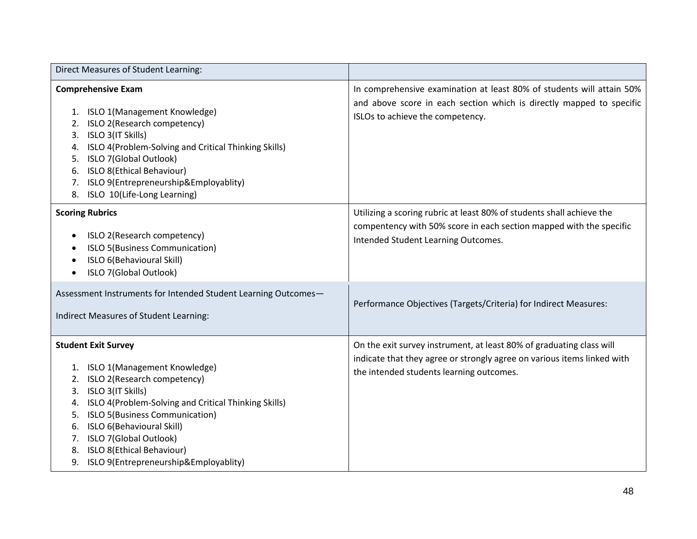| Direct Measures of Student Learning:                                                                                                                                                                                                                                                                                                                                                        |                                                                                                                                                                                             |
|---------------------------------------------------------------------------------------------------------------------------------------------------------------------------------------------------------------------------------------------------------------------------------------------------------------------------------------------------------------------------------------------|---------------------------------------------------------------------------------------------------------------------------------------------------------------------------------------------|
| <b>Comprehensive Exam</b><br>ISLO 1(Management Knowledge)<br>1.<br>ISLO 2(Research competency)<br>2.<br>ISLO 3(IT Skills)<br>3.<br>ISLO 4(Problem-Solving and Critical Thinking Skills)<br>4.<br>ISLO 7(Global Outlook)<br>5.<br>ISLO 8(Ethical Behaviour)<br>6.<br>ISLO 9(Entrepreneurship&Employablity)<br>7.<br>ISLO 10(Life-Long Learning)<br>8.                                        | In comprehensive examination at least 80% of students will attain 50%<br>and above score in each section which is directly mapped to specific<br>ISLOs to achieve the competency.           |
| <b>Scoring Rubrics</b><br>ISLO 2(Research competency)<br>ISLO 5(Business Communication)<br>ISLO 6(Behavioural Skill)<br>ISLO 7(Global Outlook)<br>$\bullet$                                                                                                                                                                                                                                 | Utilizing a scoring rubric at least 80% of students shall achieve the<br>compentency with 50% score in each section mapped with the specific<br>Intended Student Learning Outcomes.         |
| Assessment Instruments for Intended Student Learning Outcomes-<br>Indirect Measures of Student Learning:                                                                                                                                                                                                                                                                                    | Performance Objectives (Targets/Criteria) for Indirect Measures:                                                                                                                            |
| <b>Student Exit Survey</b><br>ISLO 1(Management Knowledge)<br>1.<br>ISLO 2(Research competency)<br>2.<br>ISLO 3(IT Skills)<br>3.<br>ISLO 4(Problem-Solving and Critical Thinking Skills)<br>4.<br>ISLO 5(Business Communication)<br>5.<br>ISLO 6(Behavioural Skill)<br>6.<br>ISLO 7(Global Outlook)<br>7.<br>ISLO 8(Ethical Behaviour)<br>8.<br>ISLO 9(Entrepreneurship&Employablity)<br>9. | On the exit survey instrument, at least 80% of graduating class will<br>indicate that they agree or strongly agree on various items linked with<br>the intended students learning outcomes. |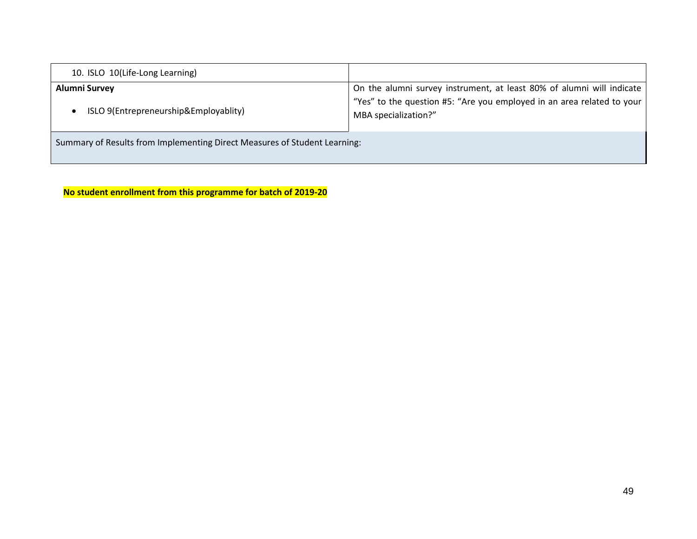| 10. ISLO 10(Life-Long Learning)                                           |                                                                                                                                                                         |  |  |  |  |
|---------------------------------------------------------------------------|-------------------------------------------------------------------------------------------------------------------------------------------------------------------------|--|--|--|--|
| Alumni Survey<br>ISLO 9(Entrepreneurship&Employablity)                    | On the alumni survey instrument, at least 80% of alumni will indicate<br>"Yes" to the question #5: "Are you employed in an area related to your<br>MBA specialization?" |  |  |  |  |
| Summary of Results from Implementing Direct Measures of Student Learning: |                                                                                                                                                                         |  |  |  |  |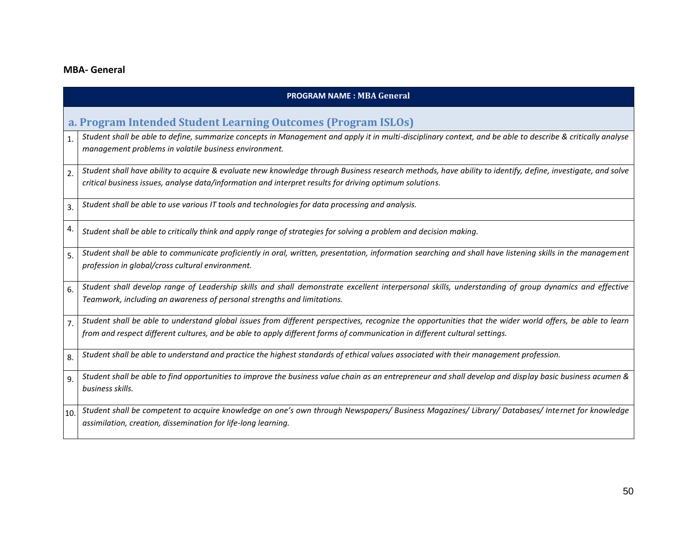# **MBA- General**

|                | <b>PROGRAM NAME: MBA General</b>                                                                                                                                                                                                                                                       |
|----------------|----------------------------------------------------------------------------------------------------------------------------------------------------------------------------------------------------------------------------------------------------------------------------------------|
|                | a. Program Intended Student Learning Outcomes (Program ISLOs)                                                                                                                                                                                                                          |
| 1 <sub>1</sub> | Student shall be able to define, summarize concepts in Management and apply it in multi-disciplinary context, and be able to describe & critically analyse<br>management problems in volatile business environment.                                                                    |
| 2.             | Student shall have ability to acquire & evaluate new knowledge through Business research methods, have ability to identify, define, investigate, and solve<br>critical business issues, analyse data/information and interpret results for driving optimum solutions.                  |
| 3.             | Student shall be able to use various IT tools and technologies for data processing and analysis.                                                                                                                                                                                       |
| 4.             | Student shall be able to critically think and apply range of strategies for solving a problem and decision making.                                                                                                                                                                     |
| 5.             | Student shall be able to communicate proficiently in oral, written, presentation, information searching and shall have listening skills in the management<br>profession in global/cross cultural environment.                                                                          |
| 6.             | Student shall develop range of Leadership skills and shall demonstrate excellent interpersonal skills, understanding of group dynamics and effective<br>Teamwork, including an awareness of personal strengths and limitations.                                                        |
| 7.             | Student shall be able to understand global issues from different perspectives, recognize the opportunities that the wider world offers, be able to learn<br>from and respect different cultures, and be able to apply different forms of communication in different cultural settings. |
| 8.             | Student shall be able to understand and practice the highest standards of ethical values associated with their management profession.                                                                                                                                                  |
| 9.             | Student shall be able to find opportunities to improve the business value chain as an entrepreneur and shall develop and display basic business acumen &<br>business skills.                                                                                                           |
| 10.            | Student shall be competent to acquire knowledge on one's own through Newspapers/ Business Magazines/ Library/ Databases/ Internet for knowledge<br>assimilation, creation, dissemination for life-long learning.                                                                       |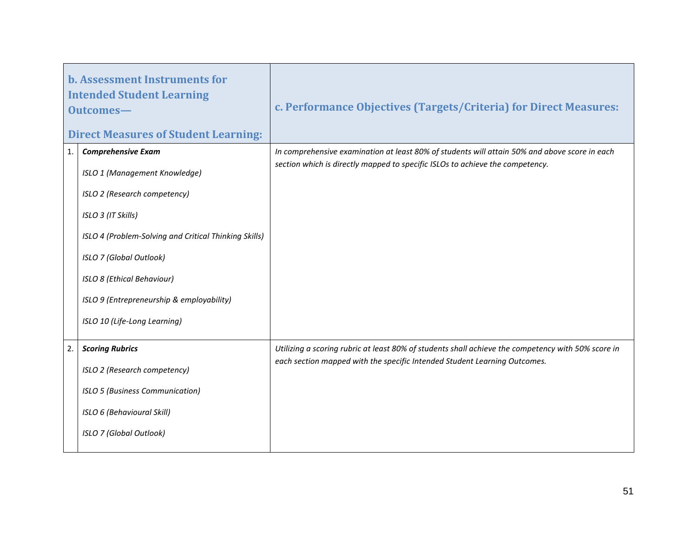| <b>b. Assessment Instruments for</b><br><b>Intended Student Learning</b><br>Outcomes-<br><b>Direct Measures of Student Learning:</b> |                                                       | c. Performance Objectives (Targets/Criteria) for Direct Measures:                                  |
|--------------------------------------------------------------------------------------------------------------------------------------|-------------------------------------------------------|----------------------------------------------------------------------------------------------------|
| 1.                                                                                                                                   | <b>Comprehensive Exam</b>                             | In comprehensive examination at least 80% of students will attain 50% and above score in each      |
|                                                                                                                                      | ISLO 1 (Management Knowledge)                         | section which is directly mapped to specific ISLOs to achieve the competency.                      |
|                                                                                                                                      | ISLO 2 (Research competency)                          |                                                                                                    |
|                                                                                                                                      | ISLO 3 (IT Skills)                                    |                                                                                                    |
|                                                                                                                                      | ISLO 4 (Problem-Solving and Critical Thinking Skills) |                                                                                                    |
|                                                                                                                                      | ISLO 7 (Global Outlook)                               |                                                                                                    |
|                                                                                                                                      | ISLO 8 (Ethical Behaviour)                            |                                                                                                    |
|                                                                                                                                      | ISLO 9 (Entrepreneurship & employability)             |                                                                                                    |
|                                                                                                                                      | ISLO 10 (Life-Long Learning)                          |                                                                                                    |
| 2.                                                                                                                                   | <b>Scoring Rubrics</b>                                | Utilizing a scoring rubric at least 80% of students shall achieve the competency with 50% score in |
|                                                                                                                                      | ISLO 2 (Research competency)                          | each section mapped with the specific Intended Student Learning Outcomes.                          |
|                                                                                                                                      | ISLO 5 (Business Communication)                       |                                                                                                    |
|                                                                                                                                      | ISLO 6 (Behavioural Skill)                            |                                                                                                    |
|                                                                                                                                      | ISLO 7 (Global Outlook)                               |                                                                                                    |
|                                                                                                                                      |                                                       |                                                                                                    |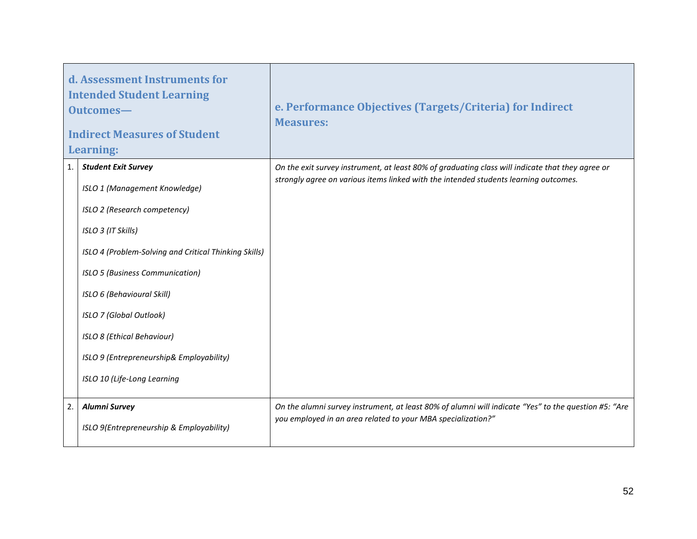| d. Assessment Instruments for<br><b>Intended Student Learning</b><br>Outcomes-<br><b>Indirect Measures of Student</b><br><b>Learning:</b> |                                                                  | e. Performance Objectives (Targets/Criteria) for Indirect<br><b>Measures:</b>                                                                                        |
|-------------------------------------------------------------------------------------------------------------------------------------------|------------------------------------------------------------------|----------------------------------------------------------------------------------------------------------------------------------------------------------------------|
| 1.                                                                                                                                        | <b>Student Exit Survey</b>                                       | On the exit survey instrument, at least 80% of graduating class will indicate that they agree or                                                                     |
|                                                                                                                                           | ISLO 1 (Management Knowledge)                                    | strongly agree on various items linked with the intended students learning outcomes.                                                                                 |
|                                                                                                                                           | ISLO 2 (Research competency)                                     |                                                                                                                                                                      |
|                                                                                                                                           | ISLO 3 (IT Skills)                                               |                                                                                                                                                                      |
|                                                                                                                                           | ISLO 4 (Problem-Solving and Critical Thinking Skills)            |                                                                                                                                                                      |
|                                                                                                                                           | ISLO 5 (Business Communication)                                  |                                                                                                                                                                      |
|                                                                                                                                           | ISLO 6 (Behavioural Skill)                                       |                                                                                                                                                                      |
|                                                                                                                                           | ISLO 7 (Global Outlook)                                          |                                                                                                                                                                      |
|                                                                                                                                           | ISLO 8 (Ethical Behaviour)                                       |                                                                                                                                                                      |
|                                                                                                                                           | ISLO 9 (Entrepreneurship& Employability)                         |                                                                                                                                                                      |
|                                                                                                                                           | ISLO 10 (Life-Long Learning                                      |                                                                                                                                                                      |
| 2.                                                                                                                                        | <b>Alumni Survey</b><br>ISLO 9(Entrepreneurship & Employability) | On the alumni survey instrument, at least 80% of alumni will indicate "Yes" to the question #5: "Are<br>you employed in an area related to your MBA specialization?" |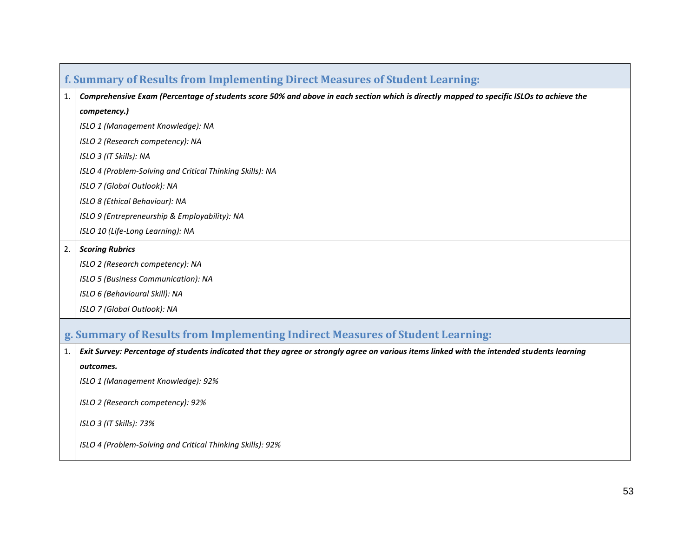|    | f. Summary of Results from Implementing Direct Measures of Student Learning:                                                                |  |  |  |  |  |  |
|----|---------------------------------------------------------------------------------------------------------------------------------------------|--|--|--|--|--|--|
| 1. | Comprehensive Exam (Percentage of students score 50% and above in each section which is directly mapped to specific ISLOs to achieve the    |  |  |  |  |  |  |
|    | competency.)                                                                                                                                |  |  |  |  |  |  |
|    | ISLO 1 (Management Knowledge): NA                                                                                                           |  |  |  |  |  |  |
|    | ISLO 2 (Research competency): NA                                                                                                            |  |  |  |  |  |  |
|    | ISLO 3 (IT Skills): NA                                                                                                                      |  |  |  |  |  |  |
|    | ISLO 4 (Problem-Solving and Critical Thinking Skills): NA                                                                                   |  |  |  |  |  |  |
|    | ISLO 7 (Global Outlook): NA                                                                                                                 |  |  |  |  |  |  |
|    | ISLO 8 (Ethical Behaviour): NA                                                                                                              |  |  |  |  |  |  |
|    | ISLO 9 (Entrepreneurship & Employability): NA                                                                                               |  |  |  |  |  |  |
|    | ISLO 10 (Life-Long Learning): NA                                                                                                            |  |  |  |  |  |  |
| 2. | <b>Scoring Rubrics</b>                                                                                                                      |  |  |  |  |  |  |
|    | ISLO 2 (Research competency): NA                                                                                                            |  |  |  |  |  |  |
|    | ISLO 5 (Business Communication): NA                                                                                                         |  |  |  |  |  |  |
|    | ISLO 6 (Behavioural Skill): NA                                                                                                              |  |  |  |  |  |  |
|    | ISLO 7 (Global Outlook): NA                                                                                                                 |  |  |  |  |  |  |
|    | g. Summary of Results from Implementing Indirect Measures of Student Learning:                                                              |  |  |  |  |  |  |
| 1. | Exit Survey: Percentage of students indicated that they agree or strongly agree on various items linked with the intended students learning |  |  |  |  |  |  |
|    | outcomes.                                                                                                                                   |  |  |  |  |  |  |
|    | ISLO 1 (Management Knowledge): 92%                                                                                                          |  |  |  |  |  |  |
|    | ISLO 2 (Research competency): 92%                                                                                                           |  |  |  |  |  |  |
|    | ISLO 3 (IT Skills): 73%                                                                                                                     |  |  |  |  |  |  |

*ISLO 4 (Problem-Solving and Critical Thinking Skills): 92%*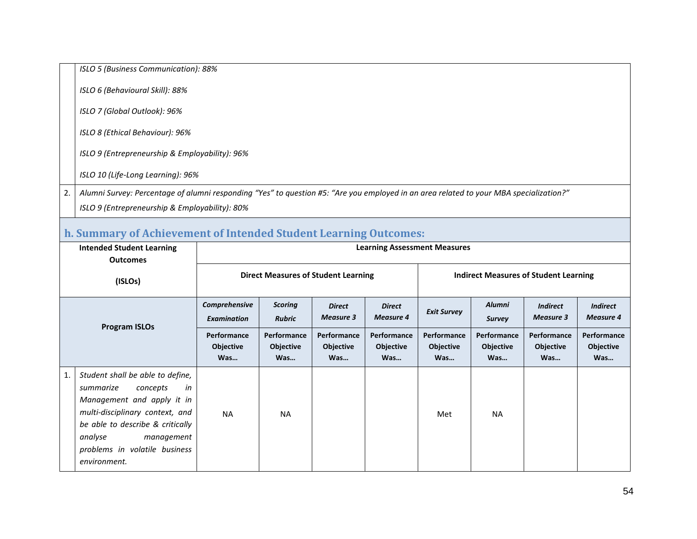#### *ISLO 5 (Business Communication): 88%*

*ISLO 6 (Behavioural Skill): 88%*

*ISLO 7 (Global Outlook): 96%*

*ISLO 8 (Ethical Behaviour): 96%*

*ISLO 9 (Entrepreneurship & Employability): 96%*

*ISLO 10 (Life-Long Learning): 96%*

2. *Alumni Survey: Percentage of alumni responding "Yes" to question #5: "Are you employed in an area related to your MBA specialization?" ISLO 9 (Entrepreneurship & Employability): 80%*

# **h. Summary of Achievement of Intended Student Learning Outcomes:**

|                      | <b>Intended Student Learning</b><br><b>Outcomes</b>                                                                                                                                                                                            | <b>Learning Assessment Measures</b>        |                                        |                                        |                                   |                                              |                                        |                                        |                                        |
|----------------------|------------------------------------------------------------------------------------------------------------------------------------------------------------------------------------------------------------------------------------------------|--------------------------------------------|----------------------------------------|----------------------------------------|-----------------------------------|----------------------------------------------|----------------------------------------|----------------------------------------|----------------------------------------|
| (ISLOs)              |                                                                                                                                                                                                                                                | <b>Direct Measures of Student Learning</b> |                                        |                                        |                                   | <b>Indirect Measures of Student Learning</b> |                                        |                                        |                                        |
| <b>Program ISLOs</b> |                                                                                                                                                                                                                                                | Comprehensive<br><b>Examination</b>        | <b>Scoring</b><br><b>Rubric</b>        | <b>Direct</b><br>Measure 3             | <b>Direct</b><br><b>Measure 4</b> | <b>Exit Survey</b>                           | <b>Alumni</b><br><b>Survey</b>         | <b>Indirect</b><br>Measure 3           | <b>Indirect</b><br><b>Measure 4</b>    |
|                      |                                                                                                                                                                                                                                                | Performance<br><b>Objective</b><br>Was     | Performance<br><b>Objective</b><br>Was | Performance<br><b>Objective</b><br>Was | Performance<br>Objective<br>Was   | Performance<br><b>Objective</b><br>Was       | Performance<br><b>Objective</b><br>Was | Performance<br><b>Objective</b><br>Was | Performance<br><b>Objective</b><br>Was |
| 1.                   | Student shall be able to define,<br>summarize<br>concepts<br>in<br>Management and apply it in<br>multi-disciplinary context, and<br>be able to describe & critically<br>analyse<br>management<br>problems in volatile business<br>environment. | <b>NA</b>                                  | <b>NA</b>                              |                                        |                                   | Met                                          | <b>NA</b>                              |                                        |                                        |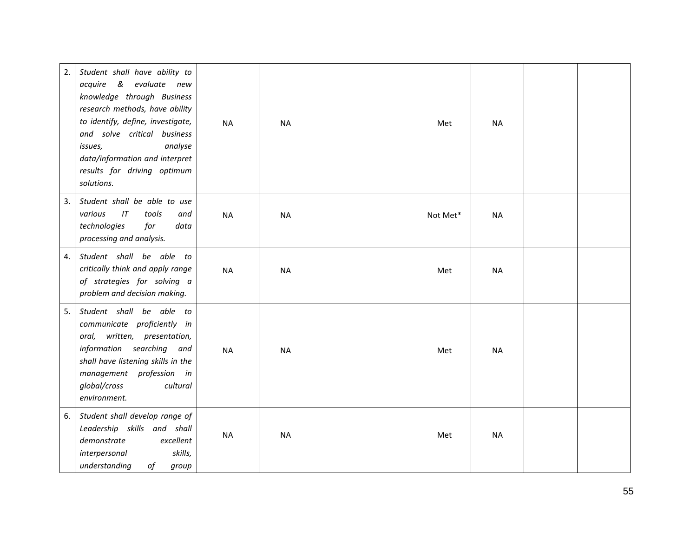| 2. | Student shall have ability to<br>acquire & evaluate new<br>knowledge through Business<br>research methods, have ability<br>to identify, define, investigate,<br>and solve critical business<br>analyse<br>issues,<br>data/information and interpret<br>results for driving optimum<br>solutions. | <b>NA</b> | <b>NA</b> |  | Met      | <b>NA</b> |  |
|----|--------------------------------------------------------------------------------------------------------------------------------------------------------------------------------------------------------------------------------------------------------------------------------------------------|-----------|-----------|--|----------|-----------|--|
| 3. | Student shall be able to use<br>various<br>IT<br>tools<br>and<br>technologies<br>for<br>data<br>processing and analysis.                                                                                                                                                                         | <b>NA</b> | <b>NA</b> |  | Not Met* | <b>NA</b> |  |
| 4. | Student shall be able to<br>critically think and apply range<br>of strategies for solving a<br>problem and decision making.                                                                                                                                                                      | <b>NA</b> | <b>NA</b> |  | Met      | <b>NA</b> |  |
| 5. | Student shall be able to<br>communicate proficiently in<br>oral, written, presentation,<br>information searching and<br>shall have listening skills in the<br>management profession in<br>global/cross<br>cultural<br>environment.                                                               | <b>NA</b> | <b>NA</b> |  | Met      | <b>NA</b> |  |
| 6. | Student shall develop range of<br>Leadership skills and shall<br>demonstrate<br>excellent<br>skills,<br>interpersonal<br>understanding<br>of<br>group                                                                                                                                            | <b>NA</b> | <b>NA</b> |  | Met      | <b>NA</b> |  |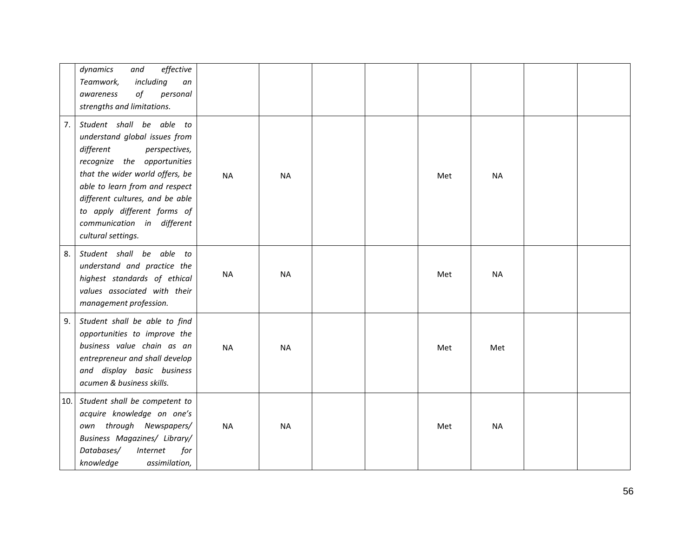|     | dynamics<br>and<br>effective<br>including<br>Teamwork,<br>an<br>of<br>personal<br>awareness<br>strengths and limitations.                                                                                                                                                                                         |           |           |  |     |           |  |
|-----|-------------------------------------------------------------------------------------------------------------------------------------------------------------------------------------------------------------------------------------------------------------------------------------------------------------------|-----------|-----------|--|-----|-----------|--|
| 7.  | Student shall be able to<br>understand global issues from<br>different<br>perspectives,<br>recognize the opportunities<br>that the wider world offers, be<br>able to learn from and respect<br>different cultures, and be able<br>to apply different forms of<br>communication in different<br>cultural settings. | <b>NA</b> | <b>NA</b> |  | Met | <b>NA</b> |  |
| 8.  | Student shall be able to<br>understand and practice the<br>highest standards of ethical<br>values associated with their<br>management profession.                                                                                                                                                                 | <b>NA</b> | <b>NA</b> |  | Met | <b>NA</b> |  |
| 9.  | Student shall be able to find<br>opportunities to improve the<br>business value chain as an<br>entrepreneur and shall develop<br>and display basic business<br>acumen & business skills.                                                                                                                          | <b>NA</b> | <b>NA</b> |  | Met | Met       |  |
| 10. | Student shall be competent to<br>acquire knowledge on one's<br>own through Newspapers/<br>Business Magazines/ Library/<br>Databases/<br>Internet<br>for<br>assimilation,<br>knowledge                                                                                                                             | <b>NA</b> | <b>NA</b> |  | Met | <b>NA</b> |  |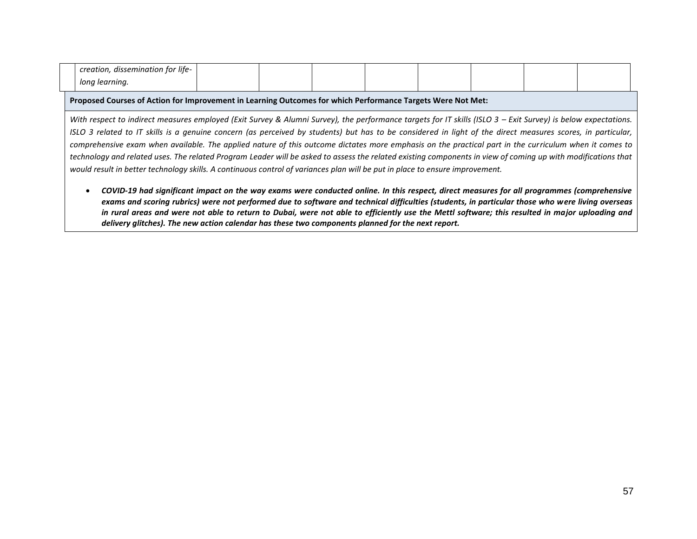| $\cdots$<br>-for life<br>creation,<br>dissemination |  |  |  |  |
|-----------------------------------------------------|--|--|--|--|
| Iona<br>rnıng                                       |  |  |  |  |

**Proposed Courses of Action for Improvement in Learning Outcomes for which Performance Targets Were Not Met:**

*With respect to indirect measures employed (Exit Survey & Alumni Survey), the performance targets for IT skills (ISLO 3 – Exit Survey) is below expectations. ISLO 3 related to IT skills is a genuine concern (as perceived by students) but has to be considered in light of the direct measures scores, in particular, comprehensive exam when available. The applied nature of this outcome dictates more emphasis on the practical part in the curriculum when it comes to technology and related uses. The related Program Leader will be asked to assess the related existing components in view of coming up with modifications that would result in better technology skills. A continuous control of variances plan will be put in place to ensure improvement.*

• *COVID-19 had significant impact on the way exams were conducted online. In this respect, direct measures for all programmes (comprehensive exams and scoring rubrics) were not performed due to software and technical difficulties (students, in particular those who were living overseas in rural areas and were not able to return to Dubai, were not able to efficiently use the Mettl software; this resulted in major uploading and delivery glitches). The new action calendar has these two components planned for the next report.*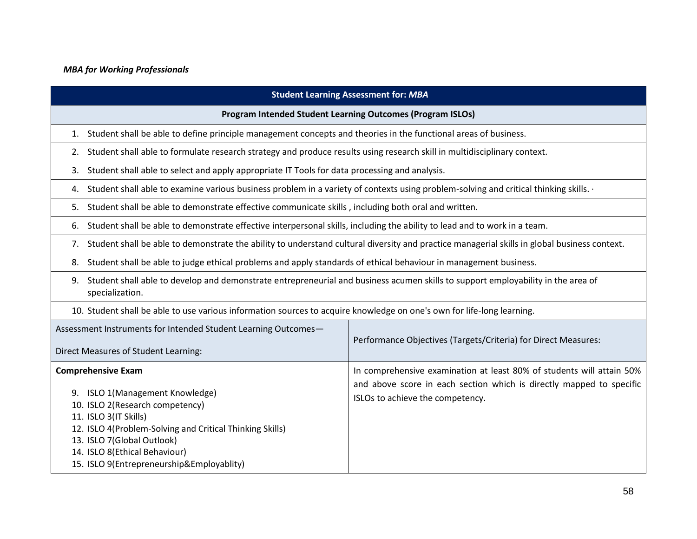# *MBA for Working Professionals*

#### **Student Learning Assessment for:** *MBA*

#### **Program Intended Student Learning Outcomes (Program ISLOs)**

1. Student shall be able to define principle management concepts and theories in the functional areas of business.

2. Student shall able to formulate research strategy and produce results using research skill in multidisciplinary context.

3. Student shall able to select and apply appropriate IT Tools for data processing and analysis.

4. Student shall able to examine various business problem in a variety of contexts using problem-solving and critical thinking skills.  $\cdot$ 

5. Student shall be able to demonstrate effective communicate skills , including both oral and written.

6. Student shall be able to demonstrate effective interpersonal skills, including the ability to lead and to work in a team.

7. Student shall be able to demonstrate the ability to understand cultural diversity and practice managerial skills in global business context.

8. Student shall be able to judge ethical problems and apply standards of ethical behaviour in management business.

- 9. Student shall able to develop and demonstrate entrepreneurial and business acumen skills to support employability in the area of specialization.
- 10. Student shall be able to use various information sources to acquire knowledge on one's own for life-long learning.

| Assessment Instruments for Intended Student Learning Outcomes-<br>Direct Measures of Student Learning:                                                                                                                                                                                              | Performance Objectives (Targets/Criteria) for Direct Measures:                                                                                                                    |
|-----------------------------------------------------------------------------------------------------------------------------------------------------------------------------------------------------------------------------------------------------------------------------------------------------|-----------------------------------------------------------------------------------------------------------------------------------------------------------------------------------|
| <b>Comprehensive Exam</b><br>ISLO 1(Management Knowledge)<br>9.<br>10. ISLO 2(Research competency)<br>11. ISLO 3(IT Skills)<br>12. ISLO 4(Problem-Solving and Critical Thinking Skills)<br>13. ISLO 7(Global Outlook)<br>14. ISLO 8(Ethical Behaviour)<br>15. ISLO 9(Entrepreneurship&Employablity) | In comprehensive examination at least 80% of students will attain 50%<br>and above score in each section which is directly mapped to specific<br>ISLOs to achieve the competency. |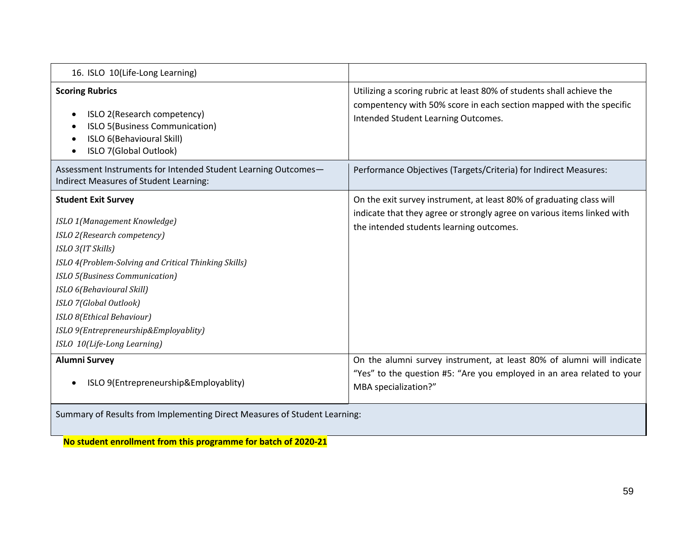| 16. ISLO 10(Life-Long Learning)                                                                                                                                                                                                                                                                                                                                      |                                                                                                                                                                                             |  |  |  |
|----------------------------------------------------------------------------------------------------------------------------------------------------------------------------------------------------------------------------------------------------------------------------------------------------------------------------------------------------------------------|---------------------------------------------------------------------------------------------------------------------------------------------------------------------------------------------|--|--|--|
| <b>Scoring Rubrics</b><br>ISLO 2(Research competency)<br>ISLO 5(Business Communication)<br>ISLO 6(Behavioural Skill)<br>ISLO 7(Global Outlook)                                                                                                                                                                                                                       | Utilizing a scoring rubric at least 80% of students shall achieve the<br>compentency with 50% score in each section mapped with the specific<br>Intended Student Learning Outcomes.         |  |  |  |
| Assessment Instruments for Intended Student Learning Outcomes-<br>Indirect Measures of Student Learning:                                                                                                                                                                                                                                                             | Performance Objectives (Targets/Criteria) for Indirect Measures:                                                                                                                            |  |  |  |
| <b>Student Exit Survey</b><br>ISLO 1(Management Knowledge)<br>ISLO 2(Research competency)<br>ISLO 3(IT Skills)<br>ISLO 4(Problem-Solving and Critical Thinking Skills)<br>ISLO 5(Business Communication)<br>ISLO 6(Behavioural Skill)<br>ISLO 7(Global Outlook)<br>ISLO 8(Ethical Behaviour)<br>ISLO 9(Entrepreneurship&Employablity)<br>ISLO 10(Life-Long Learning) | On the exit survey instrument, at least 80% of graduating class will<br>indicate that they agree or strongly agree on various items linked with<br>the intended students learning outcomes. |  |  |  |
| <b>Alumni Survey</b><br>ISLO 9(Entrepreneurship&Employablity)                                                                                                                                                                                                                                                                                                        | On the alumni survey instrument, at least 80% of alumni will indicate<br>"Yes" to the question #5: "Are you employed in an area related to your<br>MBA specialization?"                     |  |  |  |
| Summary of Results from Implementing Direct Measures of Student Learning:                                                                                                                                                                                                                                                                                            |                                                                                                                                                                                             |  |  |  |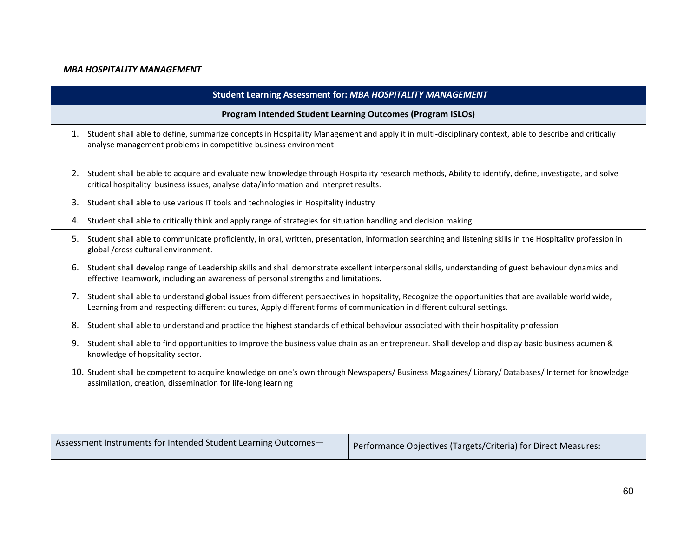## *MBA HOSPITALITY MANAGEMENT*

|    | Student Learning Assessment for: MBA HOSPITALITY MANAGEMENT                                                                                                                                                                                                                         |                                                                                                                                                             |  |  |  |  |
|----|-------------------------------------------------------------------------------------------------------------------------------------------------------------------------------------------------------------------------------------------------------------------------------------|-------------------------------------------------------------------------------------------------------------------------------------------------------------|--|--|--|--|
|    | <b>Program Intended Student Learning Outcomes (Program ISLOs)</b>                                                                                                                                                                                                                   |                                                                                                                                                             |  |  |  |  |
|    | Student shall able to define, summarize concepts in Hospitality Management and apply it in multi-disciplinary context, able to describe and critically<br>1.<br>analyse management problems in competitive business environment                                                     |                                                                                                                                                             |  |  |  |  |
|    | 2. Student shall be able to acquire and evaluate new knowledge through Hospitality research methods, Ability to identify, define, investigate, and solve<br>critical hospitality business issues, analyse data/information and interpret results.                                   |                                                                                                                                                             |  |  |  |  |
| 3. | Student shall able to use various IT tools and technologies in Hospitality industry                                                                                                                                                                                                 |                                                                                                                                                             |  |  |  |  |
| 4. | Student shall able to critically think and apply range of strategies for situation handling and decision making.                                                                                                                                                                    |                                                                                                                                                             |  |  |  |  |
| 5. | global /cross cultural environment.                                                                                                                                                                                                                                                 | Student shall able to communicate proficiently, in oral, written, presentation, information searching and listening skills in the Hospitality profession in |  |  |  |  |
| 6. | Student shall develop range of Leadership skills and shall demonstrate excellent interpersonal skills, understanding of guest behaviour dynamics and<br>effective Teamwork, including an awareness of personal strengths and limitations.                                           |                                                                                                                                                             |  |  |  |  |
|    | 7. Student shall able to understand global issues from different perspectives in hopsitality, Recognize the opportunities that are available world wide,<br>Learning from and respecting different cultures, Apply different forms of communication in different cultural settings. |                                                                                                                                                             |  |  |  |  |
| 8. | Student shall able to understand and practice the highest standards of ethical behaviour associated with their hospitality profession                                                                                                                                               |                                                                                                                                                             |  |  |  |  |
| 9. | knowledge of hopsitality sector.                                                                                                                                                                                                                                                    | Student shall able to find opportunities to improve the business value chain as an entrepreneur. Shall develop and display basic business acumen &          |  |  |  |  |
|    | 10. Student shall be competent to acquire knowledge on one's own through Newspapers/ Business Magazines/ Library/ Databases/ Internet for knowledge<br>assimilation, creation, dissemination for life-long learning                                                                 |                                                                                                                                                             |  |  |  |  |
|    | Assessment Instruments for Intended Student Learning Outcomes-                                                                                                                                                                                                                      | Performance Objectives (Targets/Criteria) for Direct Measures:                                                                                              |  |  |  |  |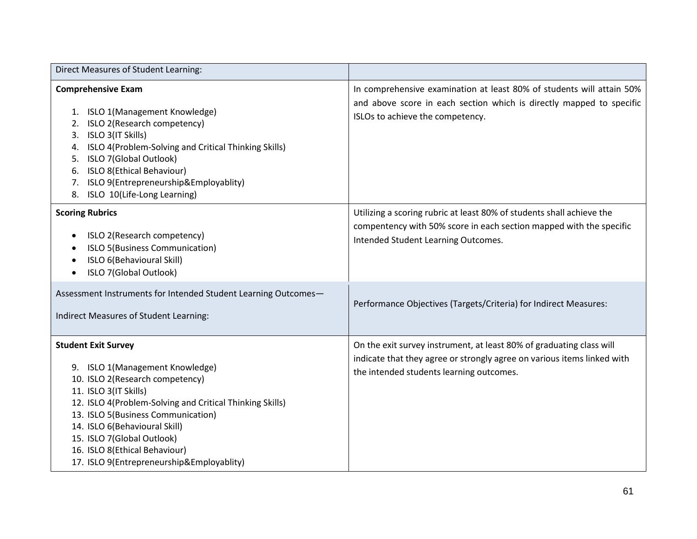| Direct Measures of Student Learning:                                                                                                                                                                                                                                                                                                                                     |                                                                                                                                                                                             |
|--------------------------------------------------------------------------------------------------------------------------------------------------------------------------------------------------------------------------------------------------------------------------------------------------------------------------------------------------------------------------|---------------------------------------------------------------------------------------------------------------------------------------------------------------------------------------------|
| <b>Comprehensive Exam</b><br>ISLO 1(Management Knowledge)<br>1.<br>ISLO 2(Research competency)<br>2.<br>ISLO 3(IT Skills)<br>3.<br>ISLO 4(Problem-Solving and Critical Thinking Skills)<br>4.<br>ISLO 7(Global Outlook)<br>5.<br>ISLO 8(Ethical Behaviour)<br>6.<br>ISLO 9(Entrepreneurship&Employablity)<br>7.<br>ISLO 10(Life-Long Learning)<br>8.                     | In comprehensive examination at least 80% of students will attain 50%<br>and above score in each section which is directly mapped to specific<br>ISLOs to achieve the competency.           |
| <b>Scoring Rubrics</b><br>ISLO 2(Research competency)<br>ISLO 5(Business Communication)<br>ISLO 6(Behavioural Skill)<br>ISLO 7(Global Outlook)<br>$\bullet$                                                                                                                                                                                                              | Utilizing a scoring rubric at least 80% of students shall achieve the<br>compentency with 50% score in each section mapped with the specific<br>Intended Student Learning Outcomes.         |
| Assessment Instruments for Intended Student Learning Outcomes-<br>Indirect Measures of Student Learning:                                                                                                                                                                                                                                                                 | Performance Objectives (Targets/Criteria) for Indirect Measures:                                                                                                                            |
| <b>Student Exit Survey</b><br>9. ISLO 1(Management Knowledge)<br>10. ISLO 2(Research competency)<br>11. ISLO 3(IT Skills)<br>12. ISLO 4(Problem-Solving and Critical Thinking Skills)<br>13. ISLO 5(Business Communication)<br>14. ISLO 6(Behavioural Skill)<br>15. ISLO 7(Global Outlook)<br>16. ISLO 8(Ethical Behaviour)<br>17. ISLO 9(Entrepreneurship&Employablity) | On the exit survey instrument, at least 80% of graduating class will<br>indicate that they agree or strongly agree on various items linked with<br>the intended students learning outcomes. |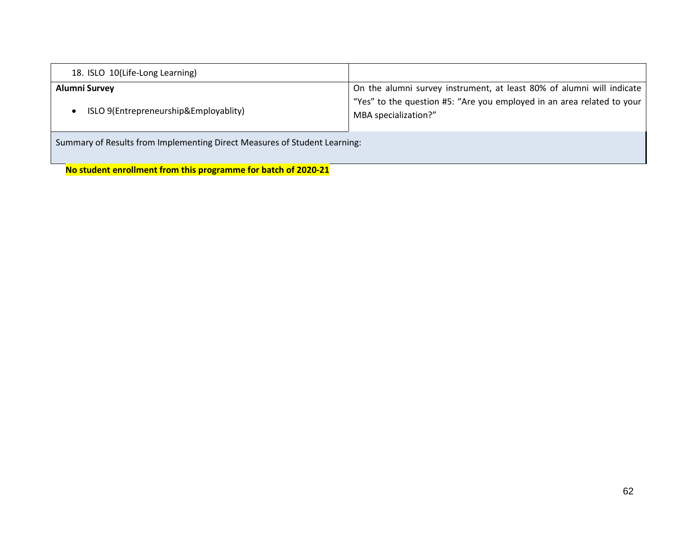| 18. ISLO 10(Life-Long Learning)                                           |                                                                                                                                                 |
|---------------------------------------------------------------------------|-------------------------------------------------------------------------------------------------------------------------------------------------|
| <b>Alumni Survey</b>                                                      | On the alumni survey instrument, at least 80% of alumni will indicate<br>"Yes" to the question #5: "Are you employed in an area related to your |
| ISLO 9(Entrepreneurship&Employablity)                                     | MBA specialization?"                                                                                                                            |
| Summary of Results from Implementing Direct Measures of Student Learning: |                                                                                                                                                 |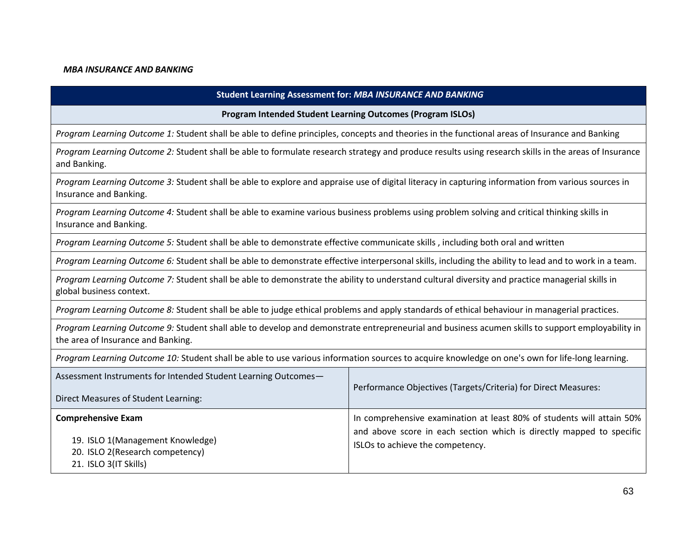#### *MBA INSURANCE AND BANKING*

#### **Student Learning Assessment for:** *MBA INSURANCE AND BANKING*

#### **Program Intended Student Learning Outcomes (Program ISLOs)**

*Program Learning Outcome 1:* Student shall be able to define principles, concepts and theories in the functional areas of Insurance and Banking

*Program Learning Outcome 2:* Student shall be able to formulate research strategy and produce results using research skills in the areas of Insurance and Banking.

*Program Learning Outcome 3:* Student shall be able to explore and appraise use of digital literacy in capturing information from various sources in Insurance and Banking.

*Program Learning Outcome 4:* Student shall be able to examine various business problems using problem solving and critical thinking skills in Insurance and Banking.

*Program Learning Outcome 5:* Student shall be able to demonstrate effective communicate skills , including both oral and written

*Program Learning Outcome 6:* Student shall be able to demonstrate effective interpersonal skills, including the ability to lead and to work in a team.

*Program Learning Outcome 7:* Student shall be able to demonstrate the ability to understand cultural diversity and practice managerial skills in global business context.

*Program Learning Outcome 8:* Student shall be able to judge ethical problems and apply standards of ethical behaviour in managerial practices.

*Program Learning Outcome 9:* Student shall able to develop and demonstrate entrepreneurial and business acumen skills to support employability in the area of Insurance and Banking.

*Program Learning Outcome 10:* Student shall be able to use various information sources to acquire knowledge on one's own for life-long learning.

| Assessment Instruments for Intended Student Learning Outcomes-<br>Direct Measures of Student Learning:                    | Performance Objectives (Targets/Criteria) for Direct Measures:                                                                                                                    |
|---------------------------------------------------------------------------------------------------------------------------|-----------------------------------------------------------------------------------------------------------------------------------------------------------------------------------|
| <b>Comprehensive Exam</b><br>19. ISLO 1(Management Knowledge)<br>20. ISLO 2(Research competency)<br>21. ISLO 3(IT Skills) | In comprehensive examination at least 80% of students will attain 50%<br>and above score in each section which is directly mapped to specific<br>ISLOs to achieve the competency. |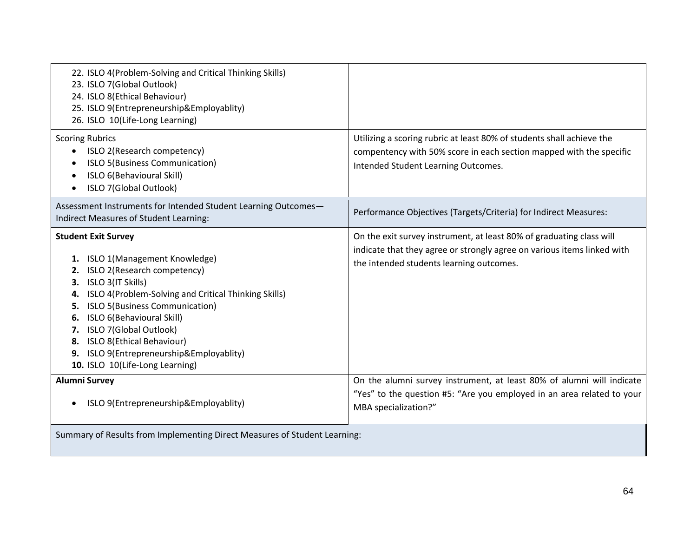| 22. ISLO 4(Problem-Solving and Critical Thinking Skills)<br>23. ISLO 7(Global Outlook)<br>24. ISLO 8(Ethical Behaviour)<br>25. ISLO 9(Entrepreneurship&Employablity)<br>26. ISLO 10(Life-Long Learning)                                                                                                                                                                                                            |                                                                                                                                                                                             |
|--------------------------------------------------------------------------------------------------------------------------------------------------------------------------------------------------------------------------------------------------------------------------------------------------------------------------------------------------------------------------------------------------------------------|---------------------------------------------------------------------------------------------------------------------------------------------------------------------------------------------|
| <b>Scoring Rubrics</b><br>ISLO 2(Research competency)<br>$\bullet$<br>ISLO 5(Business Communication)<br>$\bullet$<br>ISLO 6(Behavioural Skill)<br>ISLO 7(Global Outlook)<br>$\bullet$                                                                                                                                                                                                                              | Utilizing a scoring rubric at least 80% of students shall achieve the<br>compentency with 50% score in each section mapped with the specific<br>Intended Student Learning Outcomes.         |
| Assessment Instruments for Intended Student Learning Outcomes-<br>Indirect Measures of Student Learning:                                                                                                                                                                                                                                                                                                           | Performance Objectives (Targets/Criteria) for Indirect Measures:                                                                                                                            |
| <b>Student Exit Survey</b><br>1. ISLO 1(Management Knowledge)<br>ISLO 2(Research competency)<br>2.<br>ISLO 3(IT Skills)<br>3.<br>ISLO 4(Problem-Solving and Critical Thinking Skills)<br>4.<br>ISLO 5(Business Communication)<br>5.<br>ISLO 6(Behavioural Skill)<br>6.<br>7. ISLO 7(Global Outlook)<br>8. ISLO 8(Ethical Behaviour)<br>9. ISLO 9(Entrepreneurship&Employablity)<br>10. ISLO 10(Life-Long Learning) | On the exit survey instrument, at least 80% of graduating class will<br>indicate that they agree or strongly agree on various items linked with<br>the intended students learning outcomes. |
| <b>Alumni Survey</b><br>ISLO 9(Entrepreneurship&Employablity)                                                                                                                                                                                                                                                                                                                                                      | On the alumni survey instrument, at least 80% of alumni will indicate<br>"Yes" to the question #5: "Are you employed in an area related to your<br>MBA specialization?"                     |
| Summary of Results from Implementing Direct Measures of Student Learning:                                                                                                                                                                                                                                                                                                                                          |                                                                                                                                                                                             |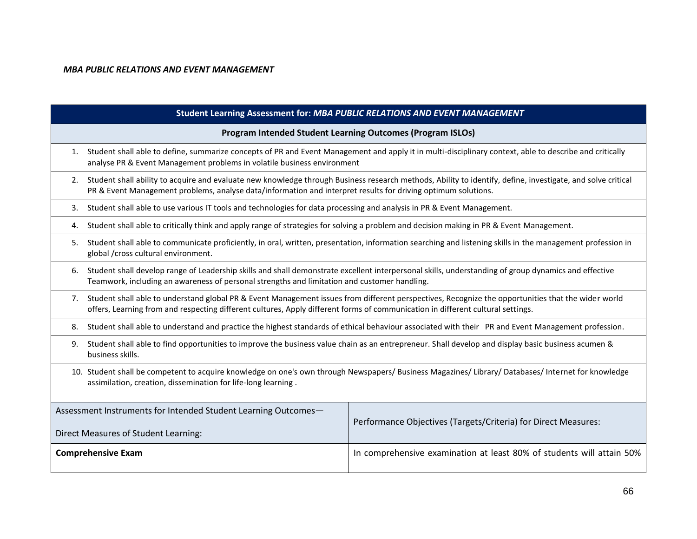# *MBA PUBLIC RELATIONS AND EVENT MANAGEMENT*

| Student Learning Assessment for: MBA PUBLIC RELATIONS AND EVENT MANAGEMENT                                                                                                                                                                                                                  |                                                                                                                                                    |  |
|---------------------------------------------------------------------------------------------------------------------------------------------------------------------------------------------------------------------------------------------------------------------------------------------|----------------------------------------------------------------------------------------------------------------------------------------------------|--|
| Program Intended Student Learning Outcomes (Program ISLOs)                                                                                                                                                                                                                                  |                                                                                                                                                    |  |
| Student shall able to define, summarize concepts of PR and Event Management and apply it in multi-disciplinary context, able to describe and critically<br>1.<br>analyse PR & Event Management problems in volatile business environment                                                    |                                                                                                                                                    |  |
| Student shall ability to acquire and evaluate new knowledge through Business research methods, Ability to identify, define, investigate, and solve critical<br>2.<br>PR & Event Management problems, analyse data/information and interpret results for driving optimum solutions.          |                                                                                                                                                    |  |
| Student shall able to use various IT tools and technologies for data processing and analysis in PR & Event Management.<br>3.                                                                                                                                                                |                                                                                                                                                    |  |
| Student shall able to critically think and apply range of strategies for solving a problem and decision making in PR & Event Management.<br>4.                                                                                                                                              |                                                                                                                                                    |  |
| Student shall able to communicate proficiently, in oral, written, presentation, information searching and listening skills in the management profession in<br>5.<br>global /cross cultural environment.                                                                                     |                                                                                                                                                    |  |
| Student shall develop range of Leadership skills and shall demonstrate excellent interpersonal skills, understanding of group dynamics and effective<br>6.<br>Teamwork, including an awareness of personal strengths and limitation and customer handling.                                  |                                                                                                                                                    |  |
| Student shall able to understand global PR & Event Management issues from different perspectives, Recognize the opportunities that the wider world<br>7.<br>offers, Learning from and respecting different cultures, Apply different forms of communication in different cultural settings. |                                                                                                                                                    |  |
| 8.                                                                                                                                                                                                                                                                                          | Student shall able to understand and practice the highest standards of ethical behaviour associated with their PR and Event Management profession. |  |
| Student shall able to find opportunities to improve the business value chain as an entrepreneur. Shall develop and display basic business acumen &<br>9.<br>business skills.                                                                                                                |                                                                                                                                                    |  |
| 10. Student shall be competent to acquire knowledge on one's own through Newspapers/ Business Magazines/ Library/ Databases/ Internet for knowledge<br>assimilation, creation, dissemination for life-long learning.                                                                        |                                                                                                                                                    |  |
| Assessment Instruments for Intended Student Learning Outcomes-                                                                                                                                                                                                                              | Performance Objectives (Targets/Criteria) for Direct Measures:                                                                                     |  |
| Direct Measures of Student Learning:                                                                                                                                                                                                                                                        |                                                                                                                                                    |  |
| <b>Comprehensive Exam</b>                                                                                                                                                                                                                                                                   | In comprehensive examination at least 80% of students will attain 50%                                                                              |  |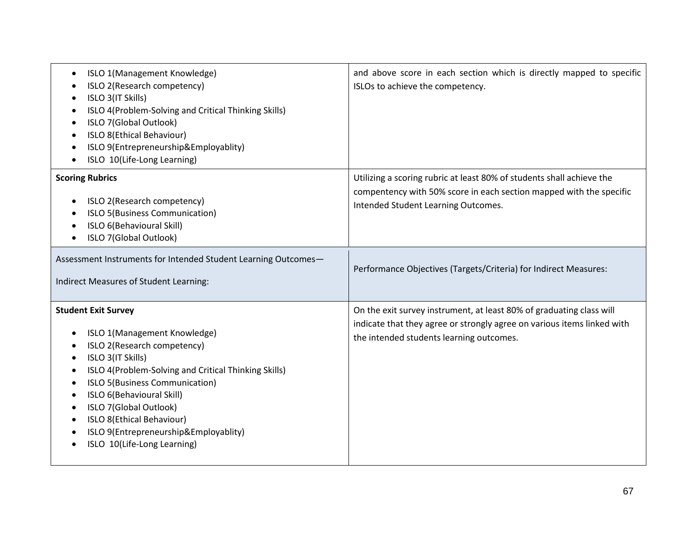| ISLO 1(Management Knowledge)<br>$\bullet$<br>ISLO 2(Research competency)<br>ISLO 3(IT Skills)<br>٠<br>ISLO 4(Problem-Solving and Critical Thinking Skills)<br>ISLO 7(Global Outlook)<br>ISLO 8(Ethical Behaviour)<br>$\bullet$<br>ISLO 9(Entrepreneurship&Employablity)<br>$\bullet$<br>ISLO 10(Life-Long Learning)<br>$\bullet$                                                                                                  | and above score in each section which is directly mapped to specific<br>ISLOs to achieve the competency.                                                                                    |
|-----------------------------------------------------------------------------------------------------------------------------------------------------------------------------------------------------------------------------------------------------------------------------------------------------------------------------------------------------------------------------------------------------------------------------------|---------------------------------------------------------------------------------------------------------------------------------------------------------------------------------------------|
| <b>Scoring Rubrics</b><br>ISLO 2(Research competency)<br>$\bullet$<br>ISLO 5(Business Communication)<br>ISLO 6(Behavioural Skill)<br>$\bullet$<br>ISLO 7(Global Outlook)<br>$\bullet$                                                                                                                                                                                                                                             | Utilizing a scoring rubric at least 80% of students shall achieve the<br>compentency with 50% score in each section mapped with the specific<br>Intended Student Learning Outcomes.         |
| Assessment Instruments for Intended Student Learning Outcomes-<br>Indirect Measures of Student Learning:                                                                                                                                                                                                                                                                                                                          | Performance Objectives (Targets/Criteria) for Indirect Measures:                                                                                                                            |
| <b>Student Exit Survey</b><br>ISLO 1(Management Knowledge)<br>ISLO 2(Research competency)<br>ISLO 3(IT Skills)<br>٠<br>ISLO 4(Problem-Solving and Critical Thinking Skills)<br>€<br><b>ISLO 5(Business Communication)</b><br>$\bullet$<br>ISLO 6(Behavioural Skill)<br>$\bullet$<br>ISLO 7(Global Outlook)<br>$\bullet$<br>ISLO 8(Ethical Behaviour)<br>ISLO 9(Entrepreneurship&Employablity)<br>٠<br>ISLO 10(Life-Long Learning) | On the exit survey instrument, at least 80% of graduating class will<br>indicate that they agree or strongly agree on various items linked with<br>the intended students learning outcomes. |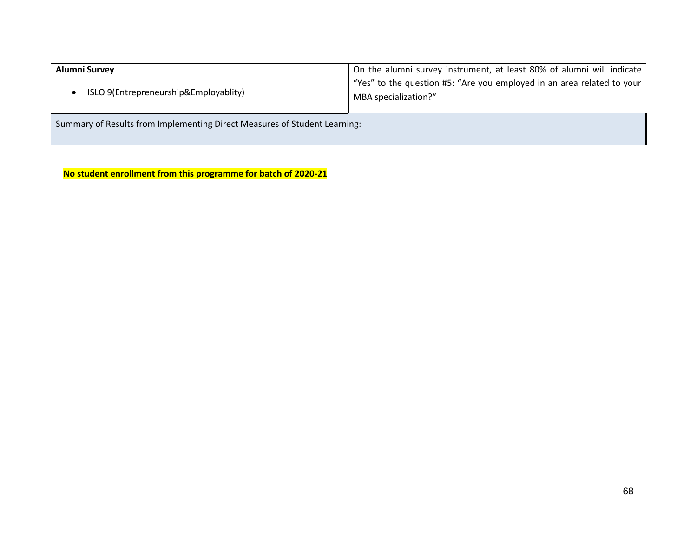| Alumni Survey                                                             | On the alumni survey instrument, at least 80% of alumni will indicate                          |
|---------------------------------------------------------------------------|------------------------------------------------------------------------------------------------|
| ISLO 9(Entrepreneurship&Employablity)                                     | "Yes" to the question #5: "Are you employed in an area related to your<br>MBA specialization?" |
| Summary of Results from Implementing Direct Measures of Student Learning: |                                                                                                |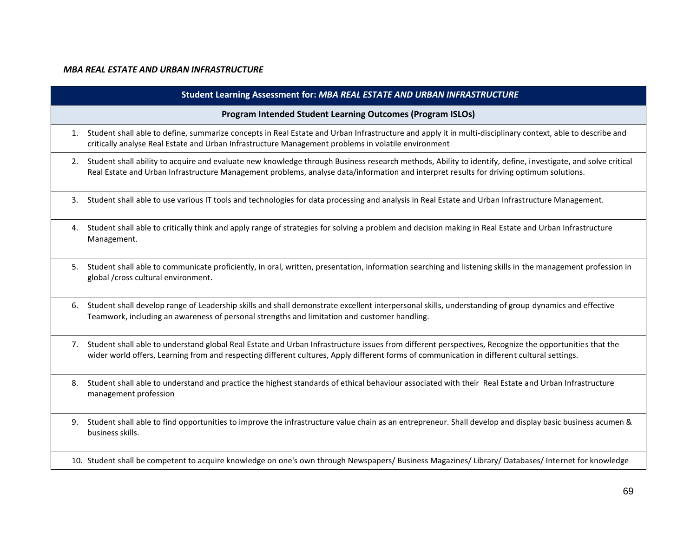## *MBA REAL ESTATE AND URBAN INFRASTRUCTURE*

|    | Student Learning Assessment for: MBA REAL ESTATE AND URBAN INFRASTRUCTURE                                                                                                                                                                                                                              |
|----|--------------------------------------------------------------------------------------------------------------------------------------------------------------------------------------------------------------------------------------------------------------------------------------------------------|
|    | Program Intended Student Learning Outcomes (Program ISLOs)                                                                                                                                                                                                                                             |
|    | 1. Student shall able to define, summarize concepts in Real Estate and Urban Infrastructure and apply it in multi-disciplinary context, able to describe and<br>critically analyse Real Estate and Urban Infrastructure Management problems in volatile environment                                    |
| 2. | Student shall ability to acquire and evaluate new knowledge through Business research methods, Ability to identify, define, investigate, and solve critical<br>Real Estate and Urban Infrastructure Management problems, analyse data/information and interpret results for driving optimum solutions. |
|    | 3. Student shall able to use various IT tools and technologies for data processing and analysis in Real Estate and Urban Infrastructure Management.                                                                                                                                                    |
| 4. | Student shall able to critically think and apply range of strategies for solving a problem and decision making in Real Estate and Urban Infrastructure<br>Management.                                                                                                                                  |
| 5. | Student shall able to communicate proficiently, in oral, written, presentation, information searching and listening skills in the management profession in<br>global / cross cultural environment.                                                                                                     |
| 6. | Student shall develop range of Leadership skills and shall demonstrate excellent interpersonal skills, understanding of group dynamics and effective<br>Teamwork, including an awareness of personal strengths and limitation and customer handling.                                                   |
| 7. | Student shall able to understand global Real Estate and Urban Infrastructure issues from different perspectives, Recognize the opportunities that the<br>wider world offers, Learning from and respecting different cultures, Apply different forms of communication in different cultural settings.   |
| 8. | Student shall able to understand and practice the highest standards of ethical behaviour associated with their Real Estate and Urban Infrastructure<br>management profession                                                                                                                           |
|    | 9. Student shall able to find opportunities to improve the infrastructure value chain as an entrepreneur. Shall develop and display basic business acumen &<br>business skills.                                                                                                                        |
|    | 10. Student shall be competent to acquire knowledge on one's own through Newspapers/ Business Magazines/ Library/ Databases/ Internet for knowledge                                                                                                                                                    |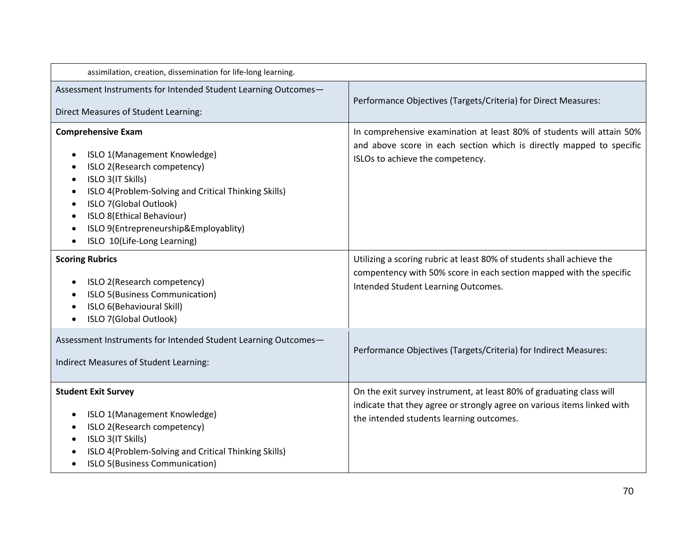| assimilation, creation, dissemination for life-long learning.                                                                                                                                                                                                                                        |                                                                                                                                                                                             |
|------------------------------------------------------------------------------------------------------------------------------------------------------------------------------------------------------------------------------------------------------------------------------------------------------|---------------------------------------------------------------------------------------------------------------------------------------------------------------------------------------------|
| Assessment Instruments for Intended Student Learning Outcomes-<br>Direct Measures of Student Learning:                                                                                                                                                                                               | Performance Objectives (Targets/Criteria) for Direct Measures:                                                                                                                              |
| <b>Comprehensive Exam</b><br>ISLO 1(Management Knowledge)<br>ISLO 2(Research competency)<br>ISLO 3(IT Skills)<br>ISLO 4(Problem-Solving and Critical Thinking Skills)<br>ISLO 7(Global Outlook)<br>ISLO 8(Ethical Behaviour)<br>ISLO 9(Entrepreneurship&Employablity)<br>ISLO 10(Life-Long Learning) | In comprehensive examination at least 80% of students will attain 50%<br>and above score in each section which is directly mapped to specific<br>ISLOs to achieve the competency.           |
| <b>Scoring Rubrics</b><br>ISLO 2(Research competency)<br><b>ISLO 5(Business Communication)</b><br>ISLO 6(Behavioural Skill)<br>ISLO 7(Global Outlook)                                                                                                                                                | Utilizing a scoring rubric at least 80% of students shall achieve the<br>compentency with 50% score in each section mapped with the specific<br>Intended Student Learning Outcomes.         |
| Assessment Instruments for Intended Student Learning Outcomes-<br>Indirect Measures of Student Learning:                                                                                                                                                                                             | Performance Objectives (Targets/Criteria) for Indirect Measures:                                                                                                                            |
| <b>Student Exit Survey</b><br>ISLO 1(Management Knowledge)<br>ISLO 2(Research competency)<br>ISLO 3(IT Skills)<br>ISLO 4(Problem-Solving and Critical Thinking Skills)<br>ISLO 5(Business Communication)                                                                                             | On the exit survey instrument, at least 80% of graduating class will<br>indicate that they agree or strongly agree on various items linked with<br>the intended students learning outcomes. |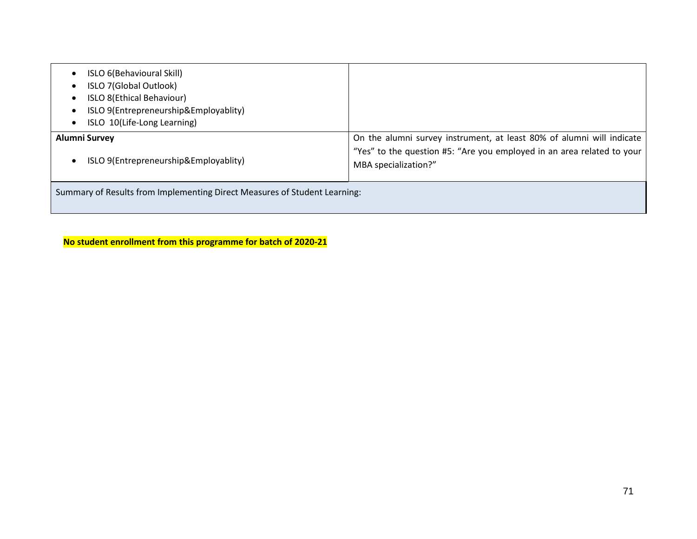| ISLO 6(Behavioural Skill)<br>ISLO 7(Global Outlook)<br>ISLO 8(Ethical Behaviour)<br>$\bullet$ |                                                                                                  |
|-----------------------------------------------------------------------------------------------|--------------------------------------------------------------------------------------------------|
| ISLO 9(Entrepreneurship&Employablity)                                                         |                                                                                                  |
| ISLO 10(Life-Long Learning)<br>$\bullet$                                                      |                                                                                                  |
| Alumni Survey                                                                                 | On the alumni survey instrument, at least 80% of alumni will indicate                            |
| ISLO 9(Entrepreneurship&Employablity)<br>$\bullet$                                            | "Yes" to the question #5: "Are you employed in an area related to your  <br>MBA specialization?" |
| Summary of Results from Implementing Direct Measures of Student Learning:                     |                                                                                                  |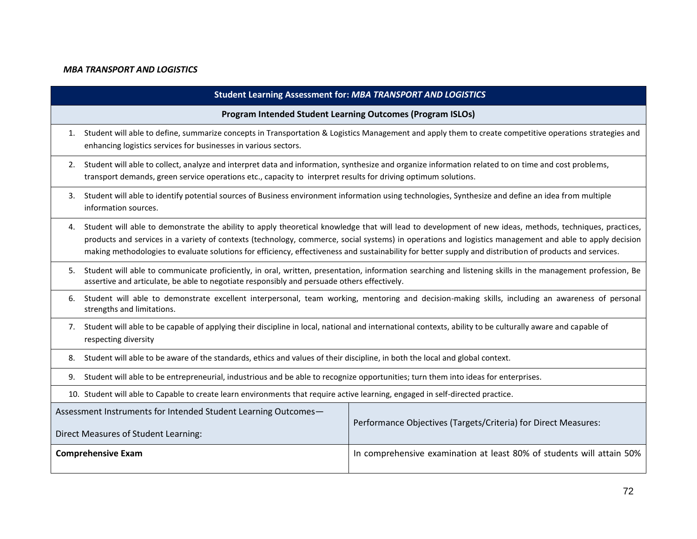## *MBA TRANSPORT AND LOGISTICS*

| <b>Student Learning Assessment for: MBA TRANSPORT AND LOGISTICS</b>                                                                                                                                                                                                                                                                                                                                                                                                                  |                                                                                                                                                                                                                                                                       |  |
|--------------------------------------------------------------------------------------------------------------------------------------------------------------------------------------------------------------------------------------------------------------------------------------------------------------------------------------------------------------------------------------------------------------------------------------------------------------------------------------|-----------------------------------------------------------------------------------------------------------------------------------------------------------------------------------------------------------------------------------------------------------------------|--|
| Program Intended Student Learning Outcomes (Program ISLOs)                                                                                                                                                                                                                                                                                                                                                                                                                           |                                                                                                                                                                                                                                                                       |  |
| Student will able to define, summarize concepts in Transportation & Logistics Management and apply them to create competitive operations strategies and<br>1.<br>enhancing logistics services for businesses in various sectors.                                                                                                                                                                                                                                                     |                                                                                                                                                                                                                                                                       |  |
| 2.                                                                                                                                                                                                                                                                                                                                                                                                                                                                                   | Student will able to collect, analyze and interpret data and information, synthesize and organize information related to on time and cost problems,<br>transport demands, green service operations etc., capacity to interpret results for driving optimum solutions. |  |
| Student will able to identify potential sources of Business environment information using technologies, Synthesize and define an idea from multiple<br>3.<br>information sources.                                                                                                                                                                                                                                                                                                    |                                                                                                                                                                                                                                                                       |  |
| Student will able to demonstrate the ability to apply theoretical knowledge that will lead to development of new ideas, methods, techniques, practices,<br>4.<br>products and services in a variety of contexts (technology, commerce, social systems) in operations and logistics management and able to apply decision<br>making methodologies to evaluate solutions for efficiency, effectiveness and sustainability for better supply and distribution of products and services. |                                                                                                                                                                                                                                                                       |  |
| Student will able to communicate proficiently, in oral, written, presentation, information searching and listening skills in the management profession, Be<br>5.<br>assertive and articulate, be able to negotiate responsibly and persuade others effectively.                                                                                                                                                                                                                      |                                                                                                                                                                                                                                                                       |  |
| Student will able to demonstrate excellent interpersonal, team working, mentoring and decision-making skills, including an awareness of personal<br>6.<br>strengths and limitations.                                                                                                                                                                                                                                                                                                 |                                                                                                                                                                                                                                                                       |  |
| Student will able to be capable of applying their discipline in local, national and international contexts, ability to be culturally aware and capable of<br>7.<br>respecting diversity                                                                                                                                                                                                                                                                                              |                                                                                                                                                                                                                                                                       |  |
| Student will able to be aware of the standards, ethics and values of their discipline, in both the local and global context.<br>8.                                                                                                                                                                                                                                                                                                                                                   |                                                                                                                                                                                                                                                                       |  |
| Student will able to be entrepreneurial, industrious and be able to recognize opportunities; turn them into ideas for enterprises.<br>9.                                                                                                                                                                                                                                                                                                                                             |                                                                                                                                                                                                                                                                       |  |
| 10. Student will able to Capable to create learn environments that require active learning, engaged in self-directed practice.                                                                                                                                                                                                                                                                                                                                                       |                                                                                                                                                                                                                                                                       |  |
| Assessment Instruments for Intended Student Learning Outcomes-<br>Direct Measures of Student Learning:                                                                                                                                                                                                                                                                                                                                                                               | Performance Objectives (Targets/Criteria) for Direct Measures:                                                                                                                                                                                                        |  |
| <b>Comprehensive Exam</b>                                                                                                                                                                                                                                                                                                                                                                                                                                                            | In comprehensive examination at least 80% of students will attain 50%                                                                                                                                                                                                 |  |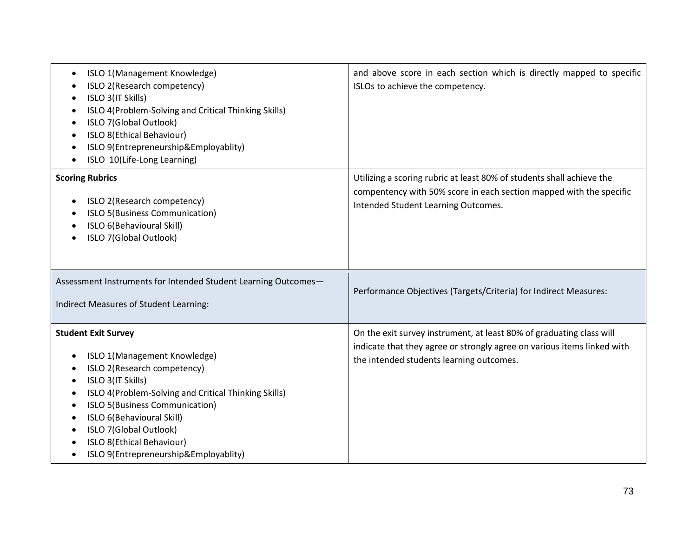| ISLO 1(Management Knowledge)<br>$\bullet$<br>ISLO 2(Research competency)<br>ISLO 3(IT Skills)<br>ISLO 4(Problem-Solving and Critical Thinking Skills)<br>ISLO 7(Global Outlook)<br>ISLO 8(Ethical Behaviour)<br>ISLO 9(Entrepreneurship&Employablity)<br>ISLO 10(Life-Long Learning)                                                                                         | and above score in each section which is directly mapped to specific<br>ISLOs to achieve the competency.                                                                                    |
|------------------------------------------------------------------------------------------------------------------------------------------------------------------------------------------------------------------------------------------------------------------------------------------------------------------------------------------------------------------------------|---------------------------------------------------------------------------------------------------------------------------------------------------------------------------------------------|
| <b>Scoring Rubrics</b><br>ISLO 2(Research competency)<br>ISLO 5(Business Communication)<br>ISLO 6(Behavioural Skill)<br>ISLO 7(Global Outlook)                                                                                                                                                                                                                               | Utilizing a scoring rubric at least 80% of students shall achieve the<br>compentency with 50% score in each section mapped with the specific<br>Intended Student Learning Outcomes.         |
| Assessment Instruments for Intended Student Learning Outcomes-<br>Indirect Measures of Student Learning:                                                                                                                                                                                                                                                                     | Performance Objectives (Targets/Criteria) for Indirect Measures:                                                                                                                            |
| <b>Student Exit Survey</b><br>ISLO 1(Management Knowledge)<br>$\bullet$<br>ISLO 2(Research competency)<br>ISLO 3(IT Skills)<br>ISLO 4(Problem-Solving and Critical Thinking Skills)<br>$\bullet$<br>ISLO 5(Business Communication)<br>$\bullet$<br>ISLO 6(Behavioural Skill)<br>ISLO 7(Global Outlook)<br>ISLO 8(Ethical Behaviour)<br>ISLO 9(Entrepreneurship&Employablity) | On the exit survey instrument, at least 80% of graduating class will<br>indicate that they agree or strongly agree on various items linked with<br>the intended students learning outcomes. |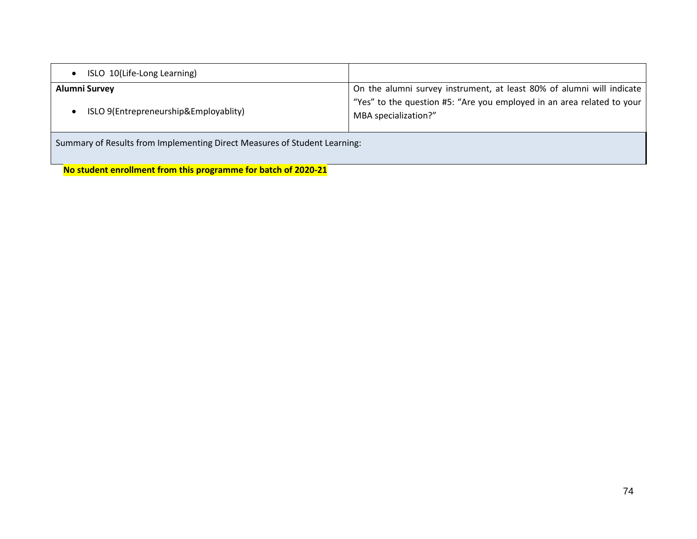| ISLO 10(Life-Long Learning)                                               |                                                                                                                                                 |
|---------------------------------------------------------------------------|-------------------------------------------------------------------------------------------------------------------------------------------------|
| <b>Alumni Survey</b><br>ISLO 9(Entrepreneurship&Employablity)             | On the alumni survey instrument, at least 80% of alumni will indicate<br>"Yes" to the question #5: "Are you employed in an area related to your |
|                                                                           | MBA specialization?"                                                                                                                            |
| Summary of Results from Implementing Direct Measures of Student Learning: |                                                                                                                                                 |

**No student enrollment from this programme for batch of 2020-21**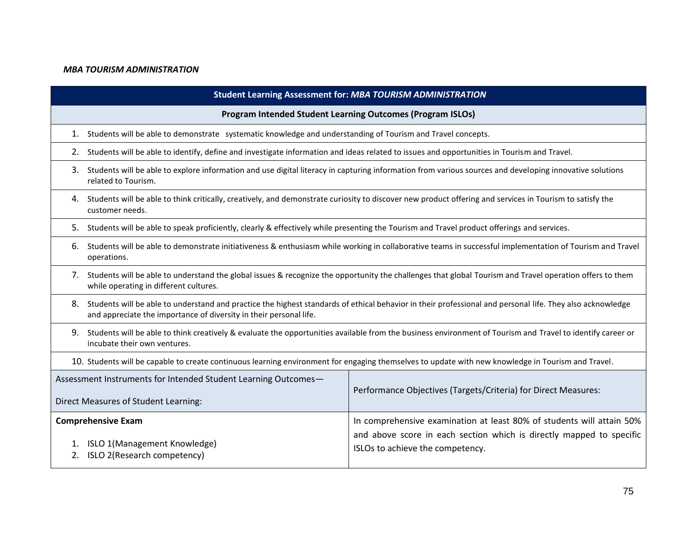## *MBA TOURISM ADMINISTRATION*

| Student Learning Assessment for: MBA TOURISM ADMINISTRATION                                                                                                                                                                        |                                                                                                                                                                                   |                                                                                                                                                                                   |
|------------------------------------------------------------------------------------------------------------------------------------------------------------------------------------------------------------------------------------|-----------------------------------------------------------------------------------------------------------------------------------------------------------------------------------|-----------------------------------------------------------------------------------------------------------------------------------------------------------------------------------|
| Program Intended Student Learning Outcomes (Program ISLOs)                                                                                                                                                                         |                                                                                                                                                                                   |                                                                                                                                                                                   |
|                                                                                                                                                                                                                                    | 1. Students will be able to demonstrate systematic knowledge and understanding of Tourism and Travel concepts.                                                                    |                                                                                                                                                                                   |
|                                                                                                                                                                                                                                    | 2. Students will be able to identify, define and investigate information and ideas related to issues and opportunities in Tourism and Travel.                                     |                                                                                                                                                                                   |
|                                                                                                                                                                                                                                    | 3. Students will be able to explore information and use digital literacy in capturing information from various sources and developing innovative solutions<br>related to Tourism. |                                                                                                                                                                                   |
| 4. Students will be able to think critically, creatively, and demonstrate curiosity to discover new product offering and services in Tourism to satisfy the<br>customer needs.                                                     |                                                                                                                                                                                   |                                                                                                                                                                                   |
| 5. Students will be able to speak proficiently, clearly & effectively while presenting the Tourism and Travel product offerings and services.                                                                                      |                                                                                                                                                                                   |                                                                                                                                                                                   |
| Students will be able to demonstrate initiativeness & enthusiasm while working in collaborative teams in successful implementation of Tourism and Travel<br>6.<br>operations.                                                      |                                                                                                                                                                                   |                                                                                                                                                                                   |
| 7. Students will be able to understand the global issues & recognize the opportunity the challenges that global Tourism and Travel operation offers to them<br>while operating in different cultures.                              |                                                                                                                                                                                   |                                                                                                                                                                                   |
| 8. Students will be able to understand and practice the highest standards of ethical behavior in their professional and personal life. They also acknowledge<br>and appreciate the importance of diversity in their personal life. |                                                                                                                                                                                   |                                                                                                                                                                                   |
| 9. Students will be able to think creatively & evaluate the opportunities available from the business environment of Tourism and Travel to identify career or<br>incubate their own ventures.                                      |                                                                                                                                                                                   |                                                                                                                                                                                   |
| 10. Students will be capable to create continuous learning environment for engaging themselves to update with new knowledge in Tourism and Travel.                                                                                 |                                                                                                                                                                                   |                                                                                                                                                                                   |
|                                                                                                                                                                                                                                    | Assessment Instruments for Intended Student Learning Outcomes-<br>Direct Measures of Student Learning:                                                                            | Performance Objectives (Targets/Criteria) for Direct Measures:                                                                                                                    |
| 1.                                                                                                                                                                                                                                 | <b>Comprehensive Exam</b><br><b>ISLO 1(Management Knowledge)</b>                                                                                                                  | In comprehensive examination at least 80% of students will attain 50%<br>and above score in each section which is directly mapped to specific<br>ISLOs to achieve the competency. |
| 2.                                                                                                                                                                                                                                 | ISLO 2(Research competency)                                                                                                                                                       |                                                                                                                                                                                   |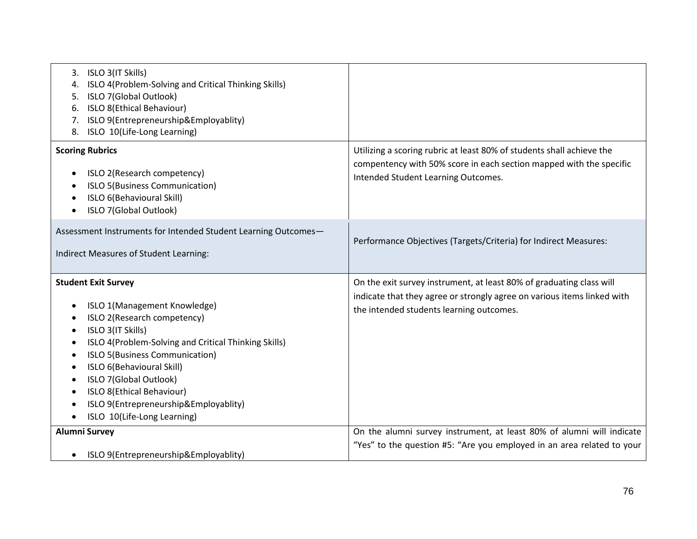| ISLO 3(IT Skills)<br>3.<br>ISLO 4(Problem-Solving and Critical Thinking Skills)<br>4.<br>ISLO 7(Global Outlook)<br>5.<br>ISLO 8(Ethical Behaviour)<br>6.<br>ISLO 9(Entrepreneurship&Employablity)<br>7.<br>ISLO 10(Life-Long Learning)<br>8.                                                                                                                                                                       |                                                                                                                                                                                             |
|--------------------------------------------------------------------------------------------------------------------------------------------------------------------------------------------------------------------------------------------------------------------------------------------------------------------------------------------------------------------------------------------------------------------|---------------------------------------------------------------------------------------------------------------------------------------------------------------------------------------------|
| <b>Scoring Rubrics</b><br>ISLO 2(Research competency)<br>$\bullet$<br><b>ISLO 5(Business Communication)</b><br>ISLO 6(Behavioural Skill)<br>ISLO 7(Global Outlook)                                                                                                                                                                                                                                                 | Utilizing a scoring rubric at least 80% of students shall achieve the<br>compentency with 50% score in each section mapped with the specific<br>Intended Student Learning Outcomes.         |
| Assessment Instruments for Intended Student Learning Outcomes-<br>Indirect Measures of Student Learning:                                                                                                                                                                                                                                                                                                           | Performance Objectives (Targets/Criteria) for Indirect Measures:                                                                                                                            |
| <b>Student Exit Survey</b><br>ISLO 1(Management Knowledge)<br>ISLO 2(Research competency)<br>$\bullet$<br>ISLO 3(IT Skills)<br>ISLO 4(Problem-Solving and Critical Thinking Skills)<br><b>ISLO 5(Business Communication)</b><br>$\bullet$<br>ISLO 6(Behavioural Skill)<br>ISLO 7(Global Outlook)<br>ISLO 8(Ethical Behaviour)<br>$\bullet$<br>ISLO 9(Entrepreneurship&Employablity)<br>ISLO 10(Life-Long Learning) | On the exit survey instrument, at least 80% of graduating class will<br>indicate that they agree or strongly agree on various items linked with<br>the intended students learning outcomes. |
| <b>Alumni Survey</b>                                                                                                                                                                                                                                                                                                                                                                                               | On the alumni survey instrument, at least 80% of alumni will indicate                                                                                                                       |
| ISLO 9(Entrepreneurship&Employablity)                                                                                                                                                                                                                                                                                                                                                                              | "Yes" to the question #5: "Are you employed in an area related to your                                                                                                                      |